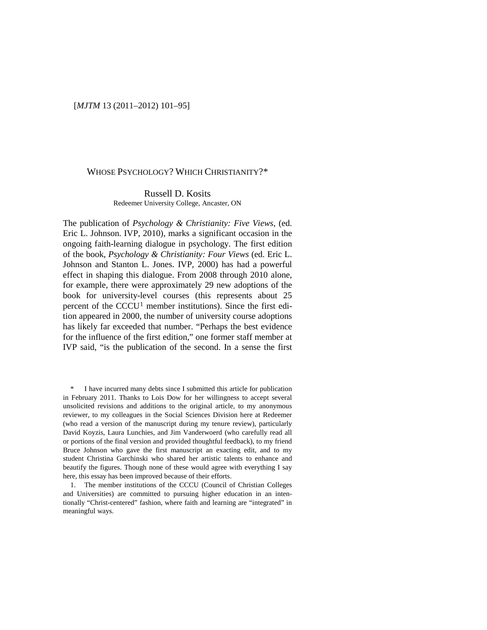### [*MJTM* 13 (2011–2012) 101–95]

## WHOSE PSYCHOLOGY? WHICH CHRISTIANITY?\*

### Russell D. Kosits Redeemer University College, Ancaster, ON

The publication of *Psychology & Christianity: Five Views*, (ed. Eric L. Johnson. IVP, 2010), marks a significant occasion in the ongoing faith-learning dialogue in psychology. The first edition of the book, *Psychology & Christianity: Four Views* (ed. Eric L. Johnson and Stanton L. Jones. IVP, 2000) has had a powerful effect in shaping this dialogue. From 2008 through 2010 alone, for example, there were approximately 29 new adoptions of the book for university-level courses (this represents about 25 percent of the CCCU<sup>[1](#page-0-0)</sup> member institutions). Since the first edition appeared in 2000, the number of university course adoptions has likely far exceeded that number. "Perhaps the best evidence for the influence of the first edition," one former staff member at IVP said, "is the publication of the second. In a sense the first

<span id="page-0-0"></span>\* I have incurred many debts since I submitted this article for publication in February 2011. Thanks to Lois Dow for her willingness to accept several unsolicited revisions and additions to the original article, to my anonymous reviewer, to my colleagues in the Social Sciences Division here at Redeemer (who read a version of the manuscript during my tenure review), particularly David Koyzis, Laura Lunchies, and Jim Vanderwoerd (who carefully read all or portions of the final version and provided thoughtful feedback), to my friend Bruce Johnson who gave the first manuscript an exacting edit, and to my student Christina Garchinski who shared her artistic talents to enhance and beautify the figures. Though none of these would agree with everything I say here, this essay has been improved because of their efforts.

1. The member institutions of the CCCU (Council of Christian Colleges and Universities) are committed to pursuing higher education in an intentionally "Christ-centered" fashion, where faith and learning are "integrated" in meaningful ways.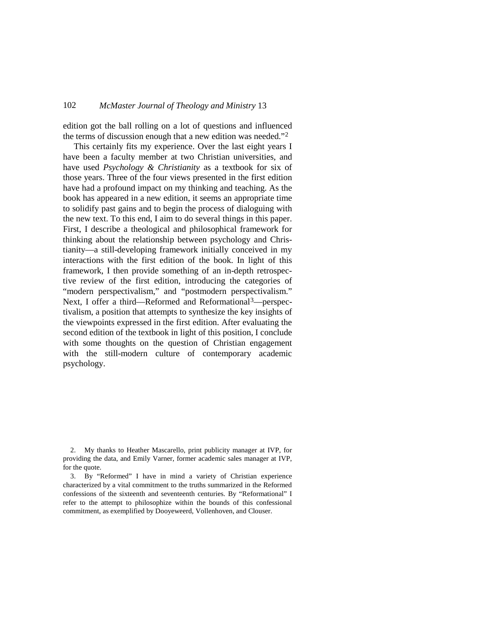edition got the ball rolling on a lot of questions and influenced the terms of discussion enough that a new edition was needed."[2](#page-1-0)

This certainly fits my experience. Over the last eight years I have been a faculty member at two Christian universities, and have used *Psychology & Christianity* as a textbook for six of those years. Three of the four views presented in the first edition have had a profound impact on my thinking and teaching. As the book has appeared in a new edition, it seems an appropriate time to solidify past gains and to begin the process of dialoguing with the new text. To this end, I aim to do several things in this paper. First, I describe a theological and philosophical framework for thinking about the relationship between psychology and Christianity—a still-developing framework initially conceived in my interactions with the first edition of the book. In light of this framework, I then provide something of an in-depth retrospective review of the first edition, introducing the categories of "modern perspectivalism," and "postmodern perspectivalism." Next, I offer a third—Reformed and Reformational<sup>[3](#page-1-1)</sup>—perspectivalism, a position that attempts to synthesize the key insights of the viewpoints expressed in the first edition. After evaluating the second edition of the textbook in light of this position, I conclude with some thoughts on the question of Christian engagement with the still-modern culture of contemporary academic psychology.

<span id="page-1-0"></span><sup>2.</sup> My thanks to Heather Mascarello, print publicity manager at IVP, for providing the data, and Emily Varner, former academic sales manager at IVP, for the quote.

<span id="page-1-1"></span><sup>3.</sup> By "Reformed" I have in mind a variety of Christian experience characterized by a vital commitment to the truths summarized in the Reformed confessions of the sixteenth and seventeenth centuries. By "Reformational" I refer to the attempt to philosophize within the bounds of this confessional commitment, as exemplified by Dooyeweerd, Vollenhoven, and Clouser.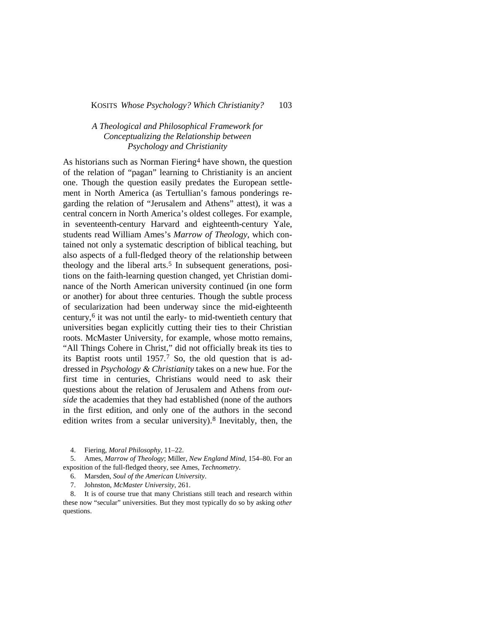KOSITS *Whose Psychology? Which Christianity?* 103

## *A Theological and Philosophical Framework for Conceptualizing the Relationship between Psychology and Christianity*

As historians such as Norman Fiering<sup>[4](#page-2-0)</sup> have shown, the question of the relation of "pagan" learning to Christianity is an ancient one. Though the question easily predates the European settlement in North America (as Tertullian's famous ponderings regarding the relation of "Jerusalem and Athens" attest), it was a central concern in North America's oldest colleges. For example, in seventeenth-century Harvard and eighteenth-century Yale, students read William Ames's *Marrow of Theology*, which contained not only a systematic description of biblical teaching, but also aspects of a full-fledged theory of the relationship between theology and the liberal arts.<sup>[5](#page-2-1)</sup> In subsequent generations, positions on the faith-learning question changed, yet Christian dominance of the North American university continued (in one form or another) for about three centuries. Though the subtle process of secularization had been underway since the mid-eighteenth century, $6$  it was not until the early- to mid-twentieth century that universities began explicitly cutting their ties to their Christian roots. McMaster University, for example, whose motto remains, "All Things Cohere in Christ," did not officially break its ties to its Baptist roots until  $1957<sup>7</sup>$  $1957<sup>7</sup>$  $1957<sup>7</sup>$  So, the old question that is addressed in *Psychology & Christianity* takes on a new hue. For the first time in centuries, Christians would need to ask their questions about the relation of Jerusalem and Athens from *outside* the academies that they had established (none of the authors in the first edition, and only one of the authors in the second edition writes from a secular university).<sup>[8](#page-2-4)</sup> Inevitably, then, the

4. Fiering, *Moral Philosophy*, 11–22.

<span id="page-2-2"></span><span id="page-2-1"></span><span id="page-2-0"></span>5. Ames, *Marrow of Theology*; Miller, *New England Mind*, 154–80. For an exposition of the full-fledged theory, see Ames, *Technometry*.

- 6. Marsden, *Soul of the American University*.
- 7. Johnston, *McMaster University*, 261.

<span id="page-2-4"></span><span id="page-2-3"></span>8. It is of course true that many Christians still teach and research within these now "secular" universities. But they most typically do so by asking *other* questions.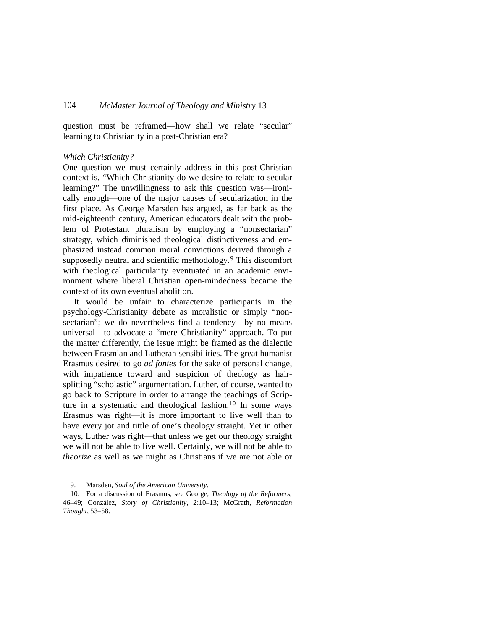question must be reframed—how shall we relate "secular" learning to Christianity in a post-Christian era?

#### *Which Christianity?*

One question we must certainly address in this post-Christian context is, "Which Christianity do we desire to relate to secular learning?" The unwillingness to ask this question was—ironically enough—one of the major causes of secularization in the first place. As George Marsden has argued, as far back as the mid-eighteenth century, American educators dealt with the problem of Protestant pluralism by employing a "nonsectarian" strategy, which diminished theological distinctiveness and emphasized instead common moral convictions derived through a supposedly neutral and scientific methodology.<sup>[9](#page-3-0)</sup> This discomfort with theological particularity eventuated in an academic environment where liberal Christian open-mindedness became the context of its own eventual abolition.

It would be unfair to characterize participants in the psychology-Christianity debate as moralistic or simply "nonsectarian"; we do nevertheless find a tendency—by no means universal—to advocate a "mere Christianity" approach. To put the matter differently, the issue might be framed as the dialectic between Erasmian and Lutheran sensibilities. The great humanist Erasmus desired to go *ad fontes* for the sake of personal change, with impatience toward and suspicion of theology as hairsplitting "scholastic" argumentation. Luther, of course, wanted to go back to Scripture in order to arrange the teachings of Scripture in a systematic and theological fashion. [10](#page-3-1) In some ways Erasmus was right—it is more important to live well than to have every jot and tittle of one's theology straight. Yet in other ways, Luther was right—that unless we get our theology straight we will not be able to live well. Certainly, we will not be able to *theorize* as well as we might as Christians if we are not able or

<sup>9.</sup> Marsden, *Soul of the American University*.

<span id="page-3-1"></span><span id="page-3-0"></span><sup>10.</sup> For a discussion of Erasmus, see George, *Theology of the Reformers*, 46–49; González, *Story of Christianity*, 2:10–13; McGrath, *Reformation Thought*, 53–58.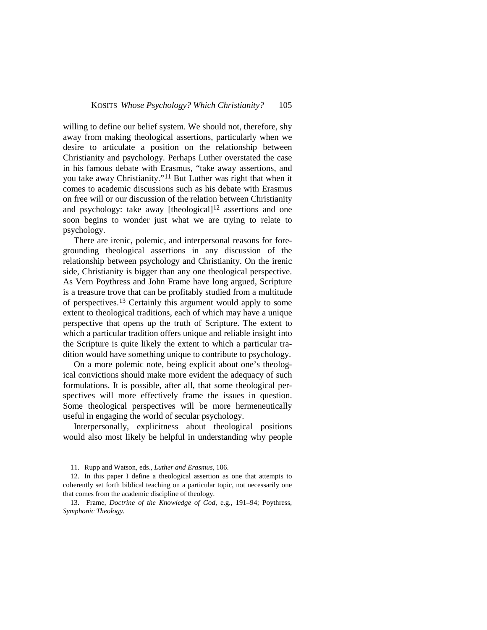willing to define our belief system. We should not, therefore, shy away from making theological assertions, particularly when we desire to articulate a position on the relationship between Christianity and psychology. Perhaps Luther overstated the case in his famous debate with Erasmus, "take away assertions, and you take away Christianity."[11](#page-4-0) But Luther was right that when it comes to academic discussions such as his debate with Erasmus on free will or our discussion of the relation between Christianity and psychology: take away [theological]<sup>[12](#page-4-1)</sup> assertions and one soon begins to wonder just what we are trying to relate to psychology.

There are irenic, polemic, and interpersonal reasons for foregrounding theological assertions in any discussion of the relationship between psychology and Christianity. On the irenic side, Christianity is bigger than any one theological perspective. As Vern Poythress and John Frame have long argued, Scripture is a treasure trove that can be profitably studied from a multitude of perspectives. [13](#page-4-2) Certainly this argument would apply to some extent to theological traditions, each of which may have a unique perspective that opens up the truth of Scripture. The extent to which a particular tradition offers unique and reliable insight into the Scripture is quite likely the extent to which a particular tradition would have something unique to contribute to psychology.

On a more polemic note, being explicit about one's theological convictions should make more evident the adequacy of such formulations. It is possible, after all, that some theological perspectives will more effectively frame the issues in question. Some theological perspectives will be more hermeneutically useful in engaging the world of secular psychology.

Interpersonally, explicitness about theological positions would also most likely be helpful in understanding why people

<span id="page-4-2"></span>13. Frame, *Doctrine of the Knowledge of God*, e.g., 191–94; Poythress, *Symphonic Theology*.

<sup>11.</sup> Rupp and Watson, eds., *Luther and Erasmus*, 106.

<span id="page-4-1"></span><span id="page-4-0"></span><sup>12.</sup> In this paper I define a theological assertion as one that attempts to coherently set forth biblical teaching on a particular topic, not necessarily one that comes from the academic discipline of theology.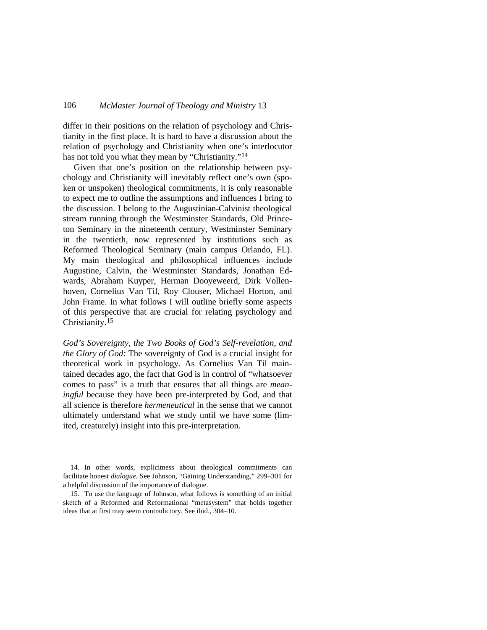differ in their positions on the relation of psychology and Christianity in the first place. It is hard to have a discussion about the relation of psychology and Christianity when one's interlocutor has not told you what they mean by "Christianity."<sup>[14](#page-5-0)</sup>

Given that one's position on the relationship between psychology and Christianity will inevitably reflect one's own (spoken or unspoken) theological commitments, it is only reasonable to expect me to outline the assumptions and influences I bring to the discussion. I belong to the Augustinian-Calvinist theological stream running through the Westminster Standards, Old Princeton Seminary in the nineteenth century, Westminster Seminary in the twentieth, now represented by institutions such as Reformed Theological Seminary (main campus Orlando, FL). My main theological and philosophical influences include Augustine, Calvin, the Westminster Standards, Jonathan Edwards, Abraham Kuyper, Herman Dooyeweerd, Dirk Vollenhoven, Cornelius Van Til, Roy Clouser, Michael Horton, and John Frame. In what follows I will outline briefly some aspects of this perspective that are crucial for relating psychology and Christianity.[15](#page-5-1)

*God's Sovereignty, the Two Books of God's Self-revelation, and the Glory of God:* The sovereignty of God is a crucial insight for theoretical work in psychology. As Cornelius Van Til maintained decades ago, the fact that God is in control of "whatsoever comes to pass" is a truth that ensures that all things are *meaningful* because they have been pre-interpreted by God, and that all science is therefore *hermeneutical* in the sense that we cannot ultimately understand what we study until we have some (limited, creaturely) insight into this pre-interpretation.

<span id="page-5-0"></span>14. In other words, explicitness about theological commitments can facilitate honest *dialogue*. See Johnson, "Gaining Understanding," 299–301 for a helpful discussion of the importance of dialogue.

<span id="page-5-1"></span>15. To use the language of Johnson, what follows is something of an initial sketch of a Reformed and Reformational "metasystem" that holds together ideas that at first may seem contradictory. See ibid., 304–10.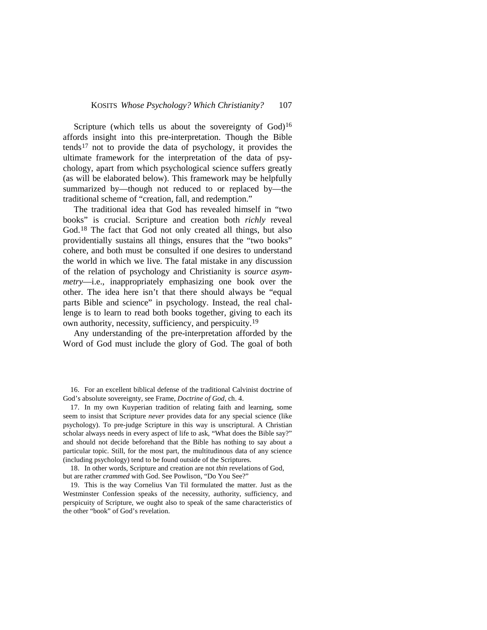Scripture (which tells us about the sovereignty of God)<sup>[16](#page-6-0)</sup> affords insight into this pre-interpretation. Though the Bible tends[17](#page-6-1) not to provide the data of psychology, it provides the ultimate framework for the interpretation of the data of psychology, apart from which psychological science suffers greatly (as will be elaborated below). This framework may be helpfully summarized by—though not reduced to or replaced by—the traditional scheme of "creation, fall, and redemption."

The traditional idea that God has revealed himself in "two books" is crucial. Scripture and creation both *richly* reveal God. [18](#page-6-2) The fact that God not only created all things, but also providentially sustains all things, ensures that the "two books" cohere, and both must be consulted if one desires to understand the world in which we live. The fatal mistake in any discussion of the relation of psychology and Christianity is *source asymmetry*—i.e., inappropriately emphasizing one book over the other. The idea here isn't that there should always be "equal parts Bible and science" in psychology. Instead, the real challenge is to learn to read both books together, giving to each its own authority, necessity, sufficiency, and perspicuity.[19](#page-6-3)

Any understanding of the pre-interpretation afforded by the Word of God must include the glory of God. The goal of both

<span id="page-6-0"></span>16. For an excellent biblical defense of the traditional Calvinist doctrine of God's absolute sovereignty, see Frame, *Doctrine of God*, ch. 4.

<span id="page-6-1"></span>17. In my own Kuyperian tradition of relating faith and learning, some seem to insist that Scripture *never* provides data for any special science (like psychology). To pre-judge Scripture in this way is unscriptural. A Christian scholar always needs in every aspect of life to ask, "What does the Bible say?" and should not decide beforehand that the Bible has nothing to say about a particular topic. Still, for the most part, the multitudinous data of any science (including psychology) tend to be found outside of the Scriptures.

<span id="page-6-2"></span>18. In other words, Scripture and creation are not *thin* revelations of God, but are rather *crammed* with God. See Powlison, "Do You See?"

<span id="page-6-3"></span>19. This is the way Cornelius Van Til formulated the matter. Just as the Westminster Confession speaks of the necessity, authority, sufficiency, and perspicuity of Scripture, we ought also to speak of the same characteristics of the other "book" of God's revelation.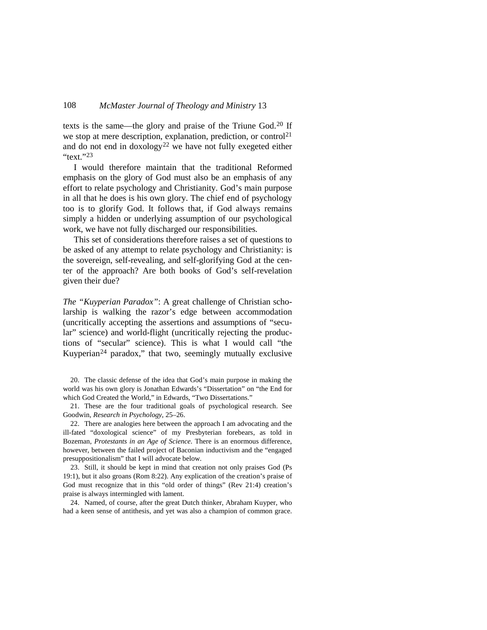texts is the same—the glory and praise of the Triune God.[20](#page-7-0) If we stop at mere description, explanation, prediction, or control<sup>[21](#page-7-1)</sup> and do not end in doxology<sup>[22](#page-7-2)</sup> we have not fully exegeted either "text."[23](#page-7-3)

I would therefore maintain that the traditional Reformed emphasis on the glory of God must also be an emphasis of any effort to relate psychology and Christianity. God's main purpose in all that he does is his own glory. The chief end of psychology too is to glorify God. It follows that, if God always remains simply a hidden or underlying assumption of our psychological work, we have not fully discharged our responsibilities.

This set of considerations therefore raises a set of questions to be asked of any attempt to relate psychology and Christianity: is the sovereign, self-revealing, and self-glorifying God at the center of the approach? Are both books of God's self-revelation given their due?

*The "Kuyperian Paradox"*: A great challenge of Christian scholarship is walking the razor's edge between accommodation (uncritically accepting the assertions and assumptions of "secular" science) and world-flight (uncritically rejecting the productions of "secular" science). This is what I would call "the Kuyperian[24](#page-7-4) paradox," that two, seemingly mutually exclusive

<span id="page-7-0"></span>20. The classic defense of the idea that God's main purpose in making the world was his own glory is Jonathan Edwards's "Dissertation" on "the End for which God Created the World," in Edwards, "Two Dissertations."

<span id="page-7-1"></span>21. These are the four traditional goals of psychological research. See Goodwin, *Research in Psychology*, 25–26.

<span id="page-7-2"></span>22. There are analogies here between the approach I am advocating and the ill-fated "doxological science" of my Presbyterian forebears, as told in Bozeman, *Protestants in an Age of Science*. There is an enormous difference, however, between the failed project of Baconian inductivism and the "engaged presuppositionalism" that I will advocate below.

<span id="page-7-3"></span>23. Still, it should be kept in mind that creation not only praises God (Ps 19:1), but it also groans (Rom 8:22). Any explication of the creation's praise of God must recognize that in this "old order of things" (Rev 21:4) creation's praise is always intermingled with lament.

<span id="page-7-4"></span>24. Named, of course, after the great Dutch thinker, Abraham Kuyper, who had a keen sense of antithesis, and yet was also a champion of common grace.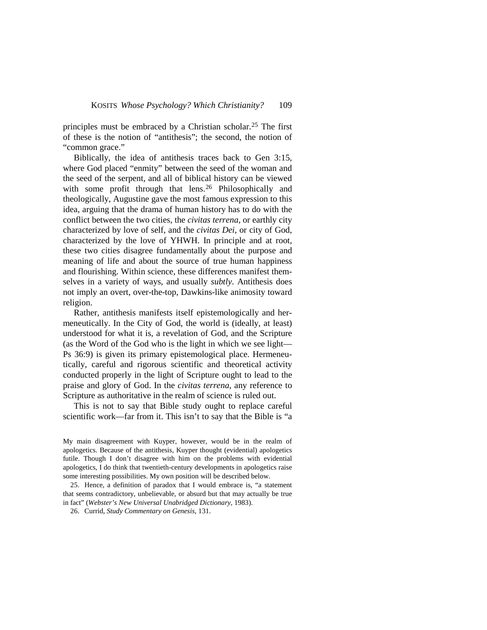principles must be embraced by a Christian scholar[.25](#page-8-0) The first of these is the notion of "antithesis"; the second, the notion of "common grace."

Biblically, the idea of antithesis traces back to Gen 3:15, where God placed "enmity" between the seed of the woman and the seed of the serpent, and all of biblical history can be viewed with some profit through that lens. [26](#page-8-1) Philosophically and theologically, Augustine gave the most famous expression to this idea, arguing that the drama of human history has to do with the conflict between the two cities, the *civitas terrena,* or earthly city characterized by love of self, and the *civitas Dei*, or city of God, characterized by the love of YHWH. In principle and at root, these two cities disagree fundamentally about the purpose and meaning of life and about the source of true human happiness and flourishing. Within science, these differences manifest themselves in a variety of ways, and usually *subtly*. Antithesis does not imply an overt, over-the-top, Dawkins-like animosity toward religion.

Rather, antithesis manifests itself epistemologically and hermeneutically. In the City of God, the world is (ideally, at least) understood for what it is, a revelation of God, and the Scripture (as the Word of the God who is the light in which we see light— Ps 36:9) is given its primary epistemological place. Hermeneutically, careful and rigorous scientific and theoretical activity conducted properly in the light of Scripture ought to lead to the praise and glory of God. In the *civitas terrena*, any reference to Scripture as authoritative in the realm of science is ruled out.

This is not to say that Bible study ought to replace careful scientific work—far from it. This isn't to say that the Bible is "a

My main disagreement with Kuyper, however, would be in the realm of apologetics. Because of the antithesis, Kuyper thought (evidential) apologetics futile. Though I don't disagree with him on the problems with evidential apologetics, I do think that twentieth-century developments in apologetics raise some interesting possibilities. My own position will be described below.

<span id="page-8-1"></span><span id="page-8-0"></span>25. Hence, a definition of paradox that I would embrace is, "a statement that seems contradictory, unbelievable, or absurd but that may actually be true in fact" (*Webster's New Universal Unabridged Dictionary*, 1983).

<sup>26.</sup> Currid, *Study Commentary on Genesis*, 131.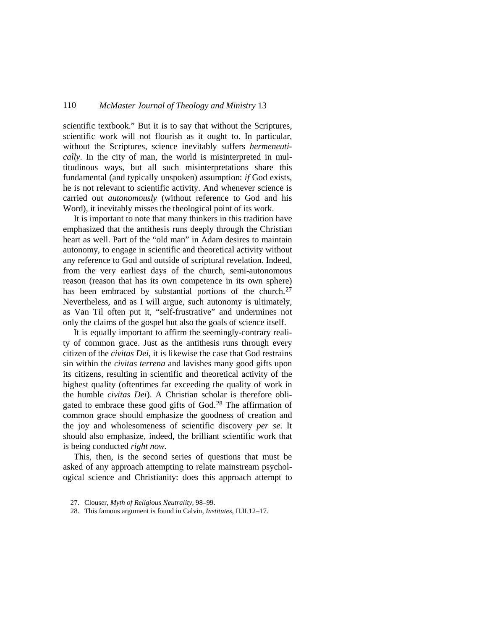scientific textbook." But it is to say that without the Scriptures, scientific work will not flourish as it ought to. In particular, without the Scriptures, science inevitably suffers *hermeneutically*. In the city of man, the world is misinterpreted in multitudinous ways, but all such misinterpretations share this fundamental (and typically unspoken) assumption: *if* God exists, he is not relevant to scientific activity. And whenever science is carried out *autonomously* (without reference to God and his Word), it inevitably misses the theological point of its work.

It is important to note that many thinkers in this tradition have emphasized that the antithesis runs deeply through the Christian heart as well. Part of the "old man" in Adam desires to maintain autonomy, to engage in scientific and theoretical activity without any reference to God and outside of scriptural revelation. Indeed, from the very earliest days of the church, semi-autonomous reason (reason that has its own competence in its own sphere) has been embraced by substantial portions of the church.<sup>[27](#page-9-0)</sup> Nevertheless, and as I will argue, such autonomy is ultimately, as Van Til often put it, "self-frustrative" and undermines not only the claims of the gospel but also the goals of science itself.

It is equally important to affirm the seemingly-contrary reality of common grace. Just as the antithesis runs through every citizen of the *civitas Dei*, it is likewise the case that God restrains sin within the *civitas terrena* and lavishes many good gifts upon its citizens, resulting in scientific and theoretical activity of the highest quality (oftentimes far exceeding the quality of work in the humble *civitas Dei*). A Christian scholar is therefore obligated to embrace these good gifts of God. [28](#page-9-1) The affirmation of common grace should emphasize the goodness of creation and the joy and wholesomeness of scientific discovery *per se*. It should also emphasize, indeed, the brilliant scientific work that is being conducted *right now.*

This, then, is the second series of questions that must be asked of any approach attempting to relate mainstream psychological science and Christianity: does this approach attempt to

<span id="page-9-0"></span><sup>27.</sup> Clouser, *Myth of Religious Neutrality*, 98–99.

<span id="page-9-1"></span><sup>28.</sup> This famous argument is found in Calvin, *Institutes*, II.II.12–17.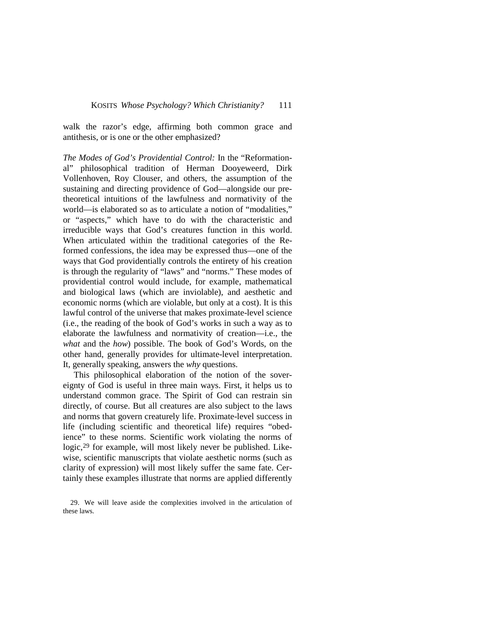walk the razor's edge, affirming both common grace and antithesis, or is one or the other emphasized?

*The Modes of God's Providential Control:* In the "Reformational" philosophical tradition of Herman Dooyeweerd, Dirk Vollenhoven, Roy Clouser, and others, the assumption of the sustaining and directing providence of God—alongside our pretheoretical intuitions of the lawfulness and normativity of the world—is elaborated so as to articulate a notion of "modalities," or "aspects," which have to do with the characteristic and irreducible ways that God's creatures function in this world. When articulated within the traditional categories of the Reformed confessions, the idea may be expressed thus—one of the ways that God providentially controls the entirety of his creation is through the regularity of "laws" and "norms." These modes of providential control would include, for example, mathematical and biological laws (which are inviolable), and aesthetic and economic norms (which are violable, but only at a cost). It is this lawful control of the universe that makes proximate-level science (i.e., the reading of the book of God's works in such a way as to elaborate the lawfulness and normativity of creation—i.e., the *what* and the *how*) possible. The book of God's Words, on the other hand, generally provides for ultimate-level interpretation. It, generally speaking, answers the *why* questions.

This philosophical elaboration of the notion of the sovereignty of God is useful in three main ways. First, it helps us to understand common grace. The Spirit of God can restrain sin directly, of course. But all creatures are also subject to the laws and norms that govern creaturely life. Proximate-level success in life (including scientific and theoretical life) requires "obedience" to these norms. Scientific work violating the norms of logic,<sup>29</sup> for example, will most likely never be published. Likewise, scientific manuscripts that violate aesthetic norms (such as clarity of expression) will most likely suffer the same fate. Certainly these examples illustrate that norms are applied differently

<span id="page-10-0"></span><sup>29.</sup> We will leave aside the complexities involved in the articulation of these laws.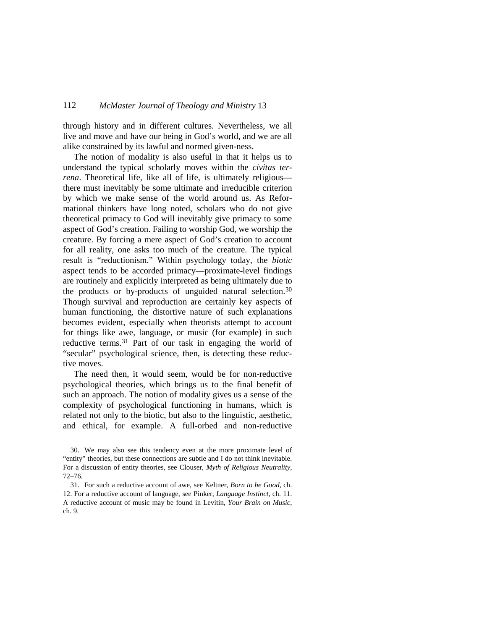through history and in different cultures. Nevertheless, we all live and move and have our being in God's world, and we are all alike constrained by its lawful and normed given-ness.

The notion of modality is also useful in that it helps us to understand the typical scholarly moves within the *civitas terrena*. Theoretical life, like all of life, is ultimately religious there must inevitably be some ultimate and irreducible criterion by which we make sense of the world around us. As Reformational thinkers have long noted, scholars who do not give theoretical primacy to God will inevitably give primacy to some aspect of God's creation. Failing to worship God, we worship the creature. By forcing a mere aspect of God's creation to account for all reality, one asks too much of the creature. The typical result is "reductionism." Within psychology today, the *biotic* aspect tends to be accorded primacy—proximate-level findings are routinely and explicitly interpreted as being ultimately due to the products or by-products of unguided natural selection.<sup>[30](#page-11-0)</sup> Though survival and reproduction are certainly key aspects of human functioning, the distortive nature of such explanations becomes evident, especially when theorists attempt to account for things like awe, language, or music (for example) in such reductive terms.<sup>[31](#page-11-1)</sup> Part of our task in engaging the world of "secular" psychological science, then, is detecting these reductive moves.

The need then, it would seem, would be for non-reductive psychological theories, which brings us to the final benefit of such an approach. The notion of modality gives us a sense of the complexity of psychological functioning in humans, which is related not only to the biotic, but also to the linguistic, aesthetic, and ethical, for example. A full-orbed and non-reductive

<span id="page-11-0"></span><sup>30.</sup> We may also see this tendency even at the more proximate level of "entity" theories, but these connections are subtle and I do not think inevitable. For a discussion of entity theories, see Clouser, *Myth of Religious Neutrality*, 72–76.

<span id="page-11-1"></span><sup>31.</sup> For such a reductive account of awe, see Keltner, *Born to be Good*, ch. 12. For a reductive account of language, see Pinker, *Language Instinct*, ch. 11. A reductive account of music may be found in Levitin, *Your Brain on Music*, ch. 9.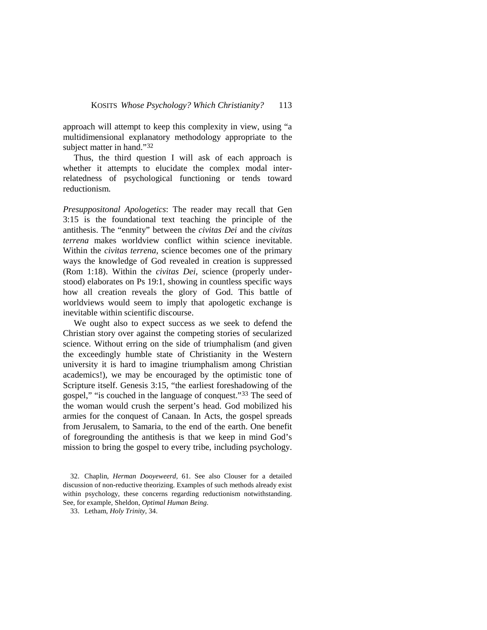approach will attempt to keep this complexity in view, using "a multidimensional explanatory methodology appropriate to the subject matter in hand."[32](#page-12-0)

Thus, the third question I will ask of each approach is whether it attempts to elucidate the complex modal interrelatedness of psychological functioning or tends toward reductionism.

*Presuppositonal Apologetics*: The reader may recall that Gen 3:15 is the foundational text teaching the principle of the antithesis. The "enmity" between the *civitas Dei* and the *civitas terrena* makes worldview conflict within science inevitable. Within the *civitas terrena*, science becomes one of the primary ways the knowledge of God revealed in creation is suppressed (Rom 1:18). Within the *civitas Dei,* science (properly understood) elaborates on Ps 19:1, showing in countless specific ways how all creation reveals the glory of God. This battle of worldviews would seem to imply that apologetic exchange is inevitable within scientific discourse.

We ought also to expect success as we seek to defend the Christian story over against the competing stories of secularized science. Without erring on the side of triumphalism (and given the exceedingly humble state of Christianity in the Western university it is hard to imagine triumphalism among Christian academics!), we may be encouraged by the optimistic tone of Scripture itself. Genesis 3:15, "the earliest foreshadowing of the gospel," "is couched in the language of conquest."<sup>[33](#page-12-1)</sup> The seed of the woman would crush the serpent's head. God mobilized his armies for the conquest of Canaan. In Acts, the gospel spreads from Jerusalem, to Samaria, to the end of the earth. One benefit of foregrounding the antithesis is that we keep in mind God's mission to bring the gospel to every tribe, including psychology.

<span id="page-12-0"></span>32. Chaplin, *Herman Dooyeweerd*, 61. See also Clouser for a detailed discussion of non-reductive theorizing. Examples of such methods already exist within psychology, these concerns regarding reductionism notwithstanding. See, for example, Sheldon, *Optimal Human Being*.

<span id="page-12-1"></span><sup>33.</sup> Letham, *Holy Trinity*, 34.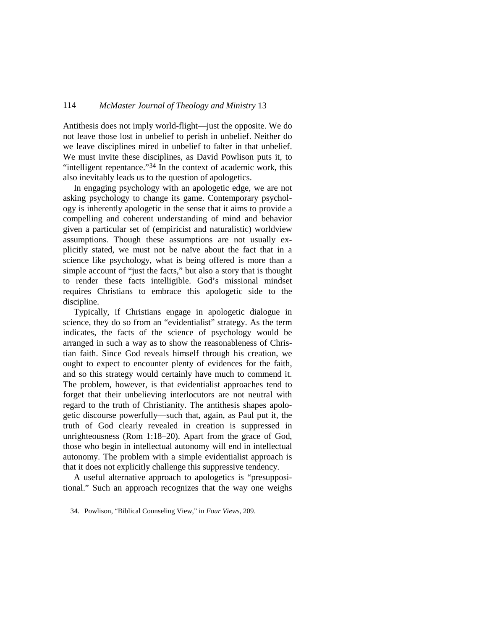Antithesis does not imply world-flight—just the opposite. We do not leave those lost in unbelief to perish in unbelief. Neither do we leave disciplines mired in unbelief to falter in that unbelief. We must invite these disciplines, as David Powlison puts it, to "intelligent repentance."<sup>[34](#page-13-0)</sup> In the context of academic work, this also inevitably leads us to the question of apologetics.

In engaging psychology with an apologetic edge, we are not asking psychology to change its game. Contemporary psychology is inherently apologetic in the sense that it aims to provide a compelling and coherent understanding of mind and behavior given a particular set of (empiricist and naturalistic) worldview assumptions. Though these assumptions are not usually explicitly stated, we must not be naïve about the fact that in a science like psychology, what is being offered is more than a simple account of "just the facts," but also a story that is thought to render these facts intelligible. God's missional mindset requires Christians to embrace this apologetic side to the discipline.

Typically, if Christians engage in apologetic dialogue in science, they do so from an "evidentialist" strategy. As the term indicates, the facts of the science of psychology would be arranged in such a way as to show the reasonableness of Christian faith. Since God reveals himself through his creation, we ought to expect to encounter plenty of evidences for the faith, and so this strategy would certainly have much to commend it. The problem, however, is that evidentialist approaches tend to forget that their unbelieving interlocutors are not neutral with regard to the truth of Christianity. The antithesis shapes apologetic discourse powerfully—such that, again, as Paul put it, the truth of God clearly revealed in creation is suppressed in unrighteousness (Rom 1:18–20). Apart from the grace of God, those who begin in intellectual autonomy will end in intellectual autonomy. The problem with a simple evidentialist approach is that it does not explicitly challenge this suppressive tendency.

A useful alternative approach to apologetics is "presuppositional." Such an approach recognizes that the way one weighs

<span id="page-13-0"></span><sup>34.</sup> Powlison, "Biblical Counseling View," in *Four Views*, 209.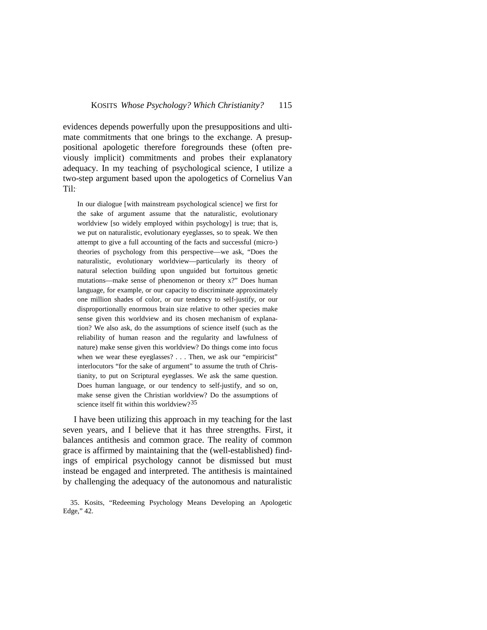evidences depends powerfully upon the presuppositions and ultimate commitments that one brings to the exchange. A presuppositional apologetic therefore foregrounds these (often previously implicit) commitments and probes their explanatory adequacy. In my teaching of psychological science, I utilize a two-step argument based upon the apologetics of Cornelius Van Til:

In our dialogue [with mainstream psychological science] we first for the sake of argument assume that the naturalistic, evolutionary worldview [so widely employed within psychology] is true; that is, we put on naturalistic, evolutionary eyeglasses, so to speak. We then attempt to give a full accounting of the facts and successful (micro-) theories of psychology from this perspective—we ask, "Does the naturalistic, evolutionary worldview—particularly its theory of natural selection building upon unguided but fortuitous genetic mutations—make sense of phenomenon or theory x?" Does human language, for example, or our capacity to discriminate approximately one million shades of color, or our tendency to self-justify, or our disproportionally enormous brain size relative to other species make sense given this worldview and its chosen mechanism of explanation? We also ask, do the assumptions of science itself (such as the reliability of human reason and the regularity and lawfulness of nature) make sense given this worldview? Do things come into focus when we wear these eyeglasses? . . . Then, we ask our "empiricist" interlocutors "for the sake of argument" to assume the truth of Christianity, to put on Scriptural eyeglasses. We ask the same question. Does human language, or our tendency to self-justify, and so on, make sense given the Christian worldview? Do the assumptions of science itself fit within this worldview?<sup>[35](#page-14-0)</sup>

I have been utilizing this approach in my teaching for the last seven years, and I believe that it has three strengths. First, it balances antithesis and common grace. The reality of common grace is affirmed by maintaining that the (well-established) findings of empirical psychology cannot be dismissed but must instead be engaged and interpreted. The antithesis is maintained by challenging the adequacy of the autonomous and naturalistic

<span id="page-14-0"></span>35. Kosits, "Redeeming Psychology Means Developing an Apologetic Edge," 42.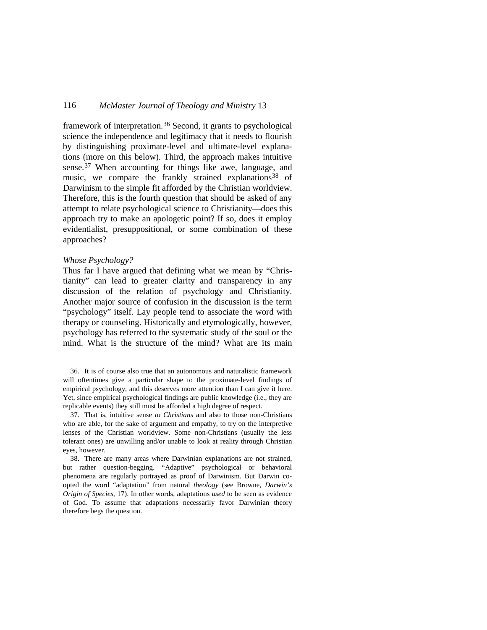framework of interpretation.[36](#page-15-0) Second, it grants to psychological science the independence and legitimacy that it needs to flourish by distinguishing proximate-level and ultimate-level explanations (more on this below). Third, the approach makes intuitive sense.[37](#page-15-1) When accounting for things like awe, language, and music, we compare the frankly strained explanations<sup>[38](#page-15-2)</sup> of Darwinism to the simple fit afforded by the Christian worldview. Therefore, this is the fourth question that should be asked of any attempt to relate psychological science to Christianity—does this approach try to make an apologetic point? If so, does it employ evidentialist, presuppositional, or some combination of these approaches?

#### *Whose Psychology?*

Thus far I have argued that defining what we mean by "Christianity" can lead to greater clarity and transparency in any discussion of the relation of psychology and Christianity. Another major source of confusion in the discussion is the term "psychology" itself. Lay people tend to associate the word with therapy or counseling. Historically and etymologically, however, psychology has referred to the systematic study of the soul or the mind. What is the structure of the mind? What are its main

<span id="page-15-0"></span>36. It is of course also true that an autonomous and naturalistic framework will oftentimes give a particular shape to the proximate-level findings of empirical psychology, and this deserves more attention than I can give it here. Yet, since empirical psychological findings are public knowledge (i.e., they are replicable events) they still must be afforded a high degree of respect.

<span id="page-15-1"></span>37. That is, intuitive sense *to Christians* and also to those non-Christians who are able, for the sake of argument and empathy, to try on the interpretive lenses of the Christian worldview. Some non-Christians (usually the less tolerant ones) are unwilling and/or unable to look at reality through Christian eyes, however.

<span id="page-15-2"></span>38. There are many areas where Darwinian explanations are not strained, but rather question-begging. "Adaptive" psychological or behavioral phenomena are regularly portrayed as proof of Darwinism. But Darwin coopted the word "adaptation" from natural *theology* (see Browne, *Darwin's Origin of Species*, 17). In other words, adaptations *used* to be seen as evidence of God. To assume that adaptations necessarily favor Darwinian theory therefore begs the question.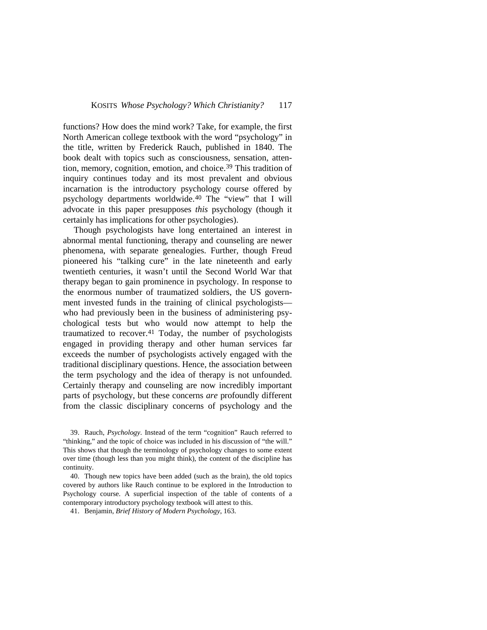functions? How does the mind work? Take, for example, the first North American college textbook with the word "psychology" in the title, written by Frederick Rauch, published in 1840. The book dealt with topics such as consciousness, sensation, attention, memory, cognition, emotion, and choice.[39](#page-16-0) This tradition of inquiry continues today and its most prevalent and obvious incarnation is the introductory psychology course offered by psychology departments worldwide.<sup>[40](#page-16-1)</sup> The "view" that I will advocate in this paper presupposes *this* psychology (though it certainly has implications for other psychologies).

Though psychologists have long entertained an interest in abnormal mental functioning, therapy and counseling are newer phenomena, with separate genealogies. Further, though Freud pioneered his "talking cure" in the late nineteenth and early twentieth centuries, it wasn't until the Second World War that therapy began to gain prominence in psychology. In response to the enormous number of traumatized soldiers, the US government invested funds in the training of clinical psychologists who had previously been in the business of administering psychological tests but who would now attempt to help the traumatized to recover. [41](#page-16-2) Today, the number of psychologists engaged in providing therapy and other human services far exceeds the number of psychologists actively engaged with the traditional disciplinary questions. Hence, the association between the term psychology and the idea of therapy is not unfounded. Certainly therapy and counseling are now incredibly important parts of psychology, but these concerns *are* profoundly different from the classic disciplinary concerns of psychology and the

<span id="page-16-0"></span>39. Rauch, *Psychology*. Instead of the term "cognition" Rauch referred to "thinking," and the topic of choice was included in his discussion of "the will." This shows that though the terminology of psychology changes to some extent over time (though less than you might think), the content of the discipline has continuity.

<span id="page-16-1"></span>40. Though new topics have been added (such as the brain), the old topics covered by authors like Rauch continue to be explored in the Introduction to Psychology course. A superficial inspection of the table of contents of a contemporary introductory psychology textbook will attest to this.

<span id="page-16-2"></span>41. Benjamin, *Brief History of Modern Psychology*, 163.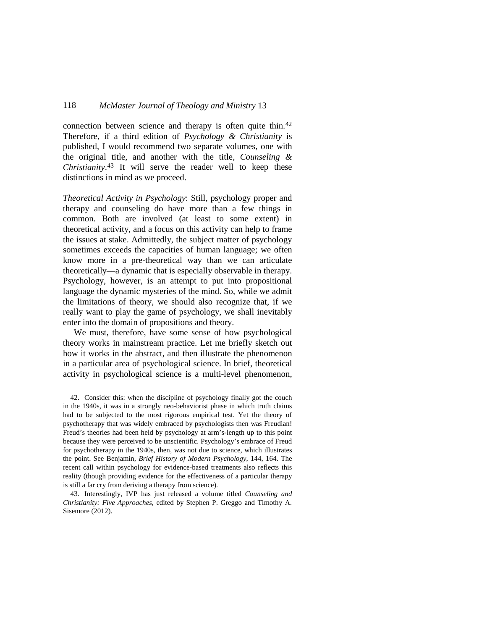connection between science and therapy is often quite thin.[42](#page-17-0) Therefore, if a third edition of *Psychology & Christianity* is published, I would recommend two separate volumes, one with the original title, and another with the title, *Counseling & Christianity*.[43](#page-17-1) It will serve the reader well to keep these distinctions in mind as we proceed.

*Theoretical Activity in Psychology*: Still, psychology proper and therapy and counseling do have more than a few things in common. Both are involved (at least to some extent) in theoretical activity, and a focus on this activity can help to frame the issues at stake. Admittedly, the subject matter of psychology sometimes exceeds the capacities of human language; we often know more in a pre-theoretical way than we can articulate theoretically—a dynamic that is especially observable in therapy. Psychology, however, is an attempt to put into propositional language the dynamic mysteries of the mind. So, while we admit the limitations of theory, we should also recognize that, if we really want to play the game of psychology, we shall inevitably enter into the domain of propositions and theory.

We must, therefore, have some sense of how psychological theory works in mainstream practice. Let me briefly sketch out how it works in the abstract, and then illustrate the phenomenon in a particular area of psychological science. In brief, theoretical activity in psychological science is a multi-level phenomenon,

<span id="page-17-0"></span>42. Consider this: when the discipline of psychology finally got the couch in the 1940s, it was in a strongly neo-behaviorist phase in which truth claims had to be subjected to the most rigorous empirical test. Yet the theory of psychotherapy that was widely embraced by psychologists then was Freudian! Freud's theories had been held by psychology at arm's-length up to this point because they were perceived to be unscientific. Psychology's embrace of Freud for psychotherapy in the 1940s, then, was not due to science, which illustrates the point. See Benjamin, *Brief History of Modern Psychology*, 144, 164. The recent call within psychology for evidence-based treatments also reflects this reality (though providing evidence for the effectiveness of a particular therapy is still a far cry from deriving a therapy from science).

<span id="page-17-1"></span>43. Interestingly, IVP has just released a volume titled *Counseling and Christianity: Five Approaches*, edited by Stephen P. Greggo and Timothy A. Sisemore (2012).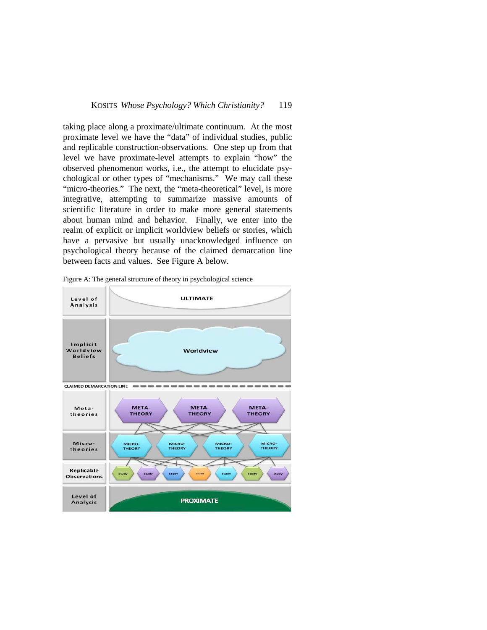taking place along a proximate/ultimate continuum. At the most proximate level we have the "data" of individual studies, public and replicable construction-observations. One step up from that level we have proximate-level attempts to explain "how" the observed phenomenon works, i.e., the attempt to elucidate psychological or other types of "mechanisms." We may call these "micro-theories." The next, the "meta-theoretical" level, is more integrative, attempting to summarize massive amounts of scientific literature in order to make more general statements about human mind and behavior. Finally, we enter into the realm of explicit or implicit worldview beliefs or stories, which have a pervasive but usually unacknowledged influence on psychological theory because of the claimed demarcation line between facts and values. See Figure A below.



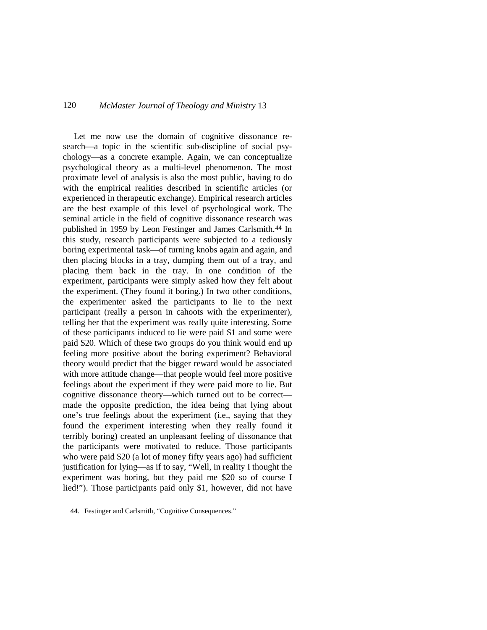Let me now use the domain of cognitive dissonance research—a topic in the scientific sub-discipline of social psychology—as a concrete example. Again, we can conceptualize psychological theory as a multi-level phenomenon. The most proximate level of analysis is also the most public, having to do with the empirical realities described in scientific articles (or experienced in therapeutic exchange). Empirical research articles are the best example of this level of psychological work. The seminal article in the field of cognitive dissonance research was published in 1959 by Leon Festinger and James Carlsmith.<sup>[44](#page-19-0)</sup> In this study, research participants were subjected to a tediously boring experimental task—of turning knobs again and again, and then placing blocks in a tray, dumping them out of a tray, and placing them back in the tray. In one condition of the experiment, participants were simply asked how they felt about the experiment. (They found it boring.) In two other conditions, the experimenter asked the participants to lie to the next participant (really a person in cahoots with the experimenter), telling her that the experiment was really quite interesting. Some of these participants induced to lie were paid \$1 and some were paid \$20. Which of these two groups do you think would end up feeling more positive about the boring experiment? Behavioral theory would predict that the bigger reward would be associated with more attitude change—that people would feel more positive feelings about the experiment if they were paid more to lie. But cognitive dissonance theory—which turned out to be correct made the opposite prediction, the idea being that lying about one's true feelings about the experiment (i.e., saying that they found the experiment interesting when they really found it terribly boring) created an unpleasant feeling of dissonance that the participants were motivated to reduce. Those participants who were paid \$20 (a lot of money fifty years ago) had sufficient justification for lying—as if to say, "Well, in reality I thought the experiment was boring, but they paid me \$20 so of course I lied!"). Those participants paid only \$1, however, did not have

<span id="page-19-0"></span><sup>44.</sup> Festinger and Carlsmith, "Cognitive Consequences."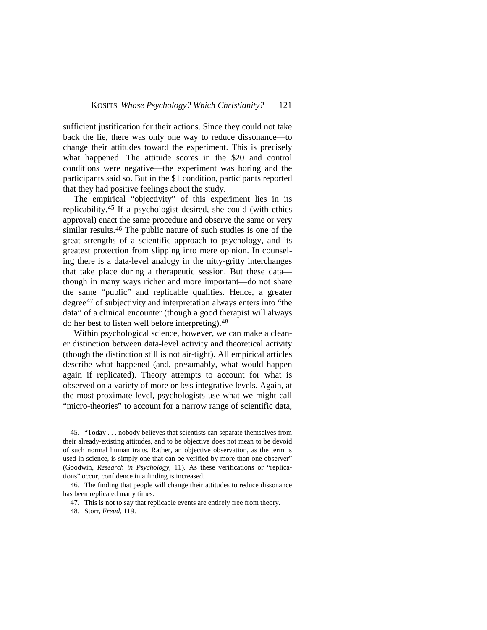sufficient justification for their actions. Since they could not take back the lie, there was only one way to reduce dissonance—to change their attitudes toward the experiment. This is precisely what happened. The attitude scores in the \$20 and control conditions were negative—the experiment was boring and the participants said so. But in the \$1 condition, participants reported that they had positive feelings about the study.

The empirical "objectivity" of this experiment lies in its replicability.[45](#page-20-0) If a psychologist desired, she could (with ethics approval) enact the same procedure and observe the same or very similar results.[46](#page-20-1) The public nature of such studies is one of the great strengths of a scientific approach to psychology, and its greatest protection from slipping into mere opinion. In counseling there is a data-level analogy in the nitty-gritty interchanges that take place during a therapeutic session. But these data though in many ways richer and more important—do not share the same "public" and replicable qualities. Hence, a greater degree[47](#page-20-2) of subjectivity and interpretation always enters into "the data" of a clinical encounter (though a good therapist will always do her best to listen well before interpreting).[48](#page-20-3)

Within psychological science, however, we can make a cleaner distinction between data-level activity and theoretical activity (though the distinction still is not air-tight). All empirical articles describe what happened (and, presumably, what would happen again if replicated). Theory attempts to account for what is observed on a variety of more or less integrative levels. Again, at the most proximate level, psychologists use what we might call "micro-theories" to account for a narrow range of scientific data,

<span id="page-20-0"></span>45. "Today . . . nobody believes that scientists can separate themselves from their already-existing attitudes, and to be objective does not mean to be devoid of such normal human traits. Rather, an objective observation, as the term is used in science, is simply one that can be verified by more than one observer" (Goodwin, *Research in Psychology*, 11). As these verifications or "replications" occur, confidence in a finding is increased.

<span id="page-20-3"></span><span id="page-20-2"></span><span id="page-20-1"></span>46. The finding that people will change their attitudes to reduce dissonance has been replicated many times.

47. This is not to say that replicable events are entirely free from theory.

48. Storr, *Freud*, 119.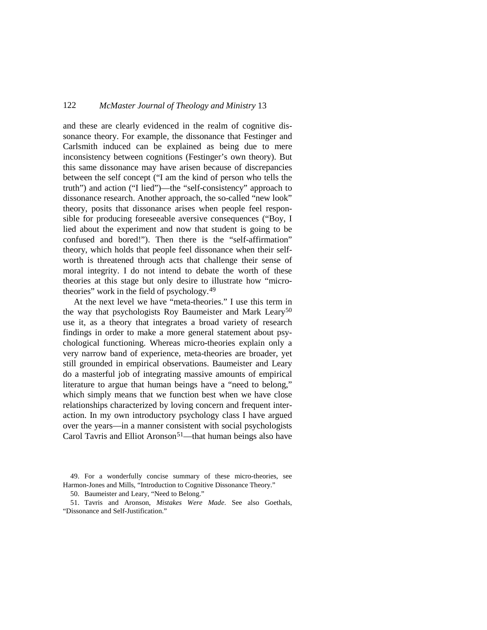and these are clearly evidenced in the realm of cognitive dissonance theory. For example, the dissonance that Festinger and Carlsmith induced can be explained as being due to mere inconsistency between cognitions (Festinger's own theory). But this same dissonance may have arisen because of discrepancies between the self concept ("I am the kind of person who tells the truth") and action ("I lied")—the "self-consistency" approach to dissonance research. Another approach, the so-called "new look" theory, posits that dissonance arises when people feel responsible for producing foreseeable aversive consequences ("Boy, I lied about the experiment and now that student is going to be confused and bored!"). Then there is the "self-affirmation" theory, which holds that people feel dissonance when their selfworth is threatened through acts that challenge their sense of moral integrity. I do not intend to debate the worth of these theories at this stage but only desire to illustrate how "microtheories" work in the field of psychology.[49](#page-21-0)

At the next level we have "meta-theories." I use this term in the way that psychologists Roy Baumeister and Mark Leary<sup>[50](#page-21-1)</sup> use it, as a theory that integrates a broad variety of research findings in order to make a more general statement about psychological functioning. Whereas micro-theories explain only a very narrow band of experience, meta-theories are broader, yet still grounded in empirical observations. Baumeister and Leary do a masterful job of integrating massive amounts of empirical literature to argue that human beings have a "need to belong," which simply means that we function best when we have close relationships characterized by loving concern and frequent interaction. In my own introductory psychology class I have argued over the years—in a manner consistent with social psychologists Carol Tavris and Elliot Aronson<sup>51</sup>—that human beings also have

<span id="page-21-0"></span>49. For a wonderfully concise summary of these micro-theories, see Harmon-Jones and Mills, "Introduction to Cognitive Dissonance Theory."

<span id="page-21-2"></span><span id="page-21-1"></span>51. Tavris and Aronson, *Mistakes Were Made*. See also Goethals, "Dissonance and Self-Justification."

<sup>50.</sup> Baumeister and Leary, "Need to Belong."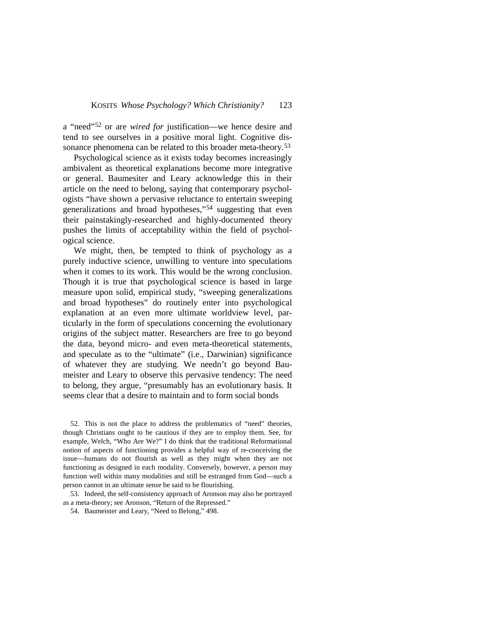a "need"[52](#page-22-0) or are *wired for* justification—we hence desire and tend to see ourselves in a positive moral light. Cognitive dissonance phenomena can be related to this broader meta-theory.[53](#page-22-1)

Psychological science as it exists today becomes increasingly ambivalent as theoretical explanations become more integrative or general. Baumesiter and Leary acknowledge this in their article on the need to belong, saying that contemporary psychologists "have shown a pervasive reluctance to entertain sweeping generalizations and broad hypotheses,"[54](#page-22-2) suggesting that even their painstakingly-researched and highly-documented theory pushes the limits of acceptability within the field of psychological science.

We might, then, be tempted to think of psychology as a purely inductive science, unwilling to venture into speculations when it comes to its work. This would be the wrong conclusion. Though it is true that psychological science is based in large measure upon solid, empirical study, "sweeping generalizations and broad hypotheses" do routinely enter into psychological explanation at an even more ultimate worldview level, particularly in the form of speculations concerning the evolutionary origins of the subject matter. Researchers are free to go beyond the data, beyond micro- and even meta-theoretical statements, and speculate as to the "ultimate" (i.e., Darwinian) significance of whatever they are studying. We needn't go beyond Baumeister and Leary to observe this pervasive tendency: The need to belong, they argue, "presumably has an evolutionary basis. It seems clear that a desire to maintain and to form social bonds

<span id="page-22-0"></span>52. This is not the place to address the problematics of "need" theories, though Christians ought to be cautious if they are to employ them. See, for example, Welch, "Who Are We?" I do think that the traditional Reformational notion of aspects of functioning provides a helpful way of re-conceiving the issue—humans do not flourish as well as they might when they are not functioning as designed in each modality. Conversely, however, a person may function well within many modalities and still be estranged from God—such a person cannot in an ultimate sense be said to be flourishing.

<span id="page-22-2"></span><span id="page-22-1"></span>53. Indeed, the self-consistency approach of Aronson may also be portrayed as a meta-theory; see Aronson, "Return of the Repressed."

54. Baumeister and Leary, "Need to Belong," 498.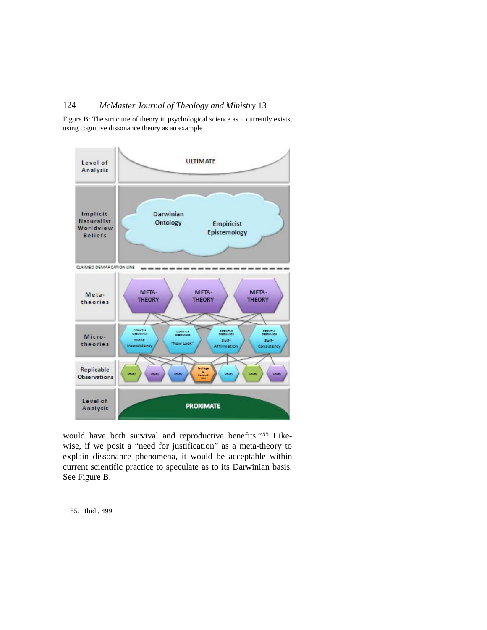Figure B: The structure of theory in psychological science as it currently exists, using cognitive dissonance theory as an example



would have both survival and reproductive benefits."[55](#page-23-0) Likewise, if we posit a "need for justification" as a meta-theory to explain dissonance phenomena, it would be acceptable within current scientific practice to speculate as to its Darwinian basis. See Figure B.

<span id="page-23-0"></span>55. Ibid., 499.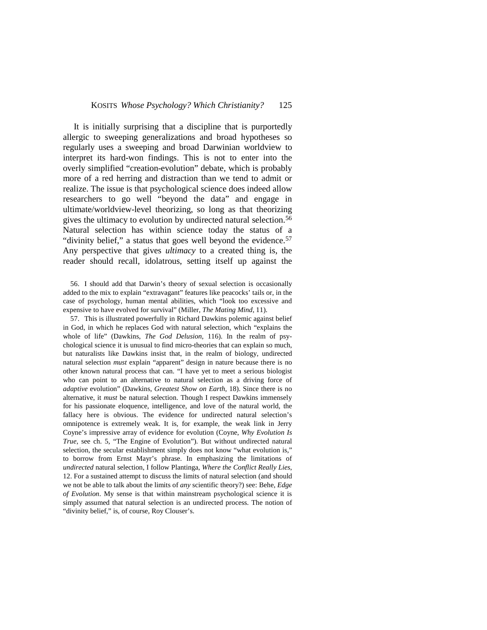It is initially surprising that a discipline that is purportedly allergic to sweeping generalizations and broad hypotheses so regularly uses a sweeping and broad Darwinian worldview to interpret its hard-won findings. This is not to enter into the overly simplified "creation-evolution" debate, which is probably more of a red herring and distraction than we tend to admit or realize. The issue is that psychological science does indeed allow researchers to go well "beyond the data" and engage in ultimate/worldview-level theorizing, so long as that theorizing gives the ultimacy to evolution by undirected natural selection.[56](#page-24-0) Natural selection has within science today the status of a "divinity belief," a status that goes well beyond the evidence.<sup>[57](#page-24-1)</sup> Any perspective that gives *ultimacy* to a created thing is, the reader should recall, idolatrous, setting itself up against the

<span id="page-24-0"></span>56. I should add that Darwin's theory of sexual selection is occasionally added to the mix to explain "extravagant" features like peacocks' tails or, in the case of psychology, human mental abilities, which "look too excessive and expensive to have evolved for survival" (Miller, *The Mating Mind*, 11).

<span id="page-24-1"></span>57. This is illustrated powerfully in Richard Dawkins polemic against belief in God, in which he replaces God with natural selection, which "explains the whole of life" (Dawkins, *The God Delusion*, 116). In the realm of psychological science it is unusual to find micro-theories that can explain so much, but naturalists like Dawkins insist that, in the realm of biology, undirected natural selection *must* explain "apparent" design in nature because there is no other known natural process that can. "I have yet to meet a serious biologist who can point to an alternative to natural selection as a driving force of *adaptive* evolution" (Dawkins, *Greatest Show on Earth*, 18). Since there is no alternative, it *must* be natural selection. Though I respect Dawkins immensely for his passionate eloquence, intelligence, and love of the natural world, the fallacy here is obvious. The evidence for undirected natural selection's omnipotence is extremely weak. It is, for example, the weak link in Jerry Coyne's impressive array of evidence for evolution (Coyne, *Why Evolution Is True*, see ch. 5, "The Engine of Evolution"). But without undirected natural selection, the secular establishment simply does not know "what evolution is," to borrow from Ernst Mayr's phrase. In emphasizing the limitations of *undirected* natural selection, I follow Plantinga, *Where the Conflict Really Lies*, 12. For a sustained attempt to discuss the limits of natural selection (and should we not be able to talk about the limits of *any* scientific theory?) see: Behe, *Edge of Evolution*. My sense is that within mainstream psychological science it is simply assumed that natural selection is an undirected process. The notion of "divinity belief," is, of course, Roy Clouser's.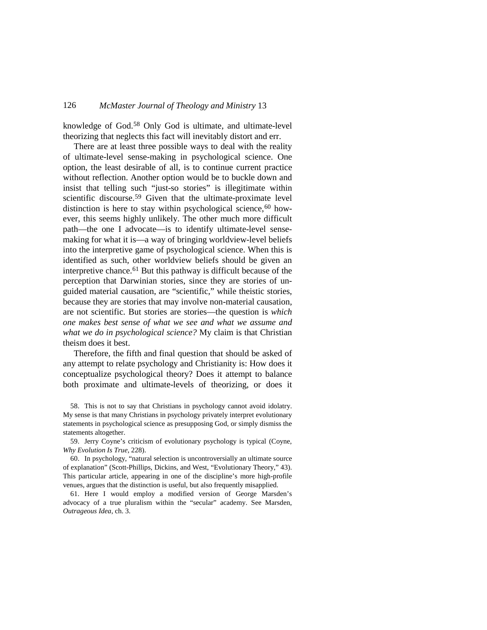knowledge of God.[58](#page-25-0) Only God is ultimate, and ultimate-level theorizing that neglects this fact will inevitably distort and err.

There are at least three possible ways to deal with the reality of ultimate-level sense-making in psychological science. One option, the least desirable of all, is to continue current practice without reflection. Another option would be to buckle down and insist that telling such "just-so stories" is illegitimate within scientific discourse.<sup>[59](#page-25-1)</sup> Given that the ultimate-proximate level distinction is here to stay within psychological science,  $60$  however, this seems highly unlikely. The other much more difficult path—the one I advocate—is to identify ultimate-level sensemaking for what it is—a way of bringing worldview-level beliefs into the interpretive game of psychological science. When this is identified as such, other worldview beliefs should be given an interpretive chance.<sup>[61](#page-25-3)</sup> But this pathway is difficult because of the perception that Darwinian stories, since they are stories of unguided material causation, are "scientific," while theistic stories, because they are stories that may involve non-material causation, are not scientific. But stories are stories—the question is *which one makes best sense of what we see and what we assume and what we do in psychological science?* My claim is that Christian theism does it best.

Therefore, the fifth and final question that should be asked of any attempt to relate psychology and Christianity is: How does it conceptualize psychological theory? Does it attempt to balance both proximate and ultimate-levels of theorizing, or does it

<span id="page-25-0"></span>58. This is not to say that Christians in psychology cannot avoid idolatry. My sense is that many Christians in psychology privately interpret evolutionary statements in psychological science as presupposing God, or simply dismiss the statements altogether.

<span id="page-25-1"></span>59. Jerry Coyne's criticism of evolutionary psychology is typical (Coyne, *Why Evolution Is True*, 228).

<span id="page-25-2"></span>60. In psychology, "natural selection is uncontroversially an ultimate source of explanation" (Scott-Phillips, Dickins, and West, "Evolutionary Theory," 43). This particular article, appearing in one of the discipline's more high-profile venues, argues that the distinction is useful, but also frequently misapplied.

<span id="page-25-3"></span>61. Here I would employ a modified version of George Marsden's advocacy of a true pluralism within the "secular" academy. See Marsden, *Outrageous Idea*, ch. 3.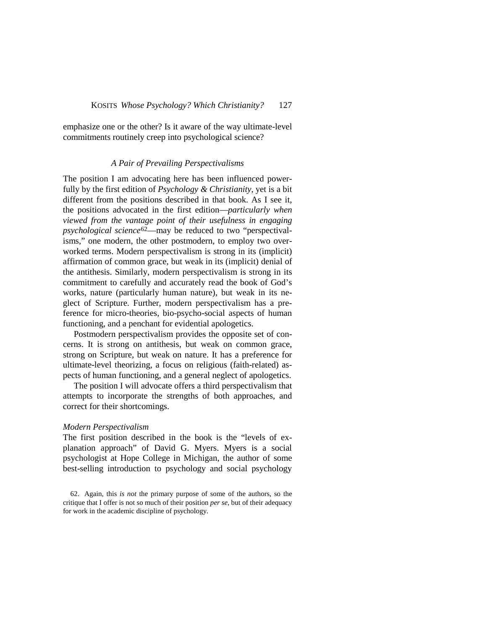emphasize one or the other? Is it aware of the way ultimate-level commitments routinely creep into psychological science?

#### *A Pair of Prevailing Perspectivalisms*

The position I am advocating here has been influenced powerfully by the first edition of *Psychology & Christianity*, yet is a bit different from the positions described in that book. As I see it, the positions advocated in the first edition—*particularly when viewed from the vantage point of their usefulness in engaging psychological science*[62](#page-26-0) —may be reduced to two "perspectivalisms," one modern, the other postmodern, to employ two overworked terms. Modern perspectivalism is strong in its (implicit) affirmation of common grace, but weak in its (implicit) denial of the antithesis. Similarly, modern perspectivalism is strong in its commitment to carefully and accurately read the book of God's works, nature (particularly human nature), but weak in its neglect of Scripture. Further, modern perspectivalism has a preference for micro-theories, bio-psycho-social aspects of human functioning, and a penchant for evidential apologetics.

Postmodern perspectivalism provides the opposite set of concerns. It is strong on antithesis, but weak on common grace, strong on Scripture, but weak on nature. It has a preference for ultimate-level theorizing, a focus on religious (faith-related) aspects of human functioning, and a general neglect of apologetics.

The position I will advocate offers a third perspectivalism that attempts to incorporate the strengths of both approaches, and correct for their shortcomings.

#### *Modern Perspectivalism*

The first position described in the book is the "levels of explanation approach" of David G. Myers. Myers is a social psychologist at Hope College in Michigan, the author of some best-selling introduction to psychology and social psychology

<span id="page-26-0"></span><sup>62.</sup> Again, this *is not* the primary purpose of some of the authors, so the critique that I offer is not so much of their position *per se*, but of their adequacy for work in the academic discipline of psychology.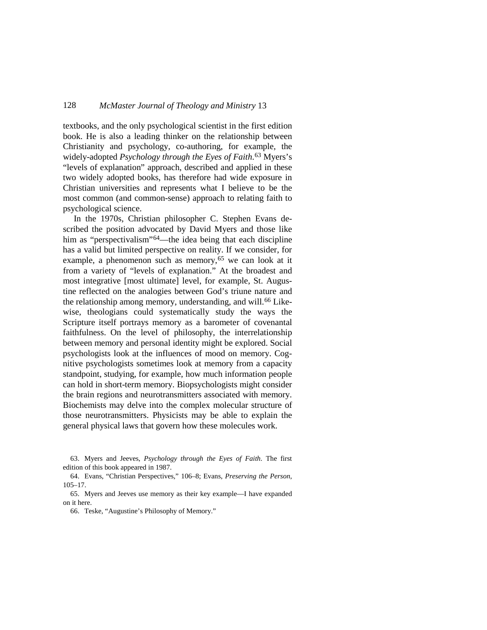textbooks, and the only psychological scientist in the first edition book. He is also a leading thinker on the relationship between Christianity and psychology, co-authoring, for example, the widely-adopted *Psychology through the Eyes of Faith*.[63](#page-27-0) Myers's "levels of explanation" approach, described and applied in these two widely adopted books, has therefore had wide exposure in Christian universities and represents what I believe to be the most common (and common-sense) approach to relating faith to psychological science.

In the 1970s, Christian philosopher C. Stephen Evans described the position advocated by David Myers and those like him as "perspectivalism"<sup>64</sup>—the idea being that each discipline has a valid but limited perspective on reality. If we consider, for example, a phenomenon such as memory, $65$  we can look at it from a variety of "levels of explanation." At the broadest and most integrative [most ultimate] level, for example, St. Augustine reflected on the analogies between God's triune nature and the relationship among memory, understanding, and will.<sup>[66](#page-27-3)</sup> Likewise, theologians could systematically study the ways the Scripture itself portrays memory as a barometer of covenantal faithfulness. On the level of philosophy, the interrelationship between memory and personal identity might be explored. Social psychologists look at the influences of mood on memory. Cognitive psychologists sometimes look at memory from a capacity standpoint, studying, for example, how much information people can hold in short-term memory. Biopsychologists might consider the brain regions and neurotransmitters associated with memory. Biochemists may delve into the complex molecular structure of those neurotransmitters. Physicists may be able to explain the general physical laws that govern how these molecules work.

<span id="page-27-0"></span><sup>63.</sup> Myers and Jeeves, *Psychology through the Eyes of Faith*. The first edition of this book appeared in 1987.

<span id="page-27-1"></span><sup>64.</sup> Evans, "Christian Perspectives," 106–8; Evans, *Preserving the Person*, 105–17.

<span id="page-27-3"></span><span id="page-27-2"></span><sup>65.</sup> Myers and Jeeves use memory as their key example—I have expanded on it here.

<sup>66.</sup> Teske, "Augustine's Philosophy of Memory."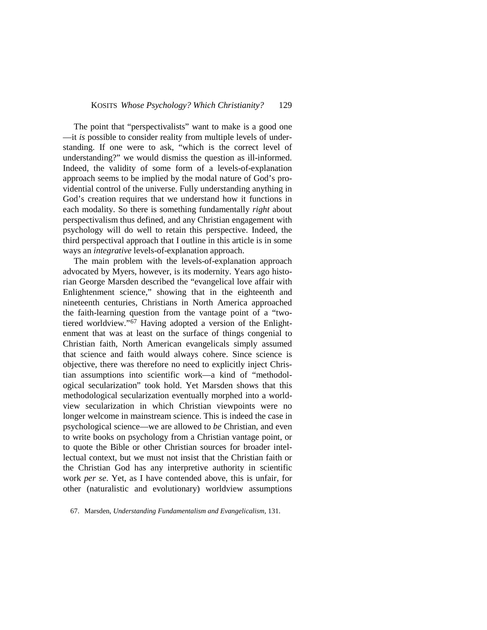The point that "perspectivalists" want to make is a good one —it *is* possible to consider reality from multiple levels of understanding. If one were to ask, "which is the correct level of understanding?" we would dismiss the question as ill-informed. Indeed, the validity of some form of a levels-of-explanation approach seems to be implied by the modal nature of God's providential control of the universe. Fully understanding anything in God's creation requires that we understand how it functions in each modality. So there is something fundamentally *right* about perspectivalism thus defined, and any Christian engagement with psychology will do well to retain this perspective. Indeed, the third perspectival approach that I outline in this article is in some ways an *integrative* levels-of-explanation approach.

The main problem with the levels-of-explanation approach advocated by Myers, however, is its modernity. Years ago historian George Marsden described the "evangelical love affair with Enlightenment science," showing that in the eighteenth and nineteenth centuries, Christians in North America approached the faith-learning question from the vantage point of a "twotiered worldview."[67](#page-28-0) Having adopted a version of the Enlightenment that was at least on the surface of things congenial to Christian faith, North American evangelicals simply assumed that science and faith would always cohere. Since science is objective, there was therefore no need to explicitly inject Christian assumptions into scientific work—a kind of "methodological secularization" took hold. Yet Marsden shows that this methodological secularization eventually morphed into a worldview secularization in which Christian viewpoints were no longer welcome in mainstream science. This is indeed the case in psychological science—we are allowed to *be* Christian, and even to write books on psychology from a Christian vantage point, or to quote the Bible or other Christian sources for broader intellectual context, but we must not insist that the Christian faith or the Christian God has any interpretive authority in scientific work *per se*. Yet, as I have contended above, this is unfair, for other (naturalistic and evolutionary) worldview assumptions

<span id="page-28-0"></span><sup>67.</sup> Marsden, *Understanding Fundamentalism and Evangelicalism*, 131.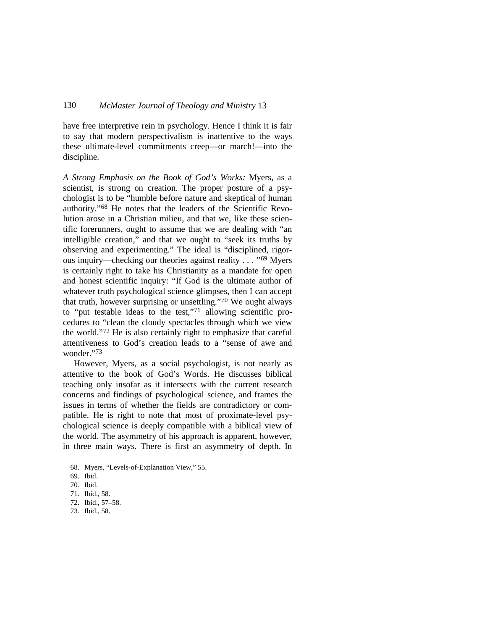have free interpretive rein in psychology. Hence I think it is fair to say that modern perspectivalism is inattentive to the ways these ultimate-level commitments creep—or march!—into the discipline.

*A Strong Emphasis on the Book of God's Works:* Myers, as a scientist, is strong on creation. The proper posture of a psychologist is to be "humble before nature and skeptical of human authority."[68](#page-29-0) He notes that the leaders of the Scientific Revolution arose in a Christian milieu, and that we, like these scientific forerunners, ought to assume that we are dealing with "an intelligible creation," and that we ought to "seek its truths by observing and experimenting." The ideal is "disciplined, rigorous inquiry—checking our theories against reality . . . "[69](#page-29-1) Myers is certainly right to take his Christianity as a mandate for open and honest scientific inquiry: "If God is the ultimate author of whatever truth psychological science glimpses, then I can accept that truth, however surprising or unsettling."[70](#page-29-2) We ought always to "put testable ideas to the test,"[71](#page-29-3) allowing scientific procedures to "clean the cloudy spectacles through which we view the world."[72](#page-29-4) He is also certainly right to emphasize that careful attentiveness to God's creation leads to a "sense of awe and wonder."[73](#page-29-5)

However, Myers, as a social psychologist, is not nearly as attentive to the book of God's Words. He discusses biblical teaching only insofar as it intersects with the current research concerns and findings of psychological science, and frames the issues in terms of whether the fields are contradictory or compatible. He is right to note that most of proximate-level psychological science is deeply compatible with a biblical view of the world. The asymmetry of his approach is apparent, however, in three main ways. There is first an asymmetry of depth. In

<span id="page-29-2"></span>70. Ibid.

<span id="page-29-5"></span>73. Ibid., 58.

<span id="page-29-0"></span><sup>68.</sup> Myers, "Levels-of-Explanation View," 55.

<span id="page-29-1"></span><sup>69.</sup> Ibid.

<span id="page-29-3"></span><sup>71.</sup> Ibid., 58.

<span id="page-29-4"></span><sup>72.</sup> Ibid., 57–58.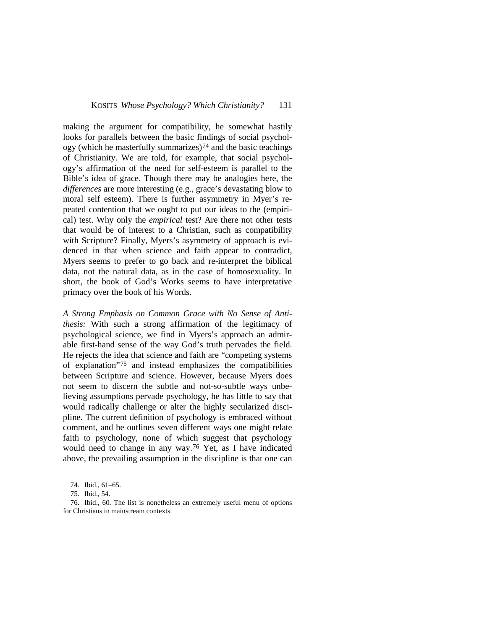making the argument for compatibility, he somewhat hastily looks for parallels between the basic findings of social psychol-ogy (which he masterfully summarizes)<sup>[74](#page-30-0)</sup> and the basic teachings of Christianity. We are told, for example, that social psychology's affirmation of the need for self-esteem is parallel to the Bible's idea of grace. Though there may be analogies here, the *differences* are more interesting (e.g., grace's devastating blow to moral self esteem). There is further asymmetry in Myer's repeated contention that we ought to put our ideas to the (empirical) test. Why only the *empirical* test? Are there not other tests that would be of interest to a Christian, such as compatibility with Scripture? Finally, Myers's asymmetry of approach is evidenced in that when science and faith appear to contradict, Myers seems to prefer to go back and re-interpret the biblical data, not the natural data, as in the case of homosexuality. In short, the book of God's Works seems to have interpretative primacy over the book of his Words.

*A Strong Emphasis on Common Grace with No Sense of Antithesis:* With such a strong affirmation of the legitimacy of psychological science, we find in Myers's approach an admirable first-hand sense of the way God's truth pervades the field. He rejects the idea that science and faith are "competing systems of explanation"[75](#page-30-1) and instead emphasizes the compatibilities between Scripture and science. However, because Myers does not seem to discern the subtle and not-so-subtle ways unbelieving assumptions pervade psychology, he has little to say that would radically challenge or alter the highly secularized discipline. The current definition of psychology is embraced without comment, and he outlines seven different ways one might relate faith to psychology, none of which suggest that psychology would need to change in any way.[76](#page-30-2) Yet, as I have indicated above, the prevailing assumption in the discipline is that one can

<span id="page-30-2"></span><span id="page-30-1"></span><span id="page-30-0"></span>76. Ibid., 60. The list is nonetheless an extremely useful menu of options for Christians in mainstream contexts.

<sup>74.</sup> Ibid., 61–65.

<sup>75.</sup> Ibid., 54.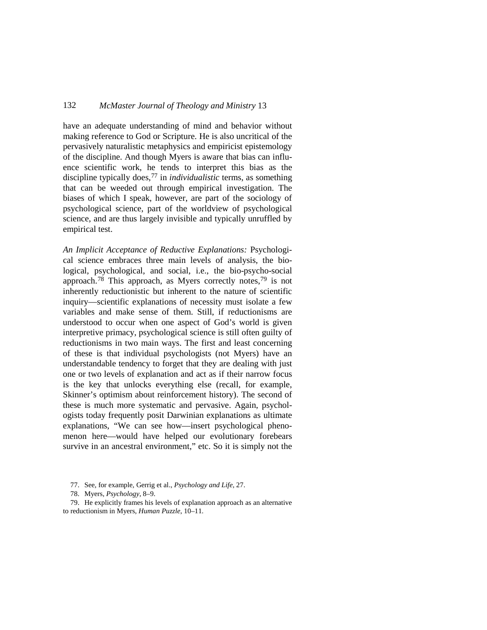have an adequate understanding of mind and behavior without making reference to God or Scripture. He is also uncritical of the pervasively naturalistic metaphysics and empiricist epistemology of the discipline. And though Myers is aware that bias can influence scientific work, he tends to interpret this bias as the discipline typically does,[77](#page-31-0) in *individualistic* terms, as something that can be weeded out through empirical investigation. The biases of which I speak, however, are part of the sociology of psychological science, part of the worldview of psychological science, and are thus largely invisible and typically unruffled by empirical test.

*An Implicit Acceptance of Reductive Explanations:* Psychological science embraces three main levels of analysis, the biological, psychological, and social, i.e., the bio-psycho-social approach.<sup>[78](#page-31-1)</sup> This approach, as Myers correctly notes,<sup>[79](#page-31-2)</sup> is not inherently reductionistic but inherent to the nature of scientific inquiry—scientific explanations of necessity must isolate a few variables and make sense of them. Still, if reductionisms are understood to occur when one aspect of God's world is given interpretive primacy, psychological science is still often guilty of reductionisms in two main ways. The first and least concerning of these is that individual psychologists (not Myers) have an understandable tendency to forget that they are dealing with just one or two levels of explanation and act as if their narrow focus is the key that unlocks everything else (recall, for example, Skinner's optimism about reinforcement history). The second of these is much more systematic and pervasive. Again, psychologists today frequently posit Darwinian explanations as ultimate explanations, "We can see how—insert psychological phenomenon here—would have helped our evolutionary forebears survive in an ancestral environment," etc. So it is simply not the

<sup>77.</sup> See, for example, Gerrig et al., *Psychology and Life*, 27.

<sup>78.</sup> Myers, *Psychology*, 8–9.

<span id="page-31-2"></span><span id="page-31-1"></span><span id="page-31-0"></span><sup>79.</sup> He explicitly frames his levels of explanation approach as an alternative to reductionism in Myers, *Human Puzzle*, 10–11.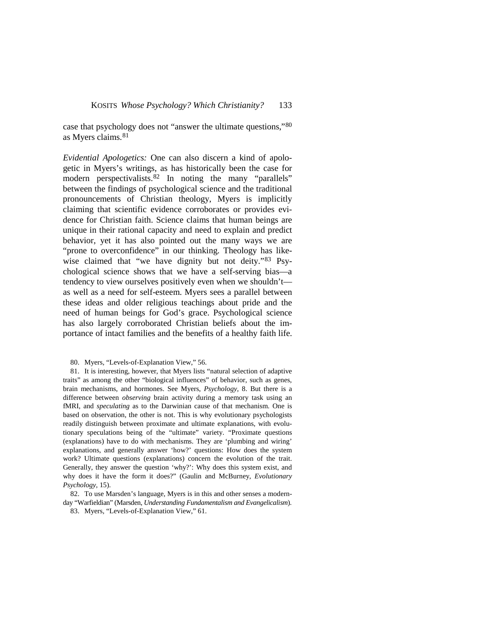case that psychology does not "answer the ultimate questions,"[80](#page-32-0) as Myers claims.[81](#page-32-1)

*Evidential Apologetics:* One can also discern a kind of apologetic in Myers's writings, as has historically been the case for modern perspectivalists.<sup>[82](#page-32-2)</sup> In noting the many "parallels" between the findings of psychological science and the traditional pronouncements of Christian theology, Myers is implicitly claiming that scientific evidence corroborates or provides evidence for Christian faith. Science claims that human beings are unique in their rational capacity and need to explain and predict behavior, yet it has also pointed out the many ways we are "prone to overconfidence" in our thinking. Theology has likewise claimed that "we have dignity but not deity."[83](#page-32-3) Psychological science shows that we have a self-serving bias—a tendency to view ourselves positively even when we shouldn't as well as a need for self-esteem. Myers sees a parallel between these ideas and older religious teachings about pride and the need of human beings for God's grace. Psychological science has also largely corroborated Christian beliefs about the importance of intact families and the benefits of a healthy faith life.

<span id="page-32-1"></span><span id="page-32-0"></span>81. It is interesting, however, that Myers lists "natural selection of adaptive traits" as among the other "biological influences" of behavior, such as genes, brain mechanisms, and hormones. See Myers, *Psychology*, 8. But there is a difference between *observing* brain activity during a memory task using an fMRI, and *speculating* as to the Darwinian cause of that mechanism. One is based on observation, the other is not. This is why evolutionary psychologists readily distinguish between proximate and ultimate explanations, with evolutionary speculations being of the "ultimate" variety. "Proximate questions (explanations) have to do with mechanisms. They are 'plumbing and wiring' explanations, and generally answer 'how?' questions: How does the system work? Ultimate questions (explanations) concern the evolution of the trait. Generally, they answer the question 'why?': Why does this system exist, and why does it have the form it does?" (Gaulin and McBurney, *Evolutionary Psychology*, 15).

<span id="page-32-3"></span><span id="page-32-2"></span>82. To use Marsden's language, Myers is in this and other senses a modernday "Warfieldian" (Marsden, *Understanding Fundamentalism and Evangelicalism*).

83. Myers, "Levels-of-Explanation View," 61.

<sup>80.</sup> Myers, "Levels-of-Explanation View," 56.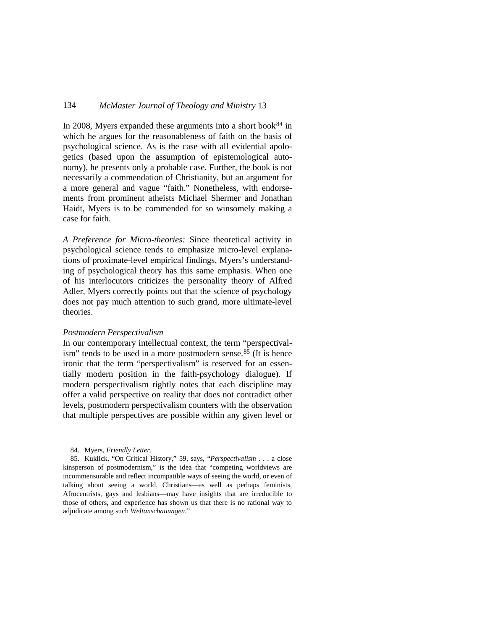In 2008, Myers expanded these arguments into a short book $84$  in which he argues for the reasonableness of faith on the basis of psychological science. As is the case with all evidential apologetics (based upon the assumption of epistemological autonomy), he presents only a probable case. Further, the book is not necessarily a commendation of Christianity, but an argument for a more general and vague "faith." Nonetheless, with endorsements from prominent atheists Michael Shermer and Jonathan Haidt, Myers is to be commended for so winsomely making a case for faith.

*A Preference for Micro-theories:* Since theoretical activity in psychological science tends to emphasize micro-level explanations of proximate-level empirical findings, Myers's understanding of psychological theory has this same emphasis. When one of his interlocutors criticizes the personality theory of Alfred Adler, Myers correctly points out that the science of psychology does not pay much attention to such grand, more ultimate-level theories.

#### *Postmodern Perspectivalism*

In our contemporary intellectual context, the term "perspectival-ism" tends to be used in a more postmodern sense.<sup>[85](#page-33-1)</sup> (It is hence ironic that the term "perspectivalism" is reserved for an essentially modern position in the faith-psychology dialogue). If modern perspectivalism rightly notes that each discipline may offer a valid perspective on reality that does not contradict other levels, postmodern perspectivalism counters with the observation that multiple perspectives are possible within any given level or

<span id="page-33-1"></span><span id="page-33-0"></span>85. Kuklick, "On Critical History," 59, says, "*Perspectivalism* . . . a close kinsperson of postmodernism," is the idea that "competing worldviews are incommensurable and reflect incompatible ways of seeing the world, or even of talking about seeing a world. Christians—as well as perhaps feminists, Afrocentrists, gays and lesbians—may have insights that are irreducible to those of others, and experience has shown us that there is no rational way to adjudicate among such *Weltanschauungen*."

<sup>84.</sup> Myers, *Friendly Letter*.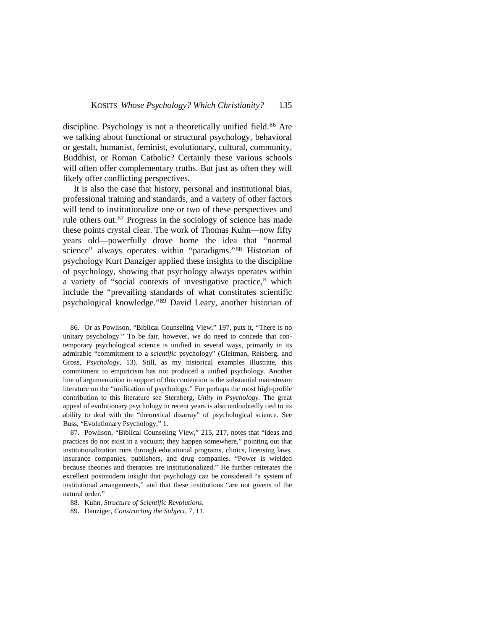discipline. Psychology is not a theoretically unified field.<sup>[86](#page-34-0)</sup> Are we talking about functional or structural psychology, behavioral or gestalt, humanist, feminist, evolutionary, cultural, community, Buddhist, or Roman Catholic? Certainly these various schools will often offer complementary truths. But just as often they will likely offer conflicting perspectives.

It is also the case that history, personal and institutional bias, professional training and standards, and a variety of other factors will tend to institutionalize one or two of these perspectives and rule others out. [87](#page-34-1) Progress in the sociology of science has made these points crystal clear. The work of Thomas Kuhn—now fifty years old—powerfully drove home the idea that "normal science" always operates within "paradigms."[88](#page-34-2) Historian of psychology Kurt Danziger applied these insights to the discipline of psychology, showing that psychology always operates within a variety of "social contexts of investigative practice," which include the "prevailing standards of what constitutes scientific psychological knowledge."[89](#page-34-3) David Leary, another historian of

<span id="page-34-0"></span>86. Or as Powlison, "Biblical Counseling View," 197, puts it, "There is no unitary psychology." To be fair, however, we do need to concede that contemporary psychological science is unified in several ways, primarily in its admirable "commitment to a *scientific* psychology" (Gleitman, Reisberg, and Gross, *Psychology*, 13). Still, as my historical examples illustrate, this commitment to empiricism has not produced a unified psychology. Another line of argumentation in support of this contention is the substantial mainstream literature on the "unification of psychology." For perhaps the most high-profile contribution to this literature see Sternberg, *Unity in Psychology.* The great appeal of evolutionary psychology in recent years is also undoubtedly tied to its ability to deal with the "theoretical disarray" of psychological science. See Buss, "Evolutionary Psychology," 1.

<span id="page-34-1"></span>87. Powlison, "Biblical Counseling View," 215, 217, notes that "ideas and practices do not exist in a vacuum; they happen somewhere," pointing out that institutionalization runs through educational programs, clinics, licensing laws, insurance companies, publishers, and drug companies. "Power is wielded because theories and therapies are institutionalized." He further reiterates the excellent postmodern insight that psychology can be considered "a system of institutional arrangements," and that these institutions "are not givens of the natural order."

- <span id="page-34-2"></span>88. Kuhn, *Structure of Scientific Revolutions*.
- <span id="page-34-3"></span>89. Danziger, *Constructing the Subject*, 7, 11.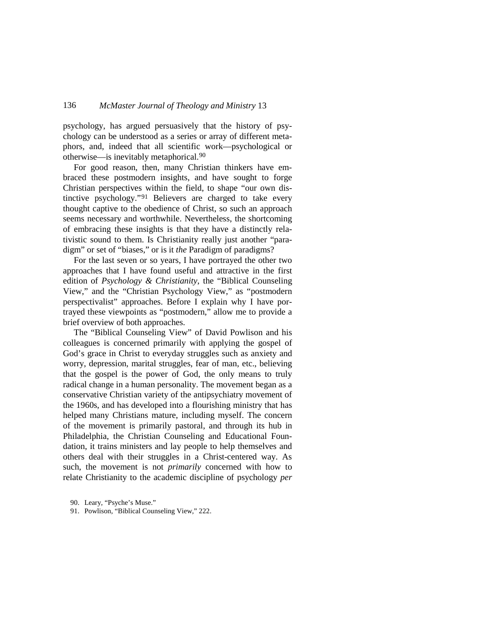psychology, has argued persuasively that the history of psychology can be understood as a series or array of different metaphors, and, indeed that all scientific work—psychological or otherwise—is inevitably metaphorical[.90](#page-35-0)

For good reason, then, many Christian thinkers have embraced these postmodern insights, and have sought to forge Christian perspectives within the field, to shape "our own distinctive psychology."[91](#page-35-1) Believers are charged to take every thought captive to the obedience of Christ, so such an approach seems necessary and worthwhile. Nevertheless, the shortcoming of embracing these insights is that they have a distinctly relativistic sound to them. Is Christianity really just another "paradigm" or set of "biases," or is it *the* Paradigm of paradigms?

For the last seven or so years, I have portrayed the other two approaches that I have found useful and attractive in the first edition of *Psychology & Christianity*, the "Biblical Counseling View," and the "Christian Psychology View," as "postmodern perspectivalist" approaches. Before I explain why I have portrayed these viewpoints as "postmodern," allow me to provide a brief overview of both approaches.

The "Biblical Counseling View" of David Powlison and his colleagues is concerned primarily with applying the gospel of God's grace in Christ to everyday struggles such as anxiety and worry, depression, marital struggles, fear of man, etc., believing that the gospel is the power of God, the only means to truly radical change in a human personality. The movement began as a conservative Christian variety of the antipsychiatry movement of the 1960s, and has developed into a flourishing ministry that has helped many Christians mature, including myself. The concern of the movement is primarily pastoral, and through its hub in Philadelphia, the Christian Counseling and Educational Foundation, it trains ministers and lay people to help themselves and others deal with their struggles in a Christ-centered way. As such, the movement is not *primarily* concerned with how to relate Christianity to the academic discipline of psychology *per* 

<span id="page-35-0"></span><sup>90.</sup> Leary, "Psyche's Muse."

<span id="page-35-1"></span><sup>91.</sup> Powlison, "Biblical Counseling View," 222.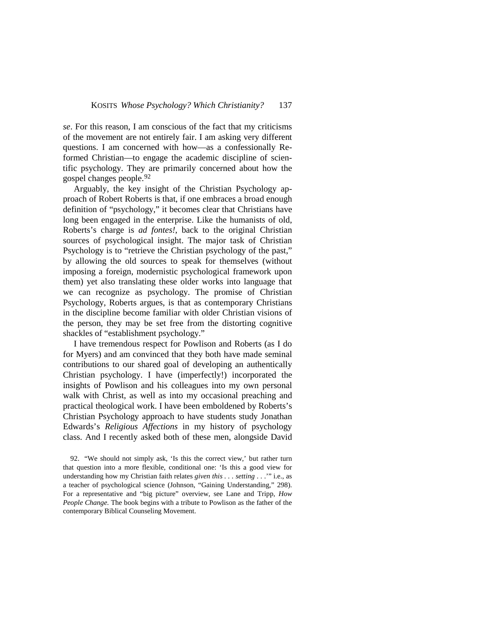*se*. For this reason, I am conscious of the fact that my criticisms of the movement are not entirely fair. I am asking very different questions. I am concerned with how—as a confessionally Reformed Christian—to engage the academic discipline of scientific psychology. They are primarily concerned about how the gospel changes people[.92](#page-36-0)

Arguably, the key insight of the Christian Psychology approach of Robert Roberts is that, if one embraces a broad enough definition of "psychology," it becomes clear that Christians have long been engaged in the enterprise. Like the humanists of old, Roberts's charge is *ad fontes!*, back to the original Christian sources of psychological insight. The major task of Christian Psychology is to "retrieve the Christian psychology of the past," by allowing the old sources to speak for themselves (without imposing a foreign, modernistic psychological framework upon them) yet also translating these older works into language that we can recognize as psychology. The promise of Christian Psychology, Roberts argues, is that as contemporary Christians in the discipline become familiar with older Christian visions of the person, they may be set free from the distorting cognitive shackles of "establishment psychology."

I have tremendous respect for Powlison and Roberts (as I do for Myers) and am convinced that they both have made seminal contributions to our shared goal of developing an authentically Christian psychology. I have (imperfectly!) incorporated the insights of Powlison and his colleagues into my own personal walk with Christ, as well as into my occasional preaching and practical theological work. I have been emboldened by Roberts's Christian Psychology approach to have students study Jonathan Edwards's *Religious Affections* in my history of psychology class. And I recently asked both of these men, alongside David

<span id="page-36-0"></span><sup>92.</sup> "We should not simply ask, 'Is this the correct view,' but rather turn that question into a more flexible, conditional one: 'Is this a good view for understanding how my Christian faith relates *given this . . . setting* . . .'" i.e., as a teacher of psychological science (Johnson, "Gaining Understanding," 298). For a representative and "big picture" overview, see Lane and Tripp, *How People Change*. The book begins with a tribute to Powlison as the father of the contemporary Biblical Counseling Movement.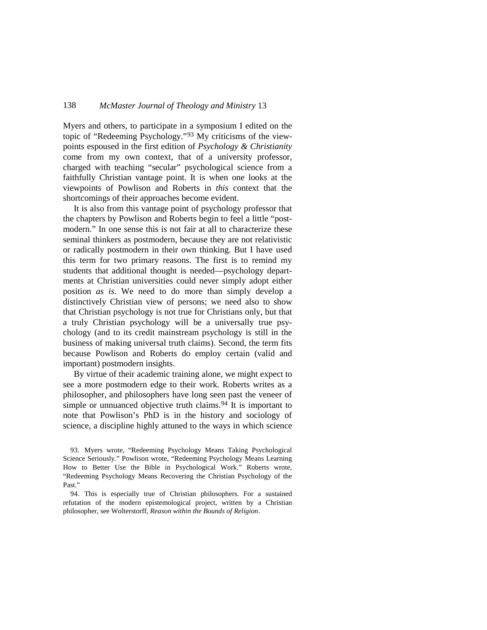Myers and others, to participate in a symposium I edited on the topic of "Redeeming Psychology."<sup>[93](#page-37-0)</sup> My criticisms of the viewpoints espoused in the first edition of *Psychology & Christianity* come from my own context, that of a university professor, charged with teaching "secular" psychological science from a faithfully Christian vantage point. It is when one looks at the viewpoints of Powlison and Roberts in *this* context that the shortcomings of their approaches become evident.

It is also from this vantage point of psychology professor that the chapters by Powlison and Roberts begin to feel a little "postmodern." In one sense this is not fair at all to characterize these seminal thinkers as postmodern, because they are not relativistic or radically postmodern in their own thinking. But I have used this term for two primary reasons. The first is to remind my students that additional thought is needed—psychology departments at Christian universities could never simply adopt either position *as is*. We need to do more than simply develop a distinctively Christian view of persons; we need also to show that Christian psychology is not true for Christians only, but that a truly Christian psychology will be a universally true psychology (and to its credit mainstream psychology is still in the business of making universal truth claims). Second, the term fits because Powlison and Roberts do employ certain (valid and important) postmodern insights.

By virtue of their academic training alone, we might expect to see a more postmodern edge to their work. Roberts writes as a philosopher, and philosophers have long seen past the veneer of simple or unnuanced objective truth claims.<sup>[94](#page-37-1)</sup> It is important to note that Powlison's PhD is in the history and sociology of science, a discipline highly attuned to the ways in which science

<span id="page-37-0"></span><sup>93.</sup> Myers wrote, "Redeeming Psychology Means Taking Psychological Science Seriously." Powlison wrote, "Redeeming Psychology Means Learning How to Better Use the Bible in Psychological Work." Roberts wrote, "Redeeming Psychology Means Recovering the Christian Psychology of the Past."

<span id="page-37-1"></span><sup>94.</sup> This is especially true of Christian philosophers. For a sustained refutation of the modern epistemological project, written by a Christian philosopher, see Wolterstorff, *Reason within the Bounds of Religion*.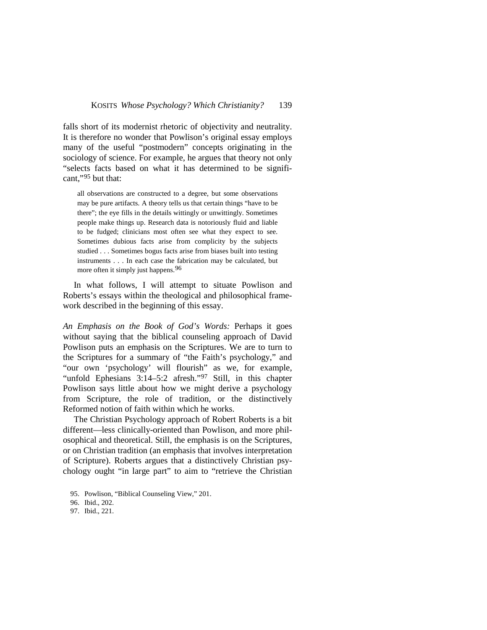falls short of its modernist rhetoric of objectivity and neutrality. It is therefore no wonder that Powlison's original essay employs many of the useful "postmodern" concepts originating in the sociology of science. For example, he argues that theory not only "selects facts based on what it has determined to be significant,"[95](#page-38-0) but that:

all observations are constructed to a degree, but some observations may be pure artifacts. A theory tells us that certain things "have to be there"; the eye fills in the details wittingly or unwittingly. Sometimes people make things up. Research data is notoriously fluid and liable to be fudged; clinicians most often see what they expect to see. Sometimes dubious facts arise from complicity by the subjects studied . . . Sometimes bogus facts arise from biases built into testing instruments . . . In each case the fabrication may be calculated, but more often it simply just happens.<sup>[96](#page-38-1)</sup>

In what follows, I will attempt to situate Powlison and Roberts's essays within the theological and philosophical framework described in the beginning of this essay.

*An Emphasis on the Book of God's Words:* Perhaps it goes without saying that the biblical counseling approach of David Powlison puts an emphasis on the Scriptures. We are to turn to the Scriptures for a summary of "the Faith's psychology," and "our own 'psychology' will flourish" as we, for example, "unfold Ephesians 3:14–5:2 afresh."<sup>[97](#page-38-2)</sup> Still, in this chapter Powlison says little about how we might derive a psychology from Scripture, the role of tradition, or the distinctively Reformed notion of faith within which he works.

The Christian Psychology approach of Robert Roberts is a bit different—less clinically-oriented than Powlison, and more philosophical and theoretical. Still, the emphasis is on the Scriptures, or on Christian tradition (an emphasis that involves interpretation of Scripture). Roberts argues that a distinctively Christian psychology ought "in large part" to aim to "retrieve the Christian

<span id="page-38-0"></span><sup>95.</sup> Powlison, "Biblical Counseling View," 201.

<span id="page-38-1"></span><sup>96.</sup> Ibid., 202.

<span id="page-38-2"></span><sup>97.</sup> Ibid., 221.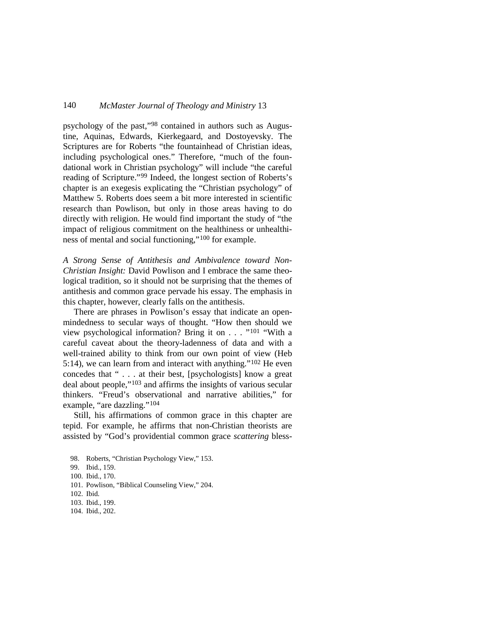psychology of the past,"[98](#page-39-0) contained in authors such as Augustine, Aquinas, Edwards, Kierkegaard, and Dostoyevsky. The Scriptures are for Roberts "the fountainhead of Christian ideas, including psychological ones." Therefore, "much of the foundational work in Christian psychology" will include "the careful reading of Scripture."[99](#page-39-1) Indeed, the longest section of Roberts's chapter is an exegesis explicating the "Christian psychology" of Matthew 5. Roberts does seem a bit more interested in scientific research than Powlison, but only in those areas having to do directly with religion. He would find important the study of "the impact of religious commitment on the healthiness or unhealthiness of mental and social functioning,"[100](#page-39-2) for example.

*A Strong Sense of Antithesis and Ambivalence toward Non-Christian Insight:* David Powlison and I embrace the same theological tradition, so it should not be surprising that the themes of antithesis and common grace pervade his essay. The emphasis in this chapter, however, clearly falls on the antithesis.

There are phrases in Powlison's essay that indicate an openmindedness to secular ways of thought. "How then should we view psychological information? Bring it on . . . "[101](#page-39-3) "With a careful caveat about the theory-ladenness of data and with a well-trained ability to think from our own point of view (Heb 5:14), we can learn from and interact with anything."[102](#page-39-4) He even concedes that " . . . at their best, [psychologists] know a great deal about people,"[103](#page-39-5) and affirms the insights of various secular thinkers. "Freud's observational and narrative abilities," for example, "are dazzling."[104](#page-39-6)

Still, his affirmations of common grace in this chapter are tepid. For example, he affirms that non-Christian theorists are assisted by "God's providential common grace *scattering* bless-

- <span id="page-39-0"></span>98. Roberts, "Christian Psychology View," 153.
- <span id="page-39-2"></span><span id="page-39-1"></span>99. Ibid., 159.
- 100. Ibid., 170.
- 101. Powlison, "Biblical Counseling View," 204.
- <span id="page-39-4"></span><span id="page-39-3"></span>102. Ibid.
- <span id="page-39-5"></span>103. Ibid., 199.
- <span id="page-39-6"></span>104. Ibid., 202.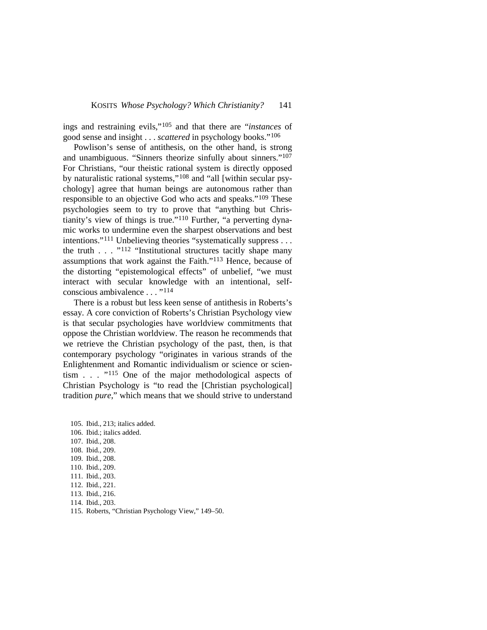ings and restraining evils,"[105](#page-40-0) and that there are "*instances* of good sense and insight . . . *scattered* in psychology books."[106](#page-40-1)

Powlison's sense of antithesis, on the other hand, is strong and unambiguous. "Sinners theorize sinfully about sinners."[107](#page-40-2) For Christians, "our theistic rational system is directly opposed by naturalistic rational systems,"[108](#page-40-3) and "all [within secular psychology] agree that human beings are autonomous rather than responsible to an objective God who acts and speaks."[109](#page-40-4) These psychologies seem to try to prove that "anything but Christianity's view of things is true."[110](#page-40-5) Further, "a perverting dynamic works to undermine even the sharpest observations and best intentions."<sup>[111](#page-40-6)</sup> Unbelieving theories "systematically suppress . . . the truth . . . "[112](#page-40-7) "Institutional structures tacitly shape many assumptions that work against the Faith."[113](#page-40-8) Hence, because of the distorting "epistemological effects" of unbelief, "we must interact with secular knowledge with an intentional, selfconscious ambivalence . . . "[114](#page-40-9)

There is a robust but less keen sense of antithesis in Roberts's essay. A core conviction of Roberts's Christian Psychology view is that secular psychologies have worldview commitments that oppose the Christian worldview. The reason he recommends that we retrieve the Christian psychology of the past, then, is that contemporary psychology "originates in various strands of the Enlightenment and Romantic individualism or science or scientism . . . "[115](#page-40-10) One of the major methodological aspects of Christian Psychology is "to read the [Christian psychological] tradition *pure*," which means that we should strive to understand

- <span id="page-40-1"></span><span id="page-40-0"></span>105. Ibid., 213; italics added.
- 106. Ibid.; italics added.
- <span id="page-40-3"></span><span id="page-40-2"></span>107. Ibid., 208.
- 108. Ibid., 209.
- <span id="page-40-4"></span>109. Ibid., 208.
- <span id="page-40-5"></span>110. Ibid., 209.
- <span id="page-40-6"></span>111. Ibid., 203.
- <span id="page-40-7"></span>112. Ibid., 221.
- <span id="page-40-8"></span>113. Ibid., 216.
- <span id="page-40-9"></span>114. Ibid., 203.
- <span id="page-40-10"></span>115. Roberts, "Christian Psychology View," 149–50.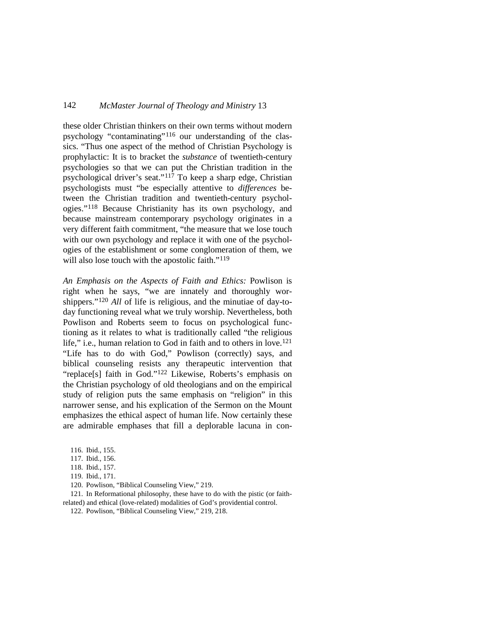these older Christian thinkers on their own terms without modern psychology "contaminating"[116](#page-41-0) our understanding of the classics. "Thus one aspect of the method of Christian Psychology is prophylactic: It is to bracket the *substance* of twentieth-century psychologies so that we can put the Christian tradition in the psychological driver's seat."[117](#page-41-1) To keep a sharp edge, Christian psychologists must "be especially attentive to *differences* between the Christian tradition and twentieth-century psychologies."[118](#page-41-2) Because Christianity has its own psychology, and because mainstream contemporary psychology originates in a very different faith commitment, "the measure that we lose touch with our own psychology and replace it with one of the psychologies of the establishment or some conglomeration of them, we will also lose touch with the apostolic faith."<sup>119</sup>

*An Emphasis on the Aspects of Faith and Ethics:* Powlison is right when he says, "we are innately and thoroughly wor-shippers."<sup>[120](#page-41-4)</sup> *All* of life is religious, and the minutiae of day-today functioning reveal what we truly worship. Nevertheless, both Powlison and Roberts seem to focus on psychological functioning as it relates to what is traditionally called "the religious life," i.e., human relation to God in faith and to others in love.<sup>[121](#page-41-5)</sup> "Life has to do with God," Powlison (correctly) says, and biblical counseling resists any therapeutic intervention that "replace[s] faith in God."[122](#page-41-6) Likewise, Roberts's emphasis on the Christian psychology of old theologians and on the empirical study of religion puts the same emphasis on "religion" in this narrower sense, and his explication of the Sermon on the Mount emphasizes the ethical aspect of human life. Now certainly these are admirable emphases that fill a deplorable lacuna in con-

<span id="page-41-6"></span><span id="page-41-5"></span><span id="page-41-4"></span><span id="page-41-3"></span><span id="page-41-2"></span>121. In Reformational philosophy, these have to do with the pistic (or faithrelated) and ethical (love-related) modalities of God's providential control.

122. Powlison, "Biblical Counseling View," 219, 218.

<span id="page-41-0"></span><sup>116.</sup> Ibid., 155.

<span id="page-41-1"></span><sup>117.</sup> Ibid., 156.

<sup>118.</sup> Ibid., 157.

<sup>119.</sup> Ibid., 171.

<sup>120.</sup> Powlison, "Biblical Counseling View," 219.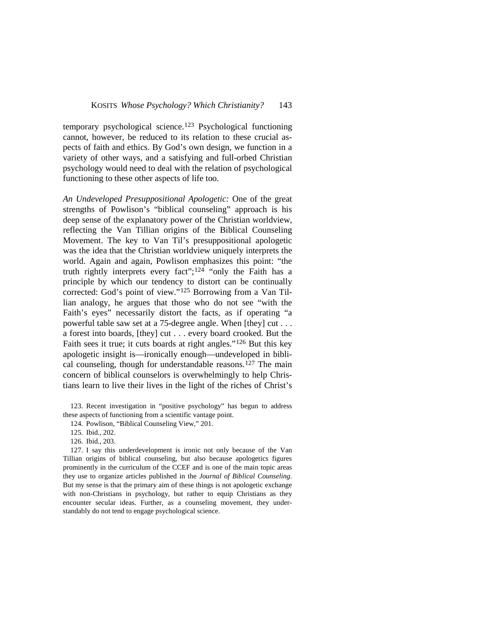temporary psychological science.[123](#page-42-0) Psychological functioning cannot, however, be reduced to its relation to these crucial aspects of faith and ethics. By God's own design, we function in a variety of other ways, and a satisfying and full-orbed Christian psychology would need to deal with the relation of psychological functioning to these other aspects of life too.

*An Undeveloped Presuppositional Apologetic:* One of the great strengths of Powlison's "biblical counseling" approach is his deep sense of the explanatory power of the Christian worldview, reflecting the Van Tillian origins of the Biblical Counseling Movement. The key to Van Til's presuppositional apologetic was the idea that the Christian worldview uniquely interprets the world. Again and again, Powlison emphasizes this point: "the truth rightly interprets every fact";<sup>[124](#page-42-1)</sup> "only the Faith has a principle by which our tendency to distort can be continually corrected: God's point of view."[125](#page-42-2) Borrowing from a Van Tillian analogy, he argues that those who do not see "with the Faith's eyes" necessarily distort the facts, as if operating "a powerful table saw set at a 75-degree angle. When [they] cut . . . a forest into boards, [they] cut . . . every board crooked. But the Faith sees it true; it cuts boards at right angles."[126](#page-42-3) But this key apologetic insight is—ironically enough—undeveloped in bibli-cal counseling, though for understandable reasons.<sup>[127](#page-42-4)</sup> The main concern of biblical counselors is overwhelmingly to help Christians learn to live their lives in the light of the riches of Christ's

<span id="page-42-1"></span><span id="page-42-0"></span><sup>123.</sup> Recent investigation in "positive psychology" has begun to address these aspects of functioning from a scientific vantage point.

<sup>124.</sup> Powlison, "Biblical Counseling View," 201.

<sup>125.</sup> Ibid., 202.

<sup>126.</sup> Ibid., 203.

<span id="page-42-4"></span><span id="page-42-3"></span><span id="page-42-2"></span><sup>127.</sup> I say this underdevelopment is ironic not only because of the Van Tillian origins of biblical counseling, but also because apologetics figures prominently in the curriculum of the CCEF and is one of the main topic areas they use to organize articles published in the *Journal of Biblical Counseling*. But my sense is that the primary aim of these things is not apologetic exchange with non-Christians in psychology, but rather to equip Christians as they encounter secular ideas. Further, as a counseling movement, they understandably do not tend to engage psychological science.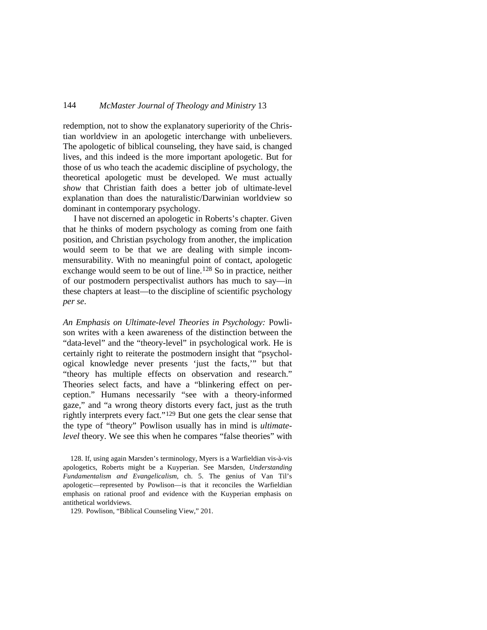redemption, not to show the explanatory superiority of the Christian worldview in an apologetic interchange with unbelievers. The apologetic of biblical counseling, they have said, is changed lives, and this indeed is the more important apologetic. But for those of us who teach the academic discipline of psychology, the theoretical apologetic must be developed. We must actually *show* that Christian faith does a better job of ultimate-level explanation than does the naturalistic/Darwinian worldview so dominant in contemporary psychology.

I have not discerned an apologetic in Roberts's chapter. Given that he thinks of modern psychology as coming from one faith position, and Christian psychology from another, the implication would seem to be that we are dealing with simple incommensurability. With no meaningful point of contact, apologetic exchange would seem to be out of line.[128](#page-43-0) So in practice, neither of our postmodern perspectivalist authors has much to say—in these chapters at least—to the discipline of scientific psychology *per se*.

*An Emphasis on Ultimate-level Theories in Psychology:* Powlison writes with a keen awareness of the distinction between the "data-level" and the "theory-level" in psychological work. He is certainly right to reiterate the postmodern insight that "psychological knowledge never presents 'just the facts,'" but that "theory has multiple effects on observation and research." Theories select facts, and have a "blinkering effect on perception." Humans necessarily "see with a theory-informed gaze," and "a wrong theory distorts every fact, just as the truth rightly interprets every fact."[129](#page-43-1) But one gets the clear sense that the type of "theory" Powlison usually has in mind is *ultimatelevel* theory. We see this when he compares "false theories" with

<span id="page-43-0"></span><sup>128.</sup> If, using again Marsden's terminology, Myers is a Warfieldian vis-à-vis apologetics, Roberts might be a Kuyperian. See Marsden, *Understanding Fundamentalism and Evangelicalism*, ch. 5. The genius of Van Til's apologetic—represented by Powlison—is that it reconciles the Warfieldian emphasis on rational proof and evidence with the Kuyperian emphasis on antithetical worldviews.

<span id="page-43-1"></span><sup>129.</sup> Powlison, "Biblical Counseling View," 201.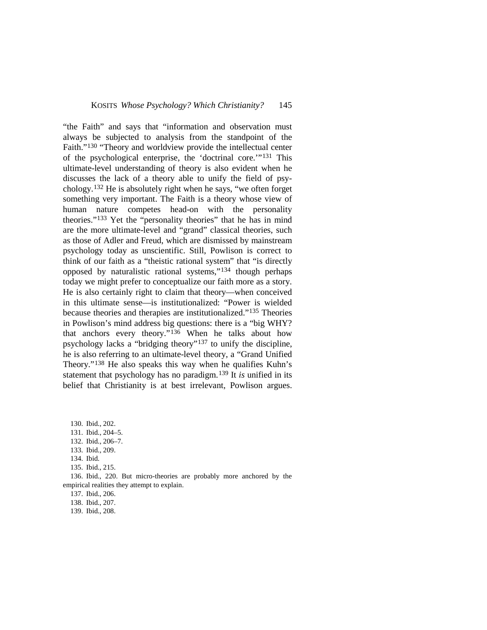"the Faith" and says that "information and observation must always be subjected to analysis from the standpoint of the Faith."<sup>[130](#page-44-0)</sup> "Theory and worldview provide the intellectual center of the psychological enterprise, the 'doctrinal core.'"[131](#page-44-1) This ultimate-level understanding of theory is also evident when he discusses the lack of a theory able to unify the field of psychology.[132](#page-44-2) He is absolutely right when he says, "we often forget something very important. The Faith is a theory whose view of human nature competes head-on with the personality theories."[133](#page-44-3) Yet the "personality theories" that he has in mind are the more ultimate-level and "grand" classical theories, such as those of Adler and Freud, which are dismissed by mainstream psychology today as unscientific. Still, Powlison is correct to think of our faith as a "theistic rational system" that "is directly opposed by naturalistic rational systems,"[134](#page-44-4) though perhaps today we might prefer to conceptualize our faith more as a story. He is also certainly right to claim that theory—when conceived in this ultimate sense—is institutionalized: "Power is wielded because theories and therapies are institutionalized.["135](#page-44-5) Theories in Powlison's mind address big questions: there is a "big WHY? that anchors every theory."[136](#page-44-6) When he talks about how psychology lacks a "bridging theory"[137](#page-44-7) to unify the discipline, he is also referring to an ultimate-level theory, a "Grand Unified Theory."[138](#page-44-8) He also speaks this way when he qualifies Kuhn's statement that psychology has no paradigm.[139](#page-44-9) It *is* unified in its belief that Christianity is at best irrelevant, Powlison argues.

<span id="page-44-4"></span><span id="page-44-3"></span><span id="page-44-2"></span><span id="page-44-1"></span><span id="page-44-0"></span>130. Ibid., 202. 131. Ibid., 204–5. 132. Ibid., 206–7. 133. Ibid., 209. 134. Ibid. 135. Ibid., 215. 136. Ibid., 220. But micro-theories are probably more anchored by the empirical realities they attempt to explain.

<span id="page-44-7"></span><span id="page-44-6"></span><span id="page-44-5"></span>137. Ibid., 206.

138. Ibid., 207.

<span id="page-44-9"></span><span id="page-44-8"></span>139. Ibid., 208.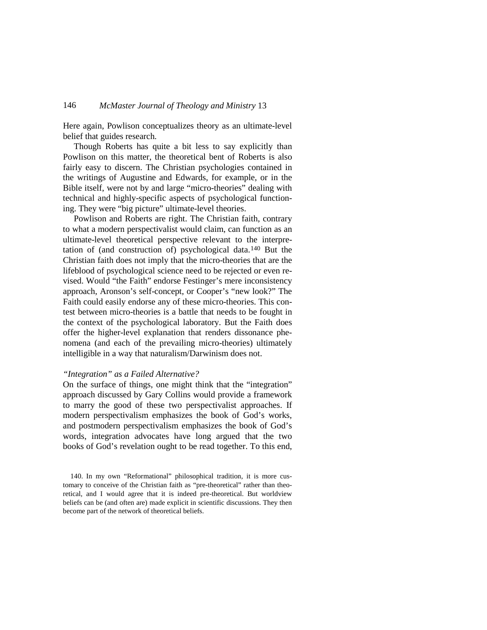Here again, Powlison conceptualizes theory as an ultimate-level belief that guides research.

Though Roberts has quite a bit less to say explicitly than Powlison on this matter, the theoretical bent of Roberts is also fairly easy to discern. The Christian psychologies contained in the writings of Augustine and Edwards, for example, or in the Bible itself, were not by and large "micro-theories" dealing with technical and highly-specific aspects of psychological functioning. They were "big picture" ultimate-level theories.

Powlison and Roberts are right. The Christian faith, contrary to what a modern perspectivalist would claim, can function as an ultimate-level theoretical perspective relevant to the interpretation of (and construction of) psychological data.[140](#page-45-0) But the Christian faith does not imply that the micro-theories that are the lifeblood of psychological science need to be rejected or even revised. Would "the Faith" endorse Festinger's mere inconsistency approach, Aronson's self-concept, or Cooper's "new look?" The Faith could easily endorse any of these micro-theories. This contest between micro-theories is a battle that needs to be fought in the context of the psychological laboratory. But the Faith does offer the higher-level explanation that renders dissonance phenomena (and each of the prevailing micro-theories) ultimately intelligible in a way that naturalism/Darwinism does not.

#### *"Integration" as a Failed Alternative?*

On the surface of things, one might think that the "integration" approach discussed by Gary Collins would provide a framework to marry the good of these two perspectivalist approaches. If modern perspectivalism emphasizes the book of God's works, and postmodern perspectivalism emphasizes the book of God's words, integration advocates have long argued that the two books of God's revelation ought to be read together. To this end,

<span id="page-45-0"></span>140. In my own "Reformational" philosophical tradition, it is more customary to conceive of the Christian faith as "pre-theoretical" rather than theoretical, and I would agree that it is indeed pre-theoretical. But worldview beliefs can be (and often are) made explicit in scientific discussions. They then become part of the network of theoretical beliefs.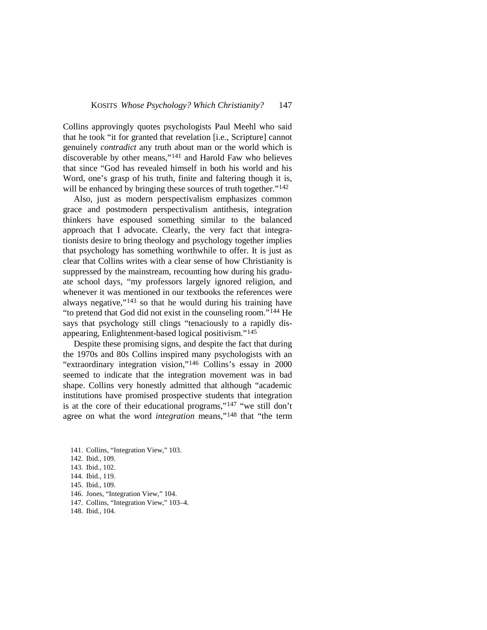Collins approvingly quotes psychologists Paul Meehl who said that he took "it for granted that revelation [i.e., Scripture] cannot genuinely *contradict* any truth about man or the world which is discoverable by other means,"[141](#page-46-0) and Harold Faw who believes that since "God has revealed himself in both his world and his Word, one's grasp of his truth, finite and faltering though it is, will be enhanced by bringing these sources of truth together."<sup>[142](#page-46-1)</sup>

Also, just as modern perspectivalism emphasizes common grace and postmodern perspectivalism antithesis, integration thinkers have espoused something similar to the balanced approach that I advocate. Clearly, the very fact that integrationists desire to bring theology and psychology together implies that psychology has something worthwhile to offer. It is just as clear that Collins writes with a clear sense of how Christianity is suppressed by the mainstream, recounting how during his graduate school days, "my professors largely ignored religion, and whenever it was mentioned in our textbooks the references were always negative,["143](#page-46-2) so that he would during his training have "to pretend that God did not exist in the counseling room."[144](#page-46-3) He says that psychology still clings "tenaciously to a rapidly disappearing, Enlightenment-based logical positivism."[145](#page-46-4)

Despite these promising signs, and despite the fact that during the 1970s and 80s Collins inspired many psychologists with an "extraordinary integration vision,"[146](#page-46-5) Collins's essay in 2000 seemed to indicate that the integration movement was in bad shape. Collins very honestly admitted that although "academic institutions have promised prospective students that integration is at the core of their educational programs,"[147](#page-46-6) "we still don't agree on what the word *integration* means,"[148](#page-46-7) that "the term

- 147. Collins, "Integration View," 103–4.
- <span id="page-46-7"></span><span id="page-46-6"></span>148. Ibid., 104.

<span id="page-46-1"></span><span id="page-46-0"></span><sup>141.</sup> Collins, "Integration View," 103.

<sup>142.</sup> Ibid., 109.

<span id="page-46-2"></span><sup>143.</sup> Ibid., 102.

<span id="page-46-3"></span><sup>144.</sup> Ibid., 119.

<span id="page-46-4"></span><sup>145.</sup> Ibid., 109.

<span id="page-46-5"></span><sup>146.</sup> Jones, "Integration View," 104.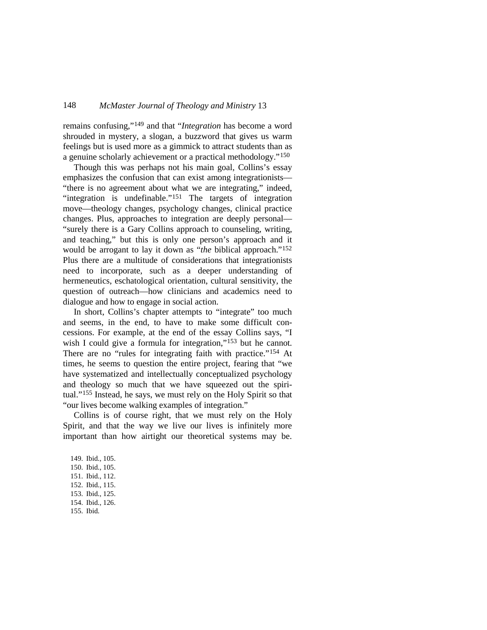remains confusing,"[149](#page-47-0) and that "*Integration* has become a word shrouded in mystery, a slogan, a buzzword that gives us warm feelings but is used more as a gimmick to attract students than as a genuine scholarly achievement or a practical methodology."[150](#page-47-1)

Though this was perhaps not his main goal, Collins's essay emphasizes the confusion that can exist among integrationists— "there is no agreement about what we are integrating," indeed, "integration is undefinable."[151](#page-47-2) The targets of integration move—theology changes, psychology changes, clinical practice changes. Plus, approaches to integration are deeply personal— "surely there is a Gary Collins approach to counseling, writing, and teaching," but this is only one person's approach and it would be arrogant to lay it down as "*the* biblical approach."[152](#page-47-3) Plus there are a multitude of considerations that integrationists need to incorporate, such as a deeper understanding of hermeneutics, eschatological orientation, cultural sensitivity, the question of outreach—how clinicians and academics need to dialogue and how to engage in social action.

In short, Collins's chapter attempts to "integrate" too much and seems, in the end, to have to make some difficult concessions. For example, at the end of the essay Collins says, "I wish I could give a formula for integration,"<sup>[153](#page-47-4)</sup> but he cannot. There are no "rules for integrating faith with practice."<sup>[154](#page-47-5)</sup> At times, he seems to question the entire project, fearing that "we have systematized and intellectually conceptualized psychology and theology so much that we have squeezed out the spiri-tual."<sup>[155](#page-47-6)</sup> Instead, he says, we must rely on the Holy Spirit so that "our lives become walking examples of integration."

Collins is of course right, that we must rely on the Holy Spirit, and that the way we live our lives is infinitely more important than how airtight our theoretical systems may be.

<span id="page-47-6"></span><span id="page-47-5"></span><span id="page-47-4"></span><span id="page-47-3"></span><span id="page-47-2"></span><span id="page-47-1"></span><span id="page-47-0"></span>149. Ibid., 105. 150. Ibid., 105. 151. Ibid., 112. 152. Ibid., 115. 153. Ibid., 125. 154. Ibid., 126. 155. Ibid.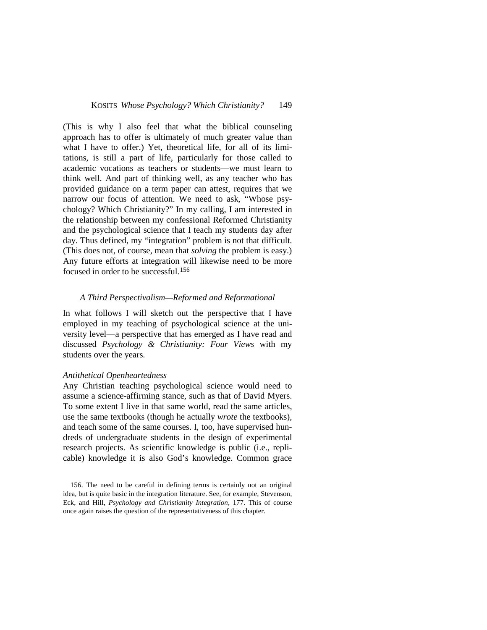(This is why I also feel that what the biblical counseling approach has to offer is ultimately of much greater value than what I have to offer.) Yet, theoretical life, for all of its limitations, is still a part of life, particularly for those called to academic vocations as teachers or students—we must learn to think well. And part of thinking well, as any teacher who has provided guidance on a term paper can attest, requires that we narrow our focus of attention. We need to ask, "Whose psychology? Which Christianity?" In my calling, I am interested in the relationship between my confessional Reformed Christianity and the psychological science that I teach my students day after day. Thus defined, my "integration" problem is not that difficult. (This does not, of course, mean that *solving* the problem is easy.) Any future efforts at integration will likewise need to be more focused in order to be successful.[156](#page-48-0)

### *A Third Perspectivalism—Reformed and Reformational*

In what follows I will sketch out the perspective that I have employed in my teaching of psychological science at the university level—a perspective that has emerged as I have read and discussed *Psychology & Christianity: Four Views* with my students over the years.

### *Antithetical Openheartedness*

Any Christian teaching psychological science would need to assume a science-affirming stance, such as that of David Myers. To some extent I live in that same world, read the same articles, use the same textbooks (though he actually *wrote* the textbooks), and teach some of the same courses. I, too, have supervised hundreds of undergraduate students in the design of experimental research projects. As scientific knowledge is public (i.e., replicable) knowledge it is also God's knowledge. Common grace

<span id="page-48-0"></span><sup>156.</sup> The need to be careful in defining terms is certainly not an original idea, but is quite basic in the integration literature. See, for example, Stevenson, Eck, and Hill, *Psychology and Christianity Integration*, 177. This of course once again raises the question of the representativeness of this chapter.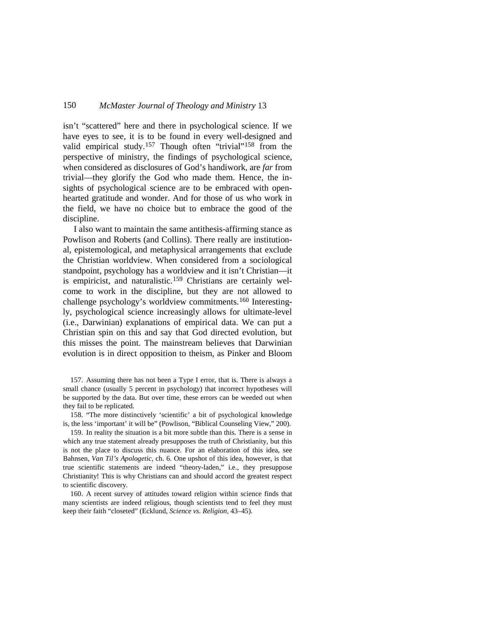isn't "scattered" here and there in psychological science. If we have eyes to see, it is to be found in every well-designed and valid empirical study.<sup>[157](#page-49-0)</sup> Though often "trivial"<sup>[158](#page-49-1)</sup> from the perspective of ministry, the findings of psychological science, when considered as disclosures of God's handiwork, are *far* from trivial—they glorify the God who made them. Hence, the insights of psychological science are to be embraced with openhearted gratitude and wonder. And for those of us who work in the field, we have no choice but to embrace the good of the discipline.

I also want to maintain the same antithesis-affirming stance as Powlison and Roberts (and Collins). There really are institutional, epistemological, and metaphysical arrangements that exclude the Christian worldview. When considered from a sociological standpoint, psychology has a worldview and it isn't Christian—it is empiricist, and naturalistic. [159](#page-49-2) Christians are certainly welcome to work in the discipline, but they are not allowed to challenge psychology's worldview commitments.<sup>[160](#page-49-3)</sup> Interestingly, psychological science increasingly allows for ultimate-level (i.e., Darwinian) explanations of empirical data. We can put a Christian spin on this and say that God directed evolution, but this misses the point. The mainstream believes that Darwinian evolution is in direct opposition to theism, as Pinker and Bloom

<span id="page-49-0"></span>157. Assuming there has not been a Type I error, that is. There is always a small chance (usually 5 percent in psychology) that incorrect hypotheses will be supported by the data. But over time, these errors can be weeded out when they fail to be replicated.

<span id="page-49-1"></span>158. "The more distinctively 'scientific' a bit of psychological knowledge is, the less 'important' it will be" (Powlison, "Biblical Counseling View," 200).

<span id="page-49-2"></span>159. In reality the situation is a bit more subtle than this. There is a sense in which any true statement already presupposes the truth of Christianity, but this is not the place to discuss this nuance. For an elaboration of this idea, see Bahnsen, *Van Til's Apologetic*, ch. 6. One upshot of this idea, however, is that true scientific statements are indeed "theory-laden," i.e., they presuppose Christianity! This is why Christians can and should accord the greatest respect to scientific discovery.

<span id="page-49-3"></span>160. A recent survey of attitudes toward religion within science finds that many scientists are indeed religious, though scientists tend to feel they must keep their faith "closeted" (Ecklund, *Science vs. Religion*, 43–45).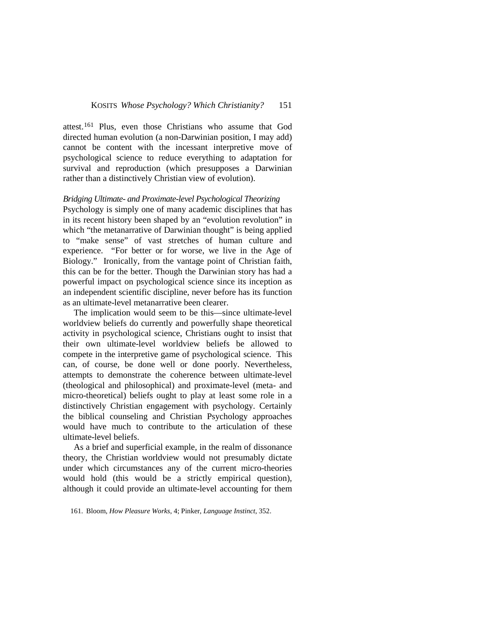attest.[161](#page-50-0) Plus, even those Christians who assume that God directed human evolution (a non-Darwinian position, I may add) cannot be content with the incessant interpretive move of psychological science to reduce everything to adaptation for survival and reproduction (which presupposes a Darwinian rather than a distinctively Christian view of evolution).

#### *Bridging Ultimate- and Proximate-level Psychological Theorizing*

Psychology is simply one of many academic disciplines that has in its recent history been shaped by an "evolution revolution" in which "the metanarrative of Darwinian thought" is being applied to "make sense" of vast stretches of human culture and experience. "For better or for worse, we live in the Age of Biology." Ironically, from the vantage point of Christian faith, this can be for the better. Though the Darwinian story has had a powerful impact on psychological science since its inception as an independent scientific discipline, never before has its function as an ultimate-level metanarrative been clearer.

The implication would seem to be this—since ultimate-level worldview beliefs do currently and powerfully shape theoretical activity in psychological science, Christians ought to insist that their own ultimate-level worldview beliefs be allowed to compete in the interpretive game of psychological science. This can, of course, be done well or done poorly. Nevertheless, attempts to demonstrate the coherence between ultimate-level (theological and philosophical) and proximate-level (meta- and micro-theoretical) beliefs ought to play at least some role in a distinctively Christian engagement with psychology. Certainly the biblical counseling and Christian Psychology approaches would have much to contribute to the articulation of these ultimate-level beliefs.

As a brief and superficial example, in the realm of dissonance theory, the Christian worldview would not presumably dictate under which circumstances any of the current micro-theories would hold (this would be a strictly empirical question), although it could provide an ultimate-level accounting for them

<span id="page-50-0"></span><sup>161.</sup> Bloom, *How Pleasure Works*, 4; Pinker, *Language Instinct*, 352.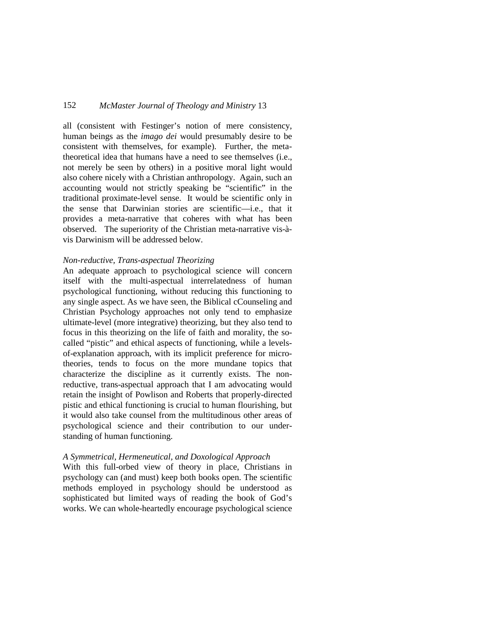all (consistent with Festinger's notion of mere consistency, human beings as the *imago dei* would presumably desire to be consistent with themselves, for example). Further, the metatheoretical idea that humans have a need to see themselves (i.e., not merely be seen by others) in a positive moral light would also cohere nicely with a Christian anthropology. Again, such an accounting would not strictly speaking be "scientific" in the traditional proximate-level sense. It would be scientific only in the sense that Darwinian stories are scientific—i.e., that it provides a meta-narrative that coheres with what has been observed. The superiority of the Christian meta-narrative vis-àvis Darwinism will be addressed below.

#### *Non-reductive, Trans-aspectual Theorizing*

An adequate approach to psychological science will concern itself with the multi-aspectual interrelatedness of human psychological functioning, without reducing this functioning to any single aspect. As we have seen, the Biblical cCounseling and Christian Psychology approaches not only tend to emphasize ultimate-level (more integrative) theorizing, but they also tend to focus in this theorizing on the life of faith and morality, the socalled "pistic" and ethical aspects of functioning, while a levelsof-explanation approach, with its implicit preference for microtheories, tends to focus on the more mundane topics that characterize the discipline as it currently exists. The nonreductive, trans-aspectual approach that I am advocating would retain the insight of Powlison and Roberts that properly-directed pistic and ethical functioning is crucial to human flourishing, but it would also take counsel from the multitudinous other areas of psychological science and their contribution to our understanding of human functioning.

### *A Symmetrical, Hermeneutical, and Doxological Approach*

With this full-orbed view of theory in place, Christians in psychology can (and must) keep both books open. The scientific methods employed in psychology should be understood as sophisticated but limited ways of reading the book of God's works. We can whole-heartedly encourage psychological science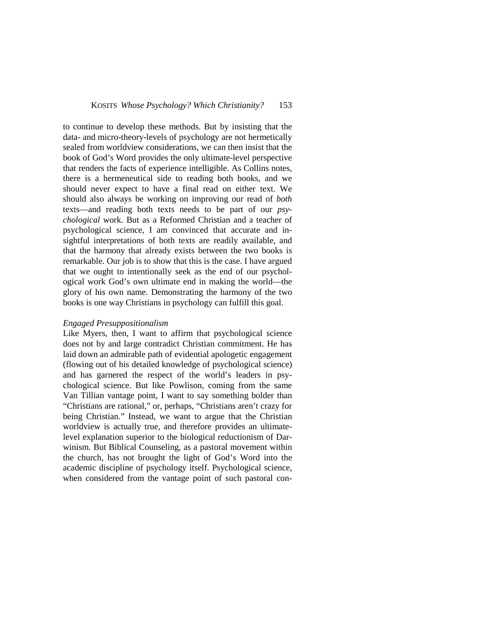to continue to develop these methods. But by insisting that the data- and micro-theory-levels of psychology are not hermetically sealed from worldview considerations, we can then insist that the book of God's Word provides the only ultimate-level perspective that renders the facts of experience intelligible. As Collins notes, there is a hermeneutical side to reading both books, and we should never expect to have a final read on either text. We should also always be working on improving our read of *both* texts—and reading both texts needs to be part of our *psychological* work. But as a Reformed Christian and a teacher of psychological science, I am convinced that accurate and insightful interpretations of both texts are readily available, and that the harmony that already exists between the two books is remarkable. Our job is to show that this is the case. I have argued that we ought to intentionally seek as the end of our psychological work God's own ultimate end in making the world—the glory of his own name. Demonstrating the harmony of the two books is one way Christians in psychology can fulfill this goal.

#### *Engaged Presuppositionalism*

Like Myers, then, I want to affirm that psychological science does not by and large contradict Christian commitment. He has laid down an admirable path of evidential apologetic engagement (flowing out of his detailed knowledge of psychological science) and has garnered the respect of the world's leaders in psychological science. But like Powlison, coming from the same Van Tillian vantage point, I want to say something bolder than "Christians are rational," or, perhaps, "Christians aren't crazy for being Christian." Instead, we want to argue that the Christian worldview is actually true, and therefore provides an ultimatelevel explanation superior to the biological reductionism of Darwinism. But Biblical Counseling, as a pastoral movement within the church, has not brought the light of God's Word into the academic discipline of psychology itself. Psychological science, when considered from the vantage point of such pastoral con-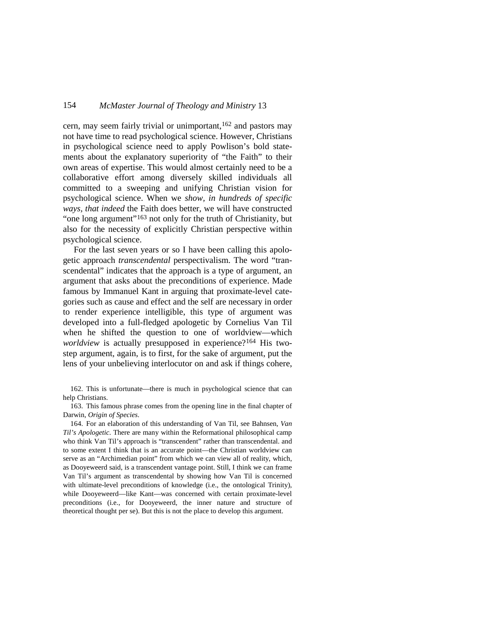cern, may seem fairly trivial or unimportant,  $162$  and pastors may not have time to read psychological science. However, Christians in psychological science need to apply Powlison's bold statements about the explanatory superiority of "the Faith" to their own areas of expertise. This would almost certainly need to be a collaborative effort among diversely skilled individuals all committed to a sweeping and unifying Christian vision for psychological science. When we *show, in hundreds of specific ways, that indeed* the Faith does better, we will have constructed "one long argument"<sup>163</sup> not only for the truth of Christianity, but also for the necessity of explicitly Christian perspective within psychological science.

For the last seven years or so I have been calling this apologetic approach *transcendental* perspectivalism. The word "transcendental" indicates that the approach is a type of argument, an argument that asks about the preconditions of experience. Made famous by Immanuel Kant in arguing that proximate-level categories such as cause and effect and the self are necessary in order to render experience intelligible, this type of argument was developed into a full-fledged apologetic by Cornelius Van Til when he shifted the question to one of worldview—which worldview is actually presupposed in experience?<sup>[164](#page-53-2)</sup> His twostep argument, again, is to first, for the sake of argument, put the lens of your unbelieving interlocutor on and ask if things cohere,

<span id="page-53-0"></span>162. This is unfortunate—there is much in psychological science that can help Christians.

<span id="page-53-1"></span>163. This famous phrase comes from the opening line in the final chapter of Darwin, *Origin of Species*.

<span id="page-53-2"></span>164. For an elaboration of this understanding of Van Til, see Bahnsen, *Van Til's Apologetic*. There are many within the Reformational philosophical camp who think Van Til's approach is "transcendent" rather than transcendental. and to some extent I think that is an accurate point—the Christian worldview can serve as an "Archimedian point" from which we can view all of reality, which, as Dooyeweerd said, is a transcendent vantage point. Still, I think we can frame Van Til's argument as transcendental by showing how Van Til is concerned with ultimate-level preconditions of knowledge (i.e., the ontological Trinity), while Dooyeweerd—like Kant—was concerned with certain proximate-level preconditions (i.e., for Dooyeweerd, the inner nature and structure of theoretical thought per se). But this is not the place to develop this argument.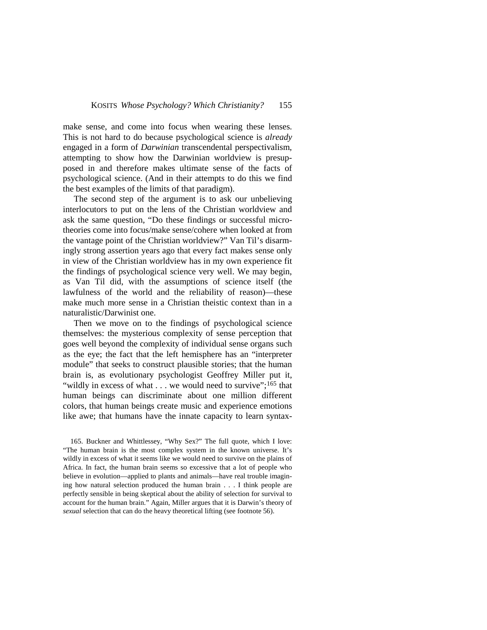make sense, and come into focus when wearing these lenses. This is not hard to do because psychological science is *already* engaged in a form of *Darwinian* transcendental perspectivalism, attempting to show how the Darwinian worldview is presupposed in and therefore makes ultimate sense of the facts of psychological science. (And in their attempts to do this we find the best examples of the limits of that paradigm).

The second step of the argument is to ask our unbelieving interlocutors to put on the lens of the Christian worldview and ask the same question, "Do these findings or successful microtheories come into focus/make sense/cohere when looked at from the vantage point of the Christian worldview?" Van Til's disarmingly strong assertion years ago that every fact makes sense only in view of the Christian worldview has in my own experience fit the findings of psychological science very well. We may begin, as Van Til did, with the assumptions of science itself (the lawfulness of the world and the reliability of reason)—these make much more sense in a Christian theistic context than in a naturalistic/Darwinist one.

Then we move on to the findings of psychological science themselves: the mysterious complexity of sense perception that goes well beyond the complexity of individual sense organs such as the eye; the fact that the left hemisphere has an "interpreter module" that seeks to construct plausible stories; that the human brain is, as evolutionary psychologist Geoffrey Miller put it, "wildly in excess of what . . . we would need to survive";<sup>[165](#page-54-0)</sup> that human beings can discriminate about one million different colors, that human beings create music and experience emotions like awe; that humans have the innate capacity to learn syntax-

<span id="page-54-0"></span>165. Buckner and Whittlessey, "Why Sex?" The full quote, which I love: "The human brain is the most complex system in the known universe. It's wildly in excess of what it seems like we would need to survive on the plains of Africa. In fact, the human brain seems so excessive that a lot of people who believe in evolution—applied to plants and animals—have real trouble imagining how natural selection produced the human brain . . . I think people are perfectly sensible in being skeptical about the ability of selection for survival to account for the human brain." Again, Miller argues that it is Darwin's theory of *sexual* selection that can do the heavy theoretical lifting (see footnote [56\)](#page-24-0).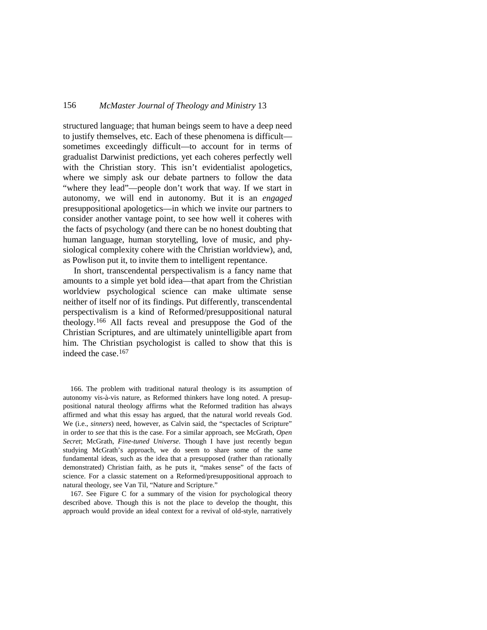structured language; that human beings seem to have a deep need to justify themselves, etc. Each of these phenomena is difficult sometimes exceedingly difficult—to account for in terms of gradualist Darwinist predictions, yet each coheres perfectly well with the Christian story. This isn't evidentialist apologetics, where we simply ask our debate partners to follow the data "where they lead"—people don't work that way. If we start in autonomy, we will end in autonomy. But it is an *engaged* presuppositional apologetics—in which we invite our partners to consider another vantage point, to see how well it coheres with the facts of psychology (and there can be no honest doubting that human language, human storytelling, love of music, and physiological complexity cohere with the Christian worldview), and, as Powlison put it, to invite them to intelligent repentance.

In short, transcendental perspectivalism is a fancy name that amounts to a simple yet bold idea—that apart from the Christian worldview psychological science can make ultimate sense neither of itself nor of its findings. Put differently, transcendental perspectivalism is a kind of Reformed/presuppositional natural theology.[166](#page-55-0) All facts reveal and presuppose the God of the Christian Scriptures, and are ultimately unintelligible apart from him. The Christian psychologist is called to show that this is indeed the case.[167](#page-55-1)

<span id="page-55-0"></span>166. The problem with traditional natural theology is its assumption of autonomy vis-à-vis nature, as Reformed thinkers have long noted. A presuppositional natural theology affirms what the Reformed tradition has always affirmed and what this essay has argued, that the natural world reveals God. We (i.e., *sinners*) need, however, as Calvin said, the "spectacles of Scripture" in order to *see* that this is the case. For a similar approach, see McGrath, *Open Secret*; McGrath, *Fine-tuned Universe*. Though I have just recently begun studying McGrath's approach, we do seem to share some of the same fundamental ideas, such as the idea that a presupposed (rather than rationally demonstrated) Christian faith, as he puts it, "makes sense" of the facts of science. For a classic statement on a Reformed/presuppositional approach to natural theology, see Van Til, "Nature and Scripture."

<span id="page-55-1"></span>167. See Figure C for a summary of the vision for psychological theory described above. Though this is not the place to develop the thought, this approach would provide an ideal context for a revival of old-style, narratively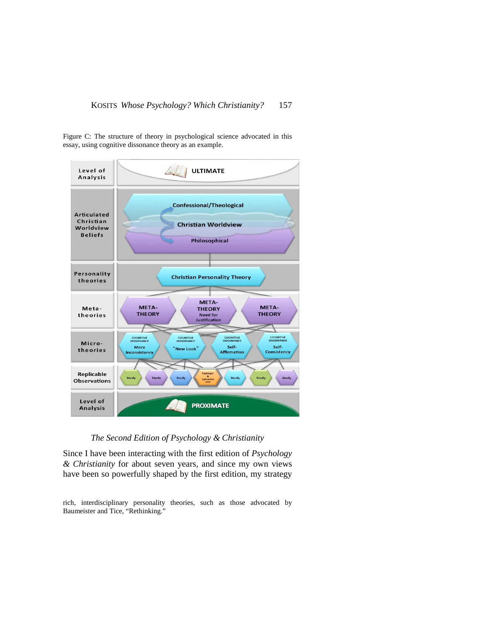

Figure C: The structure of theory in psychological science advocated in this essay, using cognitive dissonance theory as an example.

## *The Second Edition of Psychology & Christianity*

Since I have been interacting with the first edition of *Psychology & Christianity* for about seven years, and since my own views have been so powerfully shaped by the first edition, my strategy

rich, interdisciplinary personality theories, such as those advocated by Baumeister and Tice, "Rethinking."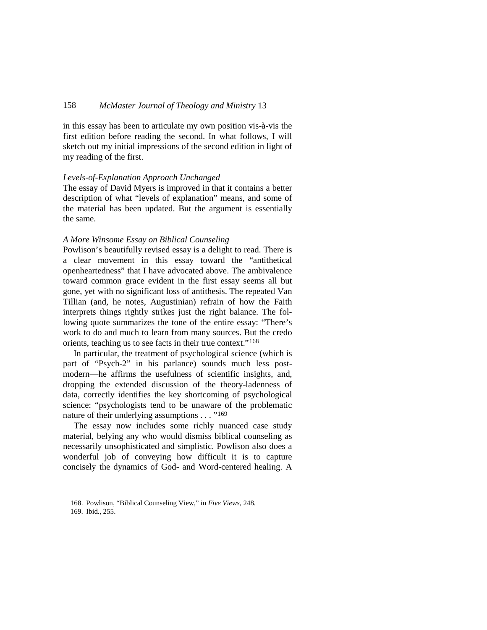in this essay has been to articulate my own position vis-à-vis the first edition before reading the second. In what follows, I will sketch out my initial impressions of the second edition in light of my reading of the first.

### *Levels-of-Explanation Approach Unchanged*

The essay of David Myers is improved in that it contains a better description of what "levels of explanation" means, and some of the material has been updated. But the argument is essentially the same.

#### *A More Winsome Essay on Biblical Counseling*

Powlison's beautifully revised essay is a delight to read. There is a clear movement in this essay toward the "antithetical openheartedness" that I have advocated above. The ambivalence toward common grace evident in the first essay seems all but gone, yet with no significant loss of antithesis. The repeated Van Tillian (and, he notes, Augustinian) refrain of how the Faith interprets things rightly strikes just the right balance. The following quote summarizes the tone of the entire essay: "There's work to do and much to learn from many sources. But the credo orients, teaching us to see facts in their true context."[168](#page-57-0)

In particular, the treatment of psychological science (which is part of "Psych-2" in his parlance) sounds much less postmodern—he affirms the usefulness of scientific insights, and, dropping the extended discussion of the theory-ladenness of data, correctly identifies the key shortcoming of psychological science: "psychologists tend to be unaware of the problematic nature of their underlying assumptions . . . "<sup>[169](#page-57-1)</sup>

The essay now includes some richly nuanced case study material, belying any who would dismiss biblical counseling as necessarily unsophisticated and simplistic. Powlison also does a wonderful job of conveying how difficult it is to capture concisely the dynamics of God- and Word-centered healing. A

<sup>168.</sup> Powlison, "Biblical Counseling View," in *Five Views*, 248.

<span id="page-57-1"></span><span id="page-57-0"></span><sup>169.</sup> Ibid., 255.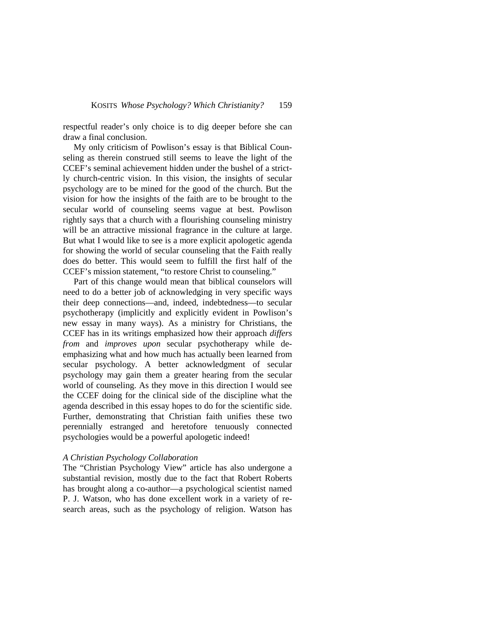respectful reader's only choice is to dig deeper before she can draw a final conclusion.

My only criticism of Powlison's essay is that Biblical Counseling as therein construed still seems to leave the light of the CCEF's seminal achievement hidden under the bushel of a strictly church-centric vision. In this vision, the insights of secular psychology are to be mined for the good of the church. But the vision for how the insights of the faith are to be brought to the secular world of counseling seems vague at best. Powlison rightly says that a church with a flourishing counseling ministry will be an attractive missional fragrance in the culture at large. But what I would like to see is a more explicit apologetic agenda for showing the world of secular counseling that the Faith really does do better. This would seem to fulfill the first half of the CCEF's mission statement, "to restore Christ to counseling."

Part of this change would mean that biblical counselors will need to do a better job of acknowledging in very specific ways their deep connections—and, indeed, indebtedness—to secular psychotherapy (implicitly and explicitly evident in Powlison's new essay in many ways). As a ministry for Christians, the CCEF has in its writings emphasized how their approach *differs from* and *improves upon* secular psychotherapy while deemphasizing what and how much has actually been learned from secular psychology. A better acknowledgment of secular psychology may gain them a greater hearing from the secular world of counseling. As they move in this direction I would see the CCEF doing for the clinical side of the discipline what the agenda described in this essay hopes to do for the scientific side. Further, demonstrating that Christian faith unifies these two perennially estranged and heretofore tenuously connected psychologies would be a powerful apologetic indeed!

#### *A Christian Psychology Collaboration*

The "Christian Psychology View" article has also undergone a substantial revision, mostly due to the fact that Robert Roberts has brought along a co-author—a psychological scientist named P. J. Watson, who has done excellent work in a variety of research areas, such as the psychology of religion. Watson has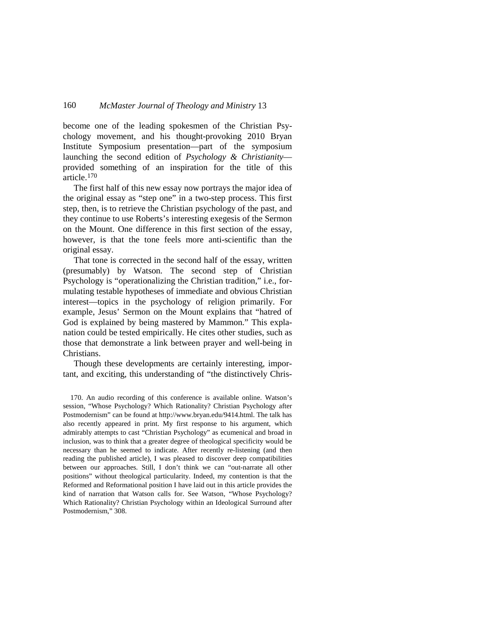become one of the leading spokesmen of the Christian Psychology movement, and his thought-provoking 2010 Bryan Institute Symposium presentation—part of the symposium launching the second edition of *Psychology & Christianity* provided something of an inspiration for the title of this article.[170](#page-59-0)

The first half of this new essay now portrays the major idea of the original essay as "step one" in a two-step process. This first step, then, is to retrieve the Christian psychology of the past, and they continue to use Roberts's interesting exegesis of the Sermon on the Mount. One difference in this first section of the essay, however, is that the tone feels more anti-scientific than the original essay.

That tone is corrected in the second half of the essay, written (presumably) by Watson. The second step of Christian Psychology is "operationalizing the Christian tradition," i.e., formulating testable hypotheses of immediate and obvious Christian interest—topics in the psychology of religion primarily. For example, Jesus' Sermon on the Mount explains that "hatred of God is explained by being mastered by Mammon." This explanation could be tested empirically. He cites other studies, such as those that demonstrate a link between prayer and well-being in Christians.

Though these developments are certainly interesting, important, and exciting, this understanding of "the distinctively Chris-

<span id="page-59-0"></span>170. An audio recording of this conference is available online. Watson's session, "Whose Psychology? Which Rationality? Christian Psychology after Postmodernism" can be found at http://www.bryan.edu/9414.html. The talk has also recently appeared in print. My first response to his argument, which admirably attempts to cast "Christian Psychology" as ecumenical and broad in inclusion, was to think that a greater degree of theological specificity would be necessary than he seemed to indicate. After recently re-listening (and then reading the published article), I was pleased to discover deep compatibilities between our approaches. Still, I don't think we can "out-narrate all other positions" without theological particularity. Indeed, my contention is that the Reformed and Reformational position I have laid out in this article provides the kind of narration that Watson calls for. See Watson, "Whose Psychology? Which Rationality? Christian Psychology within an Ideological Surround after Postmodernism," 308.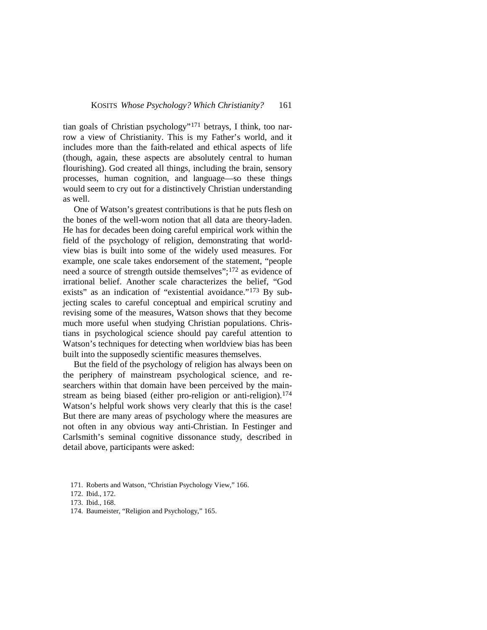tian goals of Christian psychology"[171](#page-60-0) betrays, I think, too narrow a view of Christianity. This is my Father's world, and it includes more than the faith-related and ethical aspects of life (though, again, these aspects are absolutely central to human flourishing). God created all things, including the brain, sensory processes, human cognition, and language—so these things would seem to cry out for a distinctively Christian understanding as well.

One of Watson's greatest contributions is that he puts flesh on the bones of the well-worn notion that all data are theory-laden. He has for decades been doing careful empirical work within the field of the psychology of religion, demonstrating that worldview bias is built into some of the widely used measures. For example, one scale takes endorsement of the statement, "people need a source of strength outside themselves"; [172](#page-60-1) as evidence of irrational belief. Another scale characterizes the belief, "God exists" as an indication of "existential avoidance."<sup>[173](#page-60-2)</sup> By subjecting scales to careful conceptual and empirical scrutiny and revising some of the measures, Watson shows that they become much more useful when studying Christian populations. Christians in psychological science should pay careful attention to Watson's techniques for detecting when worldview bias has been built into the supposedly scientific measures themselves.

But the field of the psychology of religion has always been on the periphery of mainstream psychological science, and researchers within that domain have been perceived by the mainstream as being biased (either pro-religion or anti-religion). [174](#page-60-3) Watson's helpful work shows very clearly that this is the case! But there are many areas of psychology where the measures are not often in any obvious way anti-Christian. In Festinger and Carlsmith's seminal cognitive dissonance study, described in detail above, participants were asked:

<span id="page-60-0"></span><sup>171.</sup> Roberts and Watson, "Christian Psychology View," 166.

<sup>172.</sup> Ibid., 172.

<span id="page-60-2"></span><span id="page-60-1"></span><sup>173.</sup> Ibid., 168.

<span id="page-60-3"></span><sup>174.</sup> Baumeister, "Religion and Psychology," 165.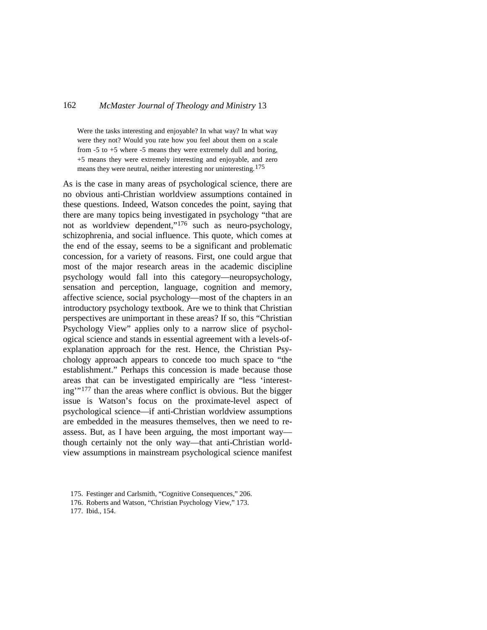Were the tasks interesting and enjoyable? In what way? In what way were they not? Would you rate how you feel about them on a scale from -5 to +5 where -5 means they were extremely dull and boring, +5 means they were extremely interesting and enjoyable, and zero means they were neutral, neither interesting nor uninteresting.[175](#page-61-0)

As is the case in many areas of psychological science, there are no obvious anti-Christian worldview assumptions contained in these questions. Indeed, Watson concedes the point, saying that there are many topics being investigated in psychology "that are not as worldview dependent,"[176](#page-61-1) such as neuro-psychology, schizophrenia, and social influence. This quote, which comes at the end of the essay, seems to be a significant and problematic concession, for a variety of reasons. First, one could argue that most of the major research areas in the academic discipline psychology would fall into this category—neuropsychology, sensation and perception, language, cognition and memory, affective science, social psychology—most of the chapters in an introductory psychology textbook. Are we to think that Christian perspectives are unimportant in these areas? If so, this "Christian Psychology View" applies only to a narrow slice of psychological science and stands in essential agreement with a levels-ofexplanation approach for the rest. Hence, the Christian Psychology approach appears to concede too much space to "the establishment." Perhaps this concession is made because those areas that can be investigated empirically are "less 'interesting'"[177](#page-61-2) than the areas where conflict is obvious. But the bigger issue is Watson's focus on the proximate-level aspect of psychological science—if anti-Christian worldview assumptions are embedded in the measures themselves, then we need to reassess. But, as I have been arguing, the most important way though certainly not the only way—that anti-Christian worldview assumptions in mainstream psychological science manifest

<span id="page-61-1"></span><span id="page-61-0"></span><sup>175.</sup> Festinger and Carlsmith, "Cognitive Consequences," 206.

<sup>176.</sup> Roberts and Watson, "Christian Psychology View," 173.

<span id="page-61-2"></span><sup>177.</sup> Ibid., 154.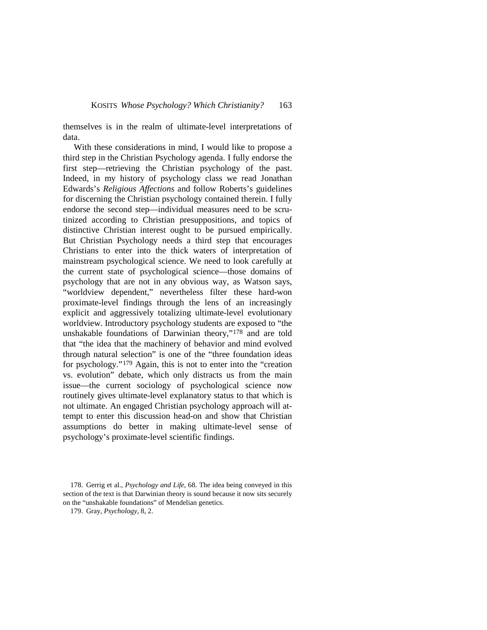themselves is in the realm of ultimate-level interpretations of data.

With these considerations in mind, I would like to propose a third step in the Christian Psychology agenda. I fully endorse the first step—retrieving the Christian psychology of the past. Indeed, in my history of psychology class we read Jonathan Edwards's *Religious Affections* and follow Roberts's guidelines for discerning the Christian psychology contained therein. I fully endorse the second step—individual measures need to be scrutinized according to Christian presuppositions, and topics of distinctive Christian interest ought to be pursued empirically. But Christian Psychology needs a third step that encourages Christians to enter into the thick waters of interpretation of mainstream psychological science. We need to look carefully at the current state of psychological science—those domains of psychology that are not in any obvious way, as Watson says, "worldview dependent," nevertheless filter these hard-won proximate-level findings through the lens of an increasingly explicit and aggressively totalizing ultimate-level evolutionary worldview. Introductory psychology students are exposed to "the unshakable foundations of Darwinian theory,"[178](#page-62-0) and are told that "the idea that the machinery of behavior and mind evolved through natural selection" is one of the "three foundation ideas for psychology."[179](#page-62-1) Again, this is not to enter into the "creation vs. evolution" debate, which only distracts us from the main issue—the current sociology of psychological science now routinely gives ultimate-level explanatory status to that which is not ultimate. An engaged Christian psychology approach will attempt to enter this discussion head-on and show that Christian assumptions do better in making ultimate-level sense of psychology's proximate-level scientific findings.

<span id="page-62-1"></span><span id="page-62-0"></span><sup>178.</sup> Gerrig et al., *Psychology and Life*, 68. The idea being conveyed in this section of the text is that Darwinian theory is sound because it now sits securely on the "unshakable foundations" of Mendelian genetics.

<sup>179.</sup> Gray, *Psychology*, 8, 2.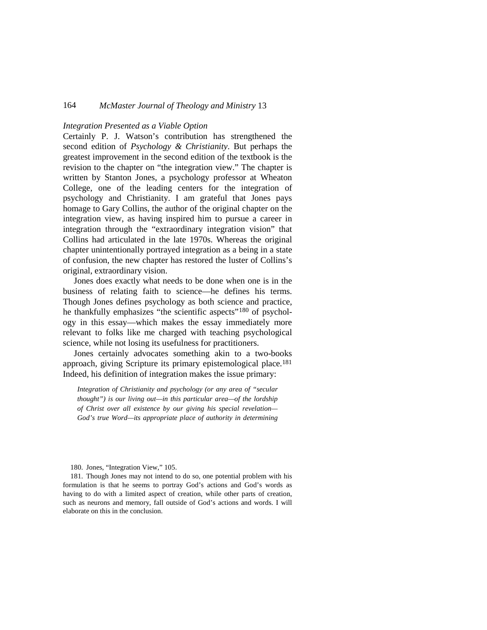#### *Integration Presented as a Viable Option*

Certainly P. J. Watson's contribution has strengthened the second edition of *Psychology & Christianity*. But perhaps the greatest improvement in the second edition of the textbook is the revision to the chapter on "the integration view." The chapter is written by Stanton Jones, a psychology professor at Wheaton College, one of the leading centers for the integration of psychology and Christianity. I am grateful that Jones pays homage to Gary Collins, the author of the original chapter on the integration view, as having inspired him to pursue a career in integration through the "extraordinary integration vision" that Collins had articulated in the late 1970s. Whereas the original chapter unintentionally portrayed integration as a being in a state of confusion, the new chapter has restored the luster of Collins's original, extraordinary vision.

Jones does exactly what needs to be done when one is in the business of relating faith to science—he defines his terms. Though Jones defines psychology as both science and practice, he thankfully emphasizes "the scientific aspects"<sup>[180](#page-63-0)</sup> of psychology in this essay—which makes the essay immediately more relevant to folks like me charged with teaching psychological science, while not losing its usefulness for practitioners.

Jones certainly advocates something akin to a two-books approach, giving Scripture its primary epistemological place. [181](#page-63-1) Indeed, his definition of integration makes the issue primary:

*Integration of Christianity and psychology (or any area of "secular thought") is our living out—in this particular area—of the lordship of Christ over all existence by our giving his special revelation— God's true Word—its appropriate place of authority in determining* 

180. Jones, "Integration View," 105.

<span id="page-63-1"></span><span id="page-63-0"></span>181. Though Jones may not intend to do so, one potential problem with his formulation is that he seems to portray God's actions and God's words as having to do with a limited aspect of creation, while other parts of creation, such as neurons and memory, fall outside of God's actions and words. I will elaborate on this in the conclusion.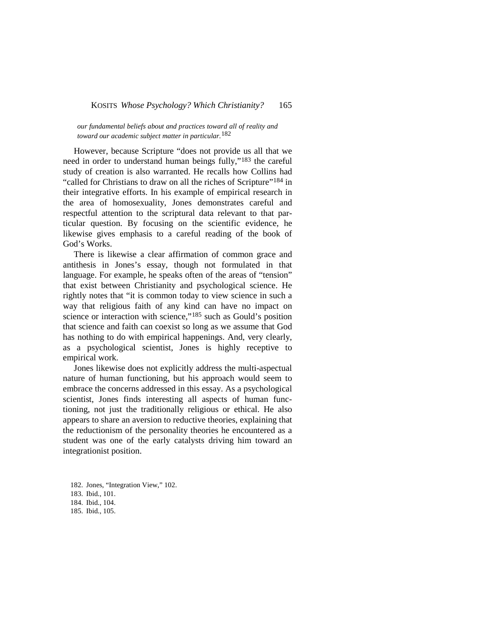*our fundamental beliefs about and practices toward all of reality and toward our academic subject matter in particular.*[182](#page-64-0)

However, because Scripture "does not provide us all that we need in order to understand human beings fully,["183](#page-64-1) the careful study of creation is also warranted. He recalls how Collins had "called for Christians to draw on all the riches of Scripture"<sup>[184](#page-64-2)</sup> in their integrative efforts. In his example of empirical research in the area of homosexuality, Jones demonstrates careful and respectful attention to the scriptural data relevant to that particular question. By focusing on the scientific evidence, he likewise gives emphasis to a careful reading of the book of God's Works.

There is likewise a clear affirmation of common grace and antithesis in Jones's essay, though not formulated in that language. For example, he speaks often of the areas of "tension" that exist between Christianity and psychological science. He rightly notes that "it is common today to view science in such a way that religious faith of any kind can have no impact on science or interaction with science,"<sup>[185](#page-64-3)</sup> such as Gould's position that science and faith can coexist so long as we assume that God has nothing to do with empirical happenings. And, very clearly, as a psychological scientist, Jones is highly receptive to empirical work.

Jones likewise does not explicitly address the multi-aspectual nature of human functioning, but his approach would seem to embrace the concerns addressed in this essay. As a psychological scientist, Jones finds interesting all aspects of human functioning, not just the traditionally religious or ethical. He also appears to share an aversion to reductive theories, explaining that the reductionism of the personality theories he encountered as a student was one of the early catalysts driving him toward an integrationist position.

<span id="page-64-3"></span><span id="page-64-2"></span><span id="page-64-1"></span><span id="page-64-0"></span>182. Jones, "Integration View," 102. 183. Ibid., 101. 184. Ibid., 104. 185. Ibid., 105.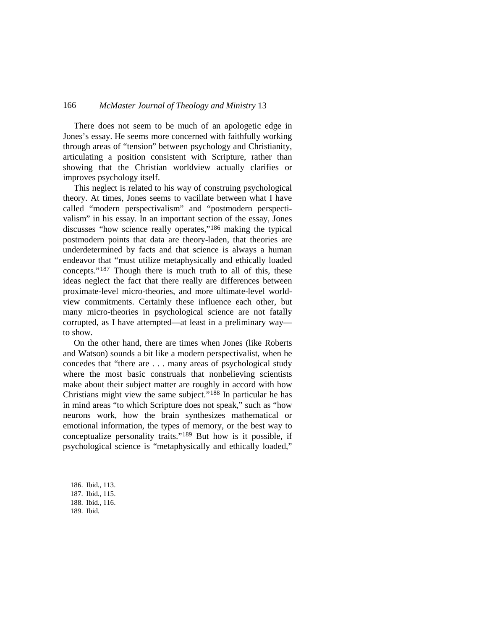There does not seem to be much of an apologetic edge in Jones's essay. He seems more concerned with faithfully working through areas of "tension" between psychology and Christianity, articulating a position consistent with Scripture, rather than showing that the Christian worldview actually clarifies or improves psychology itself.

This neglect is related to his way of construing psychological theory. At times, Jones seems to vacillate between what I have called "modern perspectivalism" and "postmodern perspectivalism" in his essay. In an important section of the essay, Jones discusses "how science really operates,"[186](#page-65-0) making the typical postmodern points that data are theory-laden, that theories are underdetermined by facts and that science is always a human endeavor that "must utilize metaphysically and ethically loaded concepts."[187](#page-65-1) Though there is much truth to all of this, these ideas neglect the fact that there really are differences between proximate-level micro-theories, and more ultimate-level worldview commitments. Certainly these influence each other, but many micro-theories in psychological science are not fatally corrupted, as I have attempted—at least in a preliminary way to show.

On the other hand, there are times when Jones (like Roberts and Watson) sounds a bit like a modern perspectivalist, when he concedes that "there are . . . many areas of psychological study where the most basic construals that nonbelieving scientists make about their subject matter are roughly in accord with how Christians might view the same subject." [188](#page-65-2) In particular he has in mind areas "to which Scripture does not speak," such as "how neurons work, how the brain synthesizes mathematical or emotional information, the types of memory, or the best way to conceptualize personality traits."[189](#page-65-3) But how is it possible, if psychological science is "metaphysically and ethically loaded,"

<span id="page-65-3"></span><span id="page-65-2"></span><span id="page-65-1"></span><span id="page-65-0"></span>186. Ibid., 113. 187. Ibid., 115. 188. Ibid., 116. 189. Ibid.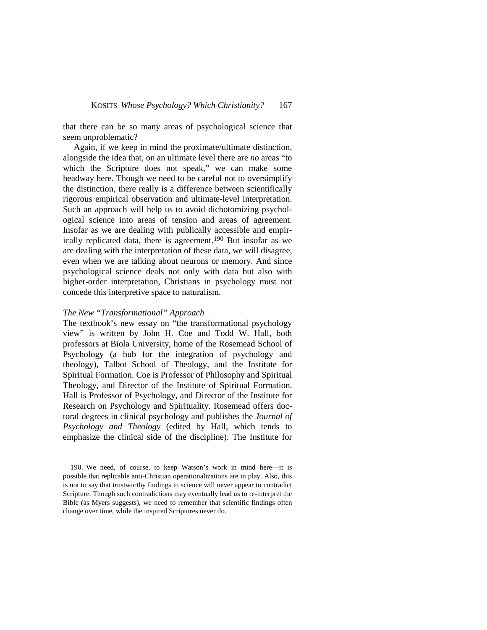that there can be so many areas of psychological science that seem unproblematic?

Again, if we keep in mind the proximate/ultimate distinction, alongside the idea that, on an ultimate level there are *no* areas "to which the Scripture does not speak," we can make some headway here. Though we need to be careful not to oversimplify the distinction, there really is a difference between scientifically rigorous empirical observation and ultimate-level interpretation. Such an approach will help us to avoid dichotomizing psychological science into areas of tension and areas of agreement. Insofar as we are dealing with publically accessible and empirically replicated data, there is agreement.[190](#page-66-0) But insofar as we are dealing with the interpretation of these data, we will disagree, even when we are talking about neurons or memory. And since psychological science deals not only with data but also with higher-order interpretation, Christians in psychology must not concede this interpretive space to naturalism.

#### *The New "Transformational" Approach*

The textbook's new essay on "the transformational psychology view" is written by John H. Coe and Todd W. Hall, both professors at Biola University, home of the Rosemead School of Psychology (a hub for the integration of psychology and theology), Talbot School of Theology, and the Institute for Spiritual Formation. Coe is Professor of Philosophy and Spiritual Theology, and Director of the Institute of Spiritual Formation. Hall is Professor of Psychology, and Director of the Institute for Research on Psychology and Spirituality. Rosemead offers doctoral degrees in clinical psychology and publishes the *Journal of Psychology and Theology* (edited by Hall, which tends to emphasize the clinical side of the discipline). The Institute for

<span id="page-66-0"></span><sup>190.</sup> We need, of course, to keep Watson's work in mind here—it is possible that replicable anti-Christian operationalizations are in play. Also, this is not to say that trustworthy findings in science will never appear to contradict Scripture. Though such contradictions may eventually lead us to re-interpret the Bible (as Myers suggests), we need to remember that scientific findings often change over time, while the inspired Scriptures never do.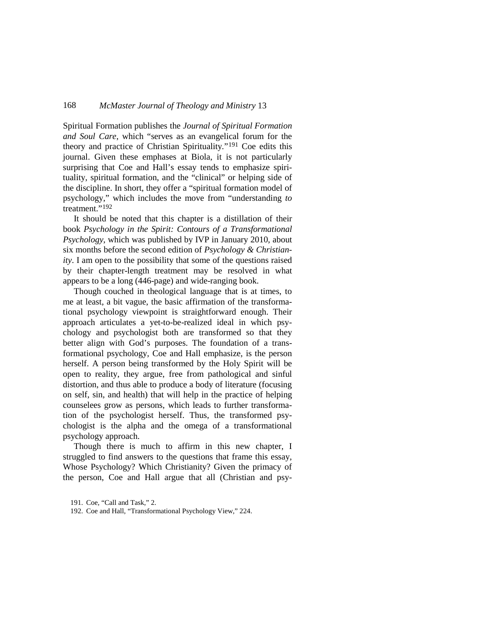Spiritual Formation publishes the *Journal of Spiritual Formation and Soul Care*, which "serves as an evangelical forum for the theory and practice of Christian Spirituality*.*"[191](#page-67-0) Coe edits this journal. Given these emphases at Biola, it is not particularly surprising that Coe and Hall's essay tends to emphasize spirituality, spiritual formation, and the "clinical" or helping side of the discipline. In short, they offer a "spiritual formation model of psychology," which includes the move from "understanding *to* treatment<sup>"[192](#page-67-1)</sup>

It should be noted that this chapter is a distillation of their book *Psychology in the Spirit: Contours of a Transformational Psychology*, which was published by IVP in January 2010, about six months before the second edition of *Psychology & Christianity*. I am open to the possibility that some of the questions raised by their chapter-length treatment may be resolved in what appears to be a long (446-page) and wide-ranging book.

Though couched in theological language that is at times, to me at least, a bit vague, the basic affirmation of the transformational psychology viewpoint is straightforward enough. Their approach articulates a yet-to-be-realized ideal in which psychology and psychologist both are transformed so that they better align with God's purposes. The foundation of a transformational psychology, Coe and Hall emphasize, is the person herself. A person being transformed by the Holy Spirit will be open to reality, they argue, free from pathological and sinful distortion, and thus able to produce a body of literature (focusing on self, sin, and health) that will help in the practice of helping counselees grow as persons, which leads to further transformation of the psychologist herself. Thus, the transformed psychologist is the alpha and the omega of a transformational psychology approach.

Though there is much to affirm in this new chapter, I struggled to find answers to the questions that frame this essay, Whose Psychology? Which Christianity? Given the primacy of the person, Coe and Hall argue that all (Christian and psy-

<span id="page-67-0"></span><sup>191.</sup> Coe, "Call and Task," 2.

<span id="page-67-1"></span><sup>192.</sup> Coe and Hall, "Transformational Psychology View," 224.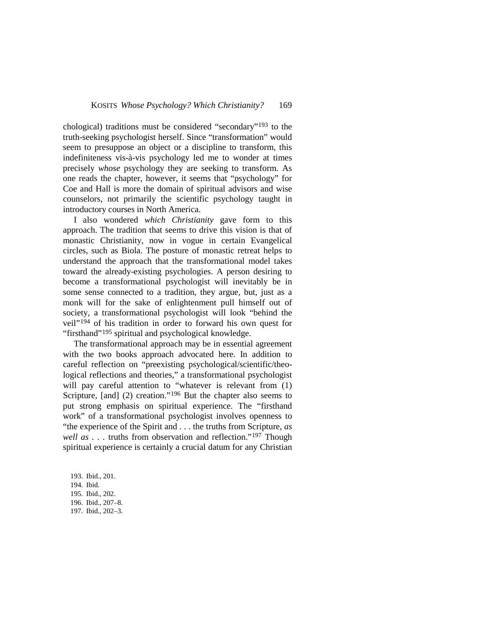chological) traditions must be considered "secondary"[193](#page-68-0) to the truth-seeking psychologist herself. Since "transformation" would seem to presuppose an object or a discipline to transform, this indefiniteness vis-à-vis psychology led me to wonder at times precisely *whose* psychology they are seeking to transform. As one reads the chapter, however, it seems that "psychology" for Coe and Hall is more the domain of spiritual advisors and wise counselors, not primarily the scientific psychology taught in introductory courses in North America.

I also wondered *which Christianity* gave form to this approach. The tradition that seems to drive this vision is that of monastic Christianity, now in vogue in certain Evangelical circles, such as Biola. The posture of monastic retreat helps to understand the approach that the transformational model takes toward the already-existing psychologies. A person desiring to become a transformational psychologist will inevitably be in some sense connected to a tradition, they argue, but, just as a monk will for the sake of enlightenment pull himself out of society, a transformational psychologist will look "behind the veil" [194](#page-68-1) of his tradition in order to forward his own quest for "firsthand"<sup>[195](#page-68-2)</sup> spiritual and psychological knowledge.

The transformational approach may be in essential agreement with the two books approach advocated here. In addition to careful reflection on "preexisting psychological/scientific/theological reflections and theories," a transformational psychologist will pay careful attention to "whatever is relevant from  $(1)$ Scripture, [and] (2) creation."<sup>[196](#page-68-3)</sup> But the chapter also seems to put strong emphasis on spiritual experience. The "firsthand work" of a transformational psychologist involves openness to "the experience of the Spirit and . . . the truths from Scripture, *as*  well as . . . truths from observation and reflection."<sup>[197](#page-68-4)</sup> Though spiritual experience is certainly a crucial datum for any Christian

<span id="page-68-4"></span><span id="page-68-3"></span><span id="page-68-2"></span><span id="page-68-1"></span><span id="page-68-0"></span>193. Ibid., 201. 194. Ibid. 195. Ibid., 202. 196. Ibid., 207–8. 197. Ibid., 202–3.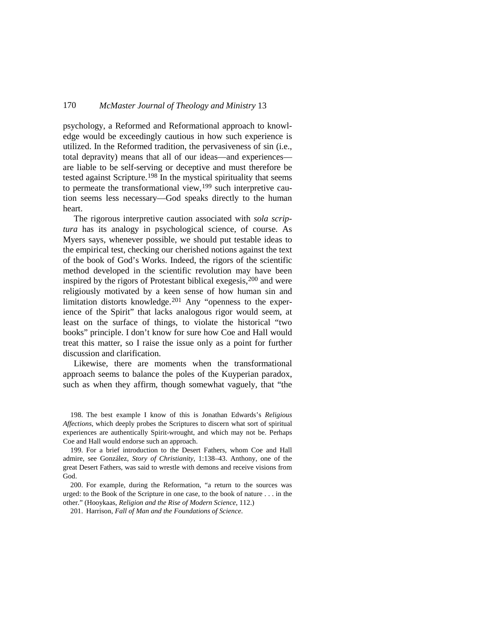psychology, a Reformed and Reformational approach to knowledge would be exceedingly cautious in how such experience is utilized. In the Reformed tradition, the pervasiveness of sin (i.e., total depravity) means that all of our ideas—and experiences are liable to be self-serving or deceptive and must therefore be tested against Scripture.<sup>[198](#page-69-0)</sup> In the mystical spirituality that seems to permeate the transformational view, <sup>[199](#page-69-1)</sup> such interpretive caution seems less necessary—God speaks directly to the human heart.

The rigorous interpretive caution associated with *sola scriptura* has its analogy in psychological science, of course. As Myers says, whenever possible, we should put testable ideas to the empirical test, checking our cherished notions against the text of the book of God's Works. Indeed, the rigors of the scientific method developed in the scientific revolution may have been inspired by the rigors of Protestant biblical exegesis, [200](#page-69-2) and were religiously motivated by a keen sense of how human sin and limitation distorts knowledge.<sup>[201](#page-69-3)</sup> Any "openness to the experience of the Spirit" that lacks analogous rigor would seem, at least on the surface of things, to violate the historical "two books" principle. I don't know for sure how Coe and Hall would treat this matter, so I raise the issue only as a point for further discussion and clarification.

Likewise, there are moments when the transformational approach seems to balance the poles of the Kuyperian paradox, such as when they affirm, though somewhat vaguely, that "the

<span id="page-69-0"></span>198. The best example I know of this is Jonathan Edwards's *Religious Affections*, which deeply probes the Scriptures to discern what sort of spiritual experiences are authentically Spirit-wrought, and which may not be. Perhaps Coe and Hall would endorse such an approach.

<span id="page-69-1"></span>199. For a brief introduction to the Desert Fathers, whom Coe and Hall admire, see González, *Story of Christianity*, 1:138–43. Anthony, one of the great Desert Fathers, was said to wrestle with demons and receive visions from God.

<span id="page-69-3"></span><span id="page-69-2"></span>200. For example, during the Reformation, "a return to the sources was urged: to the Book of the Scripture in one case, to the book of nature . . . in the other." (Hooykaas, *Religion and the Rise of Modern Science*, 112.)

201. Harrison, *Fall of Man and the Foundations of Science*.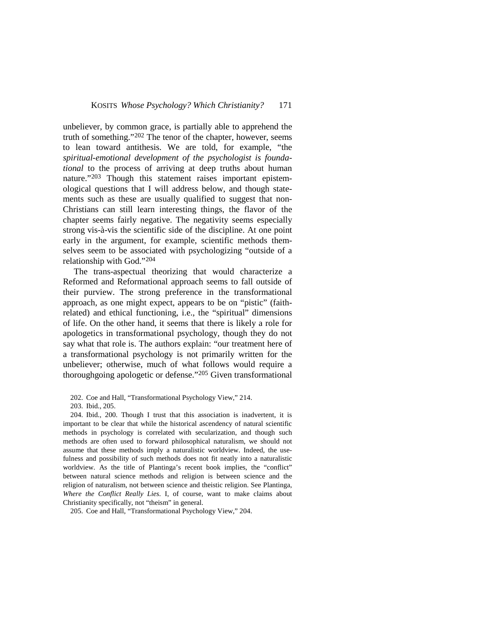unbeliever, by common grace, is partially able to apprehend the truth of something."[202](#page-70-0) The tenor of the chapter, however, seems to lean toward antithesis. We are told, for example, "the *spiritual-emotional development of the psychologist is foundational* to the process of arriving at deep truths about human nature."<sup>[203](#page-70-1)</sup> Though this statement raises important epistemological questions that I will address below, and though statements such as these are usually qualified to suggest that non-Christians can still learn interesting things, the flavor of the chapter seems fairly negative. The negativity seems especially strong vis-à-vis the scientific side of the discipline. At one point early in the argument, for example, scientific methods themselves seem to be associated with psychologizing "outside of a relationship with God."[204](#page-70-2)

The trans-aspectual theorizing that would characterize a Reformed and Reformational approach seems to fall outside of their purview. The strong preference in the transformational approach, as one might expect, appears to be on "pistic" (faithrelated) and ethical functioning, i.e., the "spiritual" dimensions of life. On the other hand, it seems that there is likely a role for apologetics in transformational psychology, though they do not say what that role is. The authors explain: "our treatment here of a transformational psychology is not primarily written for the unbeliever; otherwise, much of what follows would require a thoroughgoing apologetic or defense."[205](#page-70-3) Given transformational

<span id="page-70-2"></span><span id="page-70-1"></span><span id="page-70-0"></span>204. Ibid., 200. Though I trust that this association is inadvertent, it is important to be clear that while the historical ascendency of natural scientific methods in psychology is correlated with secularization, and though such methods are often used to forward philosophical naturalism, we should not assume that these methods imply a naturalistic worldview. Indeed, the usefulness and possibility of such methods does not fit neatly into a naturalistic worldview. As the title of Plantinga's recent book implies, the "conflict" between natural science methods and religion is between science and the religion of naturalism, not between science and theistic religion. See Plantinga, *Where the Conflict Really Lies*. I, of course, want to make claims about Christianity specifically, not "theism" in general.

<span id="page-70-3"></span>205. Coe and Hall, "Transformational Psychology View," 204.

<sup>202.</sup> Coe and Hall, "Transformational Psychology View," 214.

<sup>203.</sup> Ibid., 205.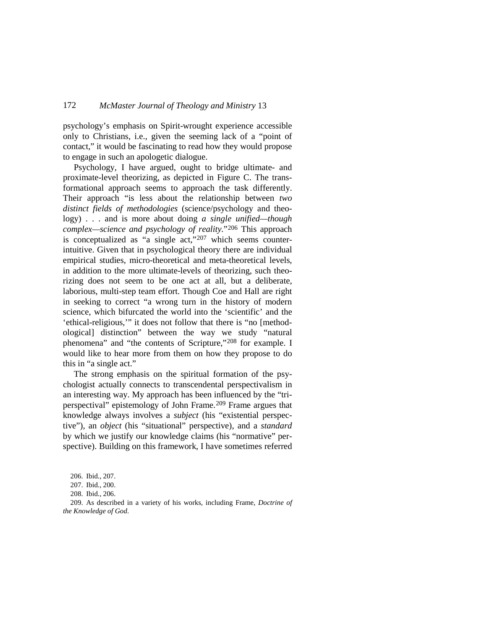psychology's emphasis on Spirit-wrought experience accessible only to Christians, i.e., given the seeming lack of a "point of contact," it would be fascinating to read how they would propose to engage in such an apologetic dialogue.

Psychology, I have argued, ought to bridge ultimate- and proximate-level theorizing, as depicted in Figure C. The transformational approach seems to approach the task differently. Their approach "is less about the relationship between *two distinct fields of methodologies* (science/psychology and theology) . . . and is more about doing *a single unified—though complex—science and psychology of reality.*"[206](#page-71-0) This approach is conceptualized as "a single act,"[207](#page-71-1) which seems counterintuitive. Given that in psychological theory there are individual empirical studies, micro-theoretical and meta-theoretical levels, in addition to the more ultimate-levels of theorizing, such theorizing does not seem to be one act at all, but a deliberate, laborious, multi-step team effort. Though Coe and Hall are right in seeking to correct "a wrong turn in the history of modern science, which bifurcated the world into the 'scientific' and the 'ethical-religious,'" it does not follow that there is "no [methodological] distinction" between the way we study "natural phenomena" and "the contents of Scripture,"<sup>[208](#page-71-2)</sup> for example. I would like to hear more from them on how they propose to do this in "a single act."

The strong emphasis on the spiritual formation of the psychologist actually connects to transcendental perspectivalism in an interesting way. My approach has been influenced by the "triperspectival" epistemology of John Frame. [209](#page-71-3) Frame argues that knowledge always involves a *subject* (his "existential perspective"), an *object* (his "situational" perspective), and a *standard* by which we justify our knowledge claims (his "normative" perspective). Building on this framework, I have sometimes referred

<span id="page-71-3"></span><span id="page-71-2"></span><span id="page-71-1"></span><span id="page-71-0"></span>209. As described in a variety of his works, including Frame, *Doctrine of the Knowledge of God*.

<sup>206.</sup> Ibid., 207.

<sup>207.</sup> Ibid., 200.

<sup>208.</sup> Ibid., 206.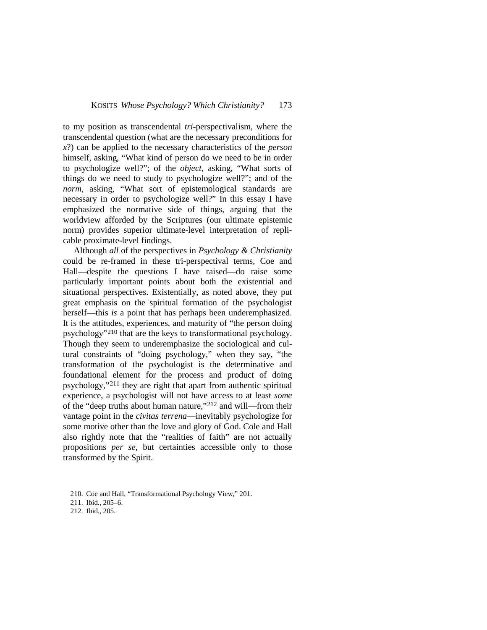to my position as transcendental *tri-*perspectivalism, where the transcendental question (what are the necessary preconditions for *x*?) can be applied to the necessary characteristics of the *person* himself, asking, "What kind of person do we need to be in order to psychologize well?"; of the *object*, asking, "What sorts of things do we need to study to psychologize well?"; and of the *norm*, asking, "What sort of epistemological standards are necessary in order to psychologize well?" In this essay I have emphasized the normative side of things, arguing that the worldview afforded by the Scriptures (our ultimate epistemic norm) provides superior ultimate-level interpretation of replicable proximate-level findings.

Although *all* of the perspectives in *Psychology & Christianity*  could be re-framed in these tri-perspectival terms, Coe and Hall—despite the questions I have raised—do raise some particularly important points about both the existential and situational perspectives. Existentially, as noted above, they put great emphasis on the spiritual formation of the psychologist herself—this *is* a point that has perhaps been underemphasized. It is the attitudes, experiences, and maturity of "the person doing psychology"[210](#page-72-0) that are the keys to transformational psychology. Though they seem to underemphasize the sociological and cultural constraints of "doing psychology," when they say, "the transformation of the psychologist is the determinative and foundational element for the process and product of doing psychology,"[211](#page-72-1) they are right that apart from authentic spiritual experience, a psychologist will not have access to at least *some* of the "deep truths about human nature,"[212](#page-72-2) and will—from their vantage point in the *civitas terrena*—inevitably psychologize for some motive other than the love and glory of God. Cole and Hall also rightly note that the "realities of faith" are not actually propositions *per se*, but certainties accessible only to those transformed by the Spirit.

<span id="page-72-0"></span><sup>210.</sup> Coe and Hall, "Transformational Psychology View," 201.

<span id="page-72-2"></span><span id="page-72-1"></span><sup>211.</sup> Ibid., 205–6.

<sup>212.</sup> Ibid., 205.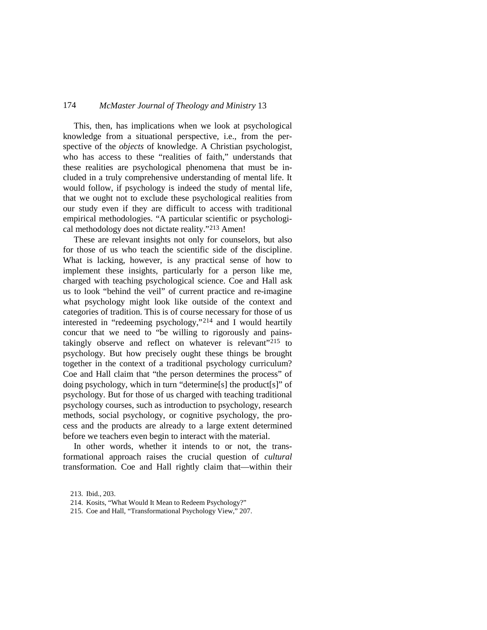This, then, has implications when we look at psychological knowledge from a situational perspective, i.e., from the perspective of the *objects* of knowledge. A Christian psychologist, who has access to these "realities of faith," understands that these realities are psychological phenomena that must be included in a truly comprehensive understanding of mental life. It would follow, if psychology is indeed the study of mental life, that we ought not to exclude these psychological realities from our study even if they are difficult to access with traditional empirical methodologies. "A particular scientific or psychologi-cal methodology does not dictate reality."<sup>[213](#page-73-0)</sup> Amen!

These are relevant insights not only for counselors, but also for those of us who teach the scientific side of the discipline. What is lacking, however, is any practical sense of how to implement these insights, particularly for a person like me, charged with teaching psychological science. Coe and Hall ask us to look "behind the veil" of current practice and re-imagine what psychology might look like outside of the context and categories of tradition. This is of course necessary for those of us interested in "redeeming psychology," [214](#page-73-1) and I would heartily concur that we need to "be willing to rigorously and pains-takingly observe and reflect on whatever is relevant"<sup>[215](#page-73-2)</sup> to psychology. But how precisely ought these things be brought together in the context of a traditional psychology curriculum? Coe and Hall claim that "the person determines the process" of doing psychology, which in turn "determine[s] the product[s]" of psychology. But for those of us charged with teaching traditional psychology courses, such as introduction to psychology, research methods, social psychology, or cognitive psychology, the process and the products are already to a large extent determined before we teachers even begin to interact with the material.

In other words, whether it intends to or not, the transformational approach raises the crucial question of *cultural* transformation. Coe and Hall rightly claim that—within their

<span id="page-73-0"></span><sup>213.</sup> Ibid., 203.

<span id="page-73-1"></span><sup>214.</sup> Kosits, "What Would It Mean to Redeem Psychology?"

<span id="page-73-2"></span><sup>215.</sup> Coe and Hall, "Transformational Psychology View," 207.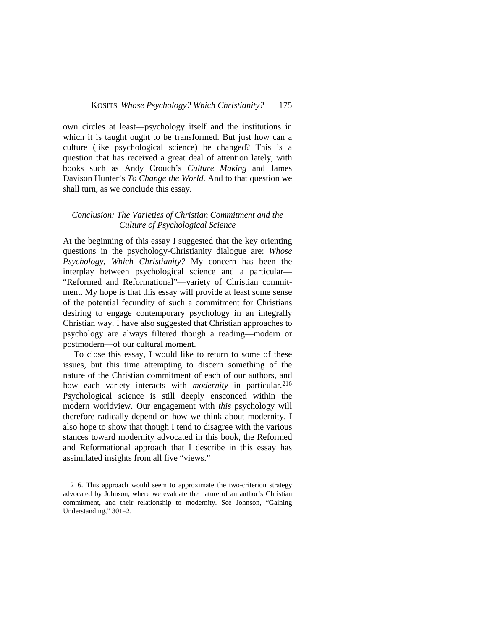own circles at least—psychology itself and the institutions in which it is taught ought to be transformed. But just how can a culture (like psychological science) be changed? This is a question that has received a great deal of attention lately, with books such as Andy Crouch's *Culture Making* and James Davison Hunter's *To Change the World.* And to that question we shall turn, as we conclude this essay.

# *Conclusion: The Varieties of Christian Commitment and the Culture of Psychological Science*

At the beginning of this essay I suggested that the key orienting questions in the psychology-Christianity dialogue are: *Whose Psychology, Which Christianity?* My concern has been the interplay between psychological science and a particular— "Reformed and Reformational"—variety of Christian commitment. My hope is that this essay will provide at least some sense of the potential fecundity of such a commitment for Christians desiring to engage contemporary psychology in an integrally Christian way. I have also suggested that Christian approaches to psychology are always filtered though a reading—modern or postmodern—of our cultural moment.

To close this essay, I would like to return to some of these issues, but this time attempting to discern something of the nature of the Christian commitment of each of our authors, and how each variety interacts with *modernity* in particular.<sup>[216](#page-74-0)</sup> Psychological science is still deeply ensconced within the modern worldview. Our engagement with *this* psychology will therefore radically depend on how we think about modernity. I also hope to show that though I tend to disagree with the various stances toward modernity advocated in this book, the Reformed and Reformational approach that I describe in this essay has assimilated insights from all five "views."

<span id="page-74-0"></span><sup>216.</sup> This approach would seem to approximate the two-criterion strategy advocated by Johnson, where we evaluate the nature of an author's Christian commitment, and their relationship to modernity. See Johnson, "Gaining Understanding," 301–2.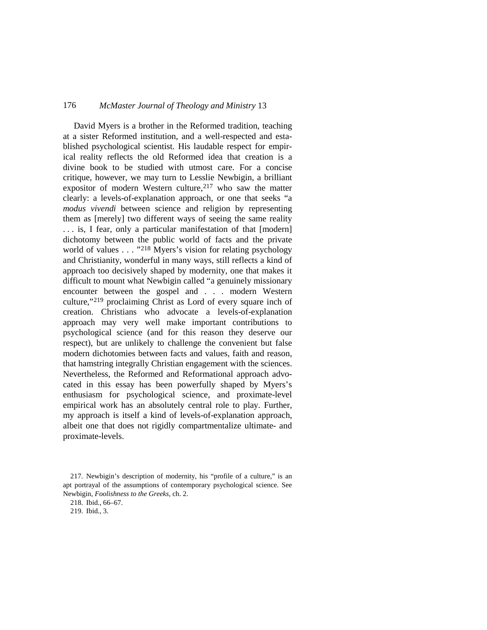David Myers is a brother in the Reformed tradition, teaching at a sister Reformed institution, and a well-respected and established psychological scientist. His laudable respect for empirical reality reflects the old Reformed idea that creation is a divine book to be studied with utmost care. For a concise critique, however, we may turn to Lesslie Newbigin, a brilliant expositor of modern Western culture, $217$  who saw the matter clearly: a levels-of-explanation approach, or one that seeks "a *modus vivendi* between science and religion by representing them as [merely] two different ways of seeing the same reality . . . is, I fear, only a particular manifestation of that [modern] dichotomy between the public world of facts and the private world of values . . . "<sup>[218](#page-75-1)</sup> Myers's vision for relating psychology and Christianity, wonderful in many ways, still reflects a kind of approach too decisively shaped by modernity, one that makes it difficult to mount what Newbigin called "a genuinely missionary encounter between the gospel and . . . modern Western culture,"[219](#page-75-2) proclaiming Christ as Lord of every square inch of creation. Christians who advocate a levels-of-explanation approach may very well make important contributions to psychological science (and for this reason they deserve our respect), but are unlikely to challenge the convenient but false modern dichotomies between facts and values, faith and reason, that hamstring integrally Christian engagement with the sciences. Nevertheless, the Reformed and Reformational approach advocated in this essay has been powerfully shaped by Myers's enthusiasm for psychological science, and proximate-level empirical work has an absolutely central role to play. Further, my approach is itself a kind of levels-of-explanation approach, albeit one that does not rigidly compartmentalize ultimate- and proximate-levels.

<span id="page-75-1"></span><span id="page-75-0"></span><sup>217.</sup> Newbigin's description of modernity, his "profile of a culture," is an apt portrayal of the assumptions of contemporary psychological science. See Newbigin, *Foolishness to the Greeks*, ch. 2.

<sup>218.</sup> Ibid., 66–67.

<span id="page-75-2"></span><sup>219.</sup> Ibid., 3.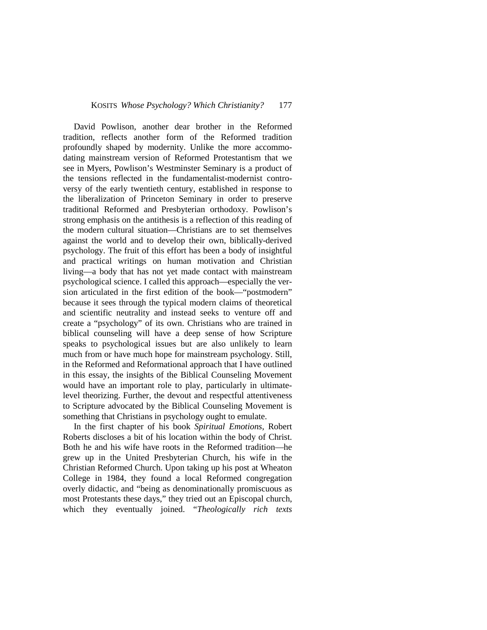David Powlison, another dear brother in the Reformed tradition, reflects another form of the Reformed tradition profoundly shaped by modernity. Unlike the more accommodating mainstream version of Reformed Protestantism that we see in Myers, Powlison's Westminster Seminary is a product of the tensions reflected in the fundamentalist-modernist controversy of the early twentieth century, established in response to the liberalization of Princeton Seminary in order to preserve traditional Reformed and Presbyterian orthodoxy. Powlison's strong emphasis on the antithesis is a reflection of this reading of the modern cultural situation—Christians are to set themselves against the world and to develop their own, biblically-derived psychology. The fruit of this effort has been a body of insightful and practical writings on human motivation and Christian living—a body that has not yet made contact with mainstream psychological science. I called this approach—especially the version articulated in the first edition of the book—"postmodern" because it sees through the typical modern claims of theoretical and scientific neutrality and instead seeks to venture off and create a "psychology" of its own. Christians who are trained in biblical counseling will have a deep sense of how Scripture speaks to psychological issues but are also unlikely to learn much from or have much hope for mainstream psychology. Still, in the Reformed and Reformational approach that I have outlined in this essay, the insights of the Biblical Counseling Movement would have an important role to play, particularly in ultimatelevel theorizing. Further, the devout and respectful attentiveness to Scripture advocated by the Biblical Counseling Movement is something that Christians in psychology ought to emulate.

In the first chapter of his book *Spiritual Emotions*, Robert Roberts discloses a bit of his location within the body of Christ. Both he and his wife have roots in the Reformed tradition—he grew up in the United Presbyterian Church, his wife in the Christian Reformed Church. Upon taking up his post at Wheaton College in 1984, they found a local Reformed congregation overly didactic, and "being as denominationally promiscuous as most Protestants these days," they tried out an Episcopal church, which they eventually joined. "*Theologically rich texts*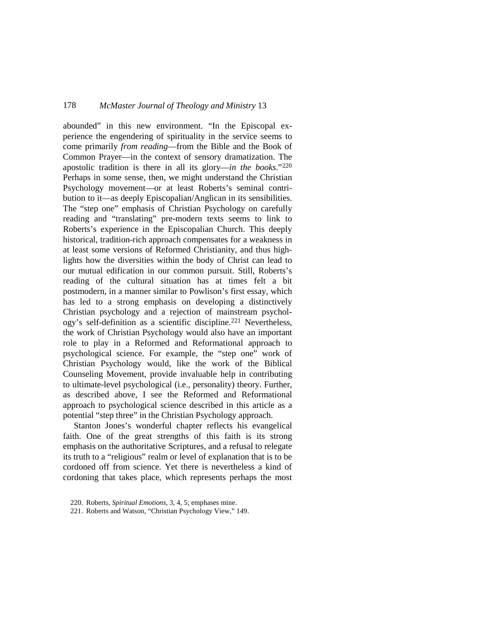abounded" in this new environment. "In the Episcopal experience the engendering of spirituality in the service seems to come primarily *from reading*—from the Bible and the Book of Common Prayer—in the context of sensory dramatization. The apostolic tradition is there in all its glory—*in the books*."[220](#page-77-0) Perhaps in some sense, then, we might understand the Christian Psychology movement—or at least Roberts's seminal contribution to it—as deeply Episcopalian/Anglican in its sensibilities. The "step one" emphasis of Christian Psychology on carefully reading and "translating" pre-modern texts seems to link to Roberts's experience in the Episcopalian Church. This deeply historical, tradition-rich approach compensates for a weakness in at least some versions of Reformed Christianity, and thus highlights how the diversities within the body of Christ can lead to our mutual edification in our common pursuit. Still, Roberts's reading of the cultural situation has at times felt a bit postmodern, in a manner similar to Powlison's first essay, which has led to a strong emphasis on developing a distinctively Christian psychology and a rejection of mainstream psychol-ogy's self-definition as a scientific discipline.<sup>[221](#page-77-1)</sup> Nevertheless, the work of Christian Psychology would also have an important role to play in a Reformed and Reformational approach to psychological science. For example, the "step one" work of Christian Psychology would, like the work of the Biblical Counseling Movement, provide invaluable help in contributing to ultimate-level psychological (i.e., personality) theory. Further, as described above, I see the Reformed and Reformational approach to psychological science described in this article as a potential "step three" in the Christian Psychology approach.

Stanton Jones's wonderful chapter reflects his evangelical faith. One of the great strengths of this faith is its strong emphasis on the authoritative Scriptures, and a refusal to relegate its truth to a "religious" realm or level of explanation that is to be cordoned off from science. Yet there is nevertheless a kind of cordoning that takes place, which represents perhaps the most

<span id="page-77-0"></span><sup>220.</sup> Roberts, *Spiritual Emotions*, 3, 4, 5; emphases mine.

<span id="page-77-1"></span><sup>221.</sup> Roberts and Watson, "Christian Psychology View," 149.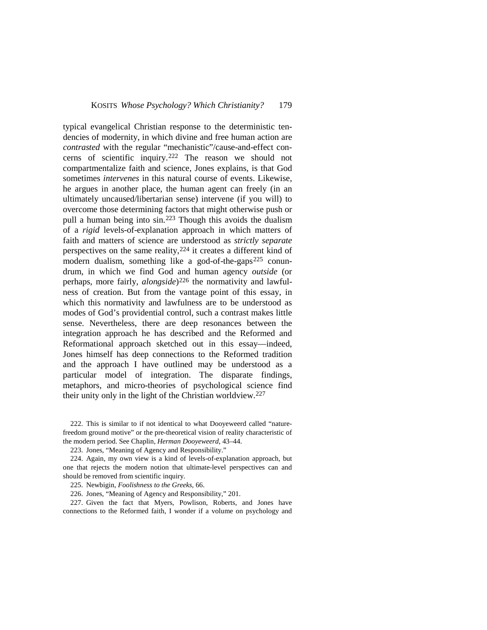typical evangelical Christian response to the deterministic tendencies of modernity, in which divine and free human action are *contrasted* with the regular "mechanistic"/cause-and-effect concerns of scientific inquiry.[222](#page-78-0) The reason we should not compartmentalize faith and science, Jones explains, is that God sometimes *intervenes* in this natural course of events. Likewise, he argues in another place, the human agent can freely (in an ultimately uncaused/libertarian sense) intervene (if you will) to overcome those determining factors that might otherwise push or pull a human being into sin.[223](#page-78-1) Though this avoids the dualism of a *rigid* levels-of-explanation approach in which matters of faith and matters of science are understood as *strictly separate* perspectives on the same reality,  $224$  it creates a different kind of modern dualism, something like a god-of-the-gaps<sup>[225](#page-78-3)</sup> conundrum, in which we find God and human agency *outside* (or perhaps, more fairly, *alongside*)<sup>[226](#page-78-4)</sup> the normativity and lawfulness of creation. But from the vantage point of this essay, in which this normativity and lawfulness are to be understood as modes of God's providential control, such a contrast makes little sense. Nevertheless, there are deep resonances between the integration approach he has described and the Reformed and Reformational approach sketched out in this essay—indeed, Jones himself has deep connections to the Reformed tradition and the approach I have outlined may be understood as a particular model of integration. The disparate findings, metaphors, and micro-theories of psychological science find their unity only in the light of the Christian worldview.[227](#page-78-5)

<span id="page-78-0"></span>222. This is similar to if not identical to what Dooyeweerd called "naturefreedom ground motive" or the pre-theoretical vision of reality characteristic of the modern period. See Chaplin, *Herman Dooyeweerd*, 43–44.

<span id="page-78-2"></span><span id="page-78-1"></span>224. Again, my own view is a kind of levels-of-explanation approach, but one that rejects the modern notion that ultimate-level perspectives can and should be removed from scientific inquiry.

225. Newbigin, *Foolishness to the Greeks*, 66.

226. Jones, "Meaning of Agency and Responsibility," 201.

<span id="page-78-5"></span><span id="page-78-4"></span><span id="page-78-3"></span>227. Given the fact that Myers, Powlison, Roberts, and Jones have connections to the Reformed faith, I wonder if a volume on psychology and

<sup>223.</sup> Jones, "Meaning of Agency and Responsibility."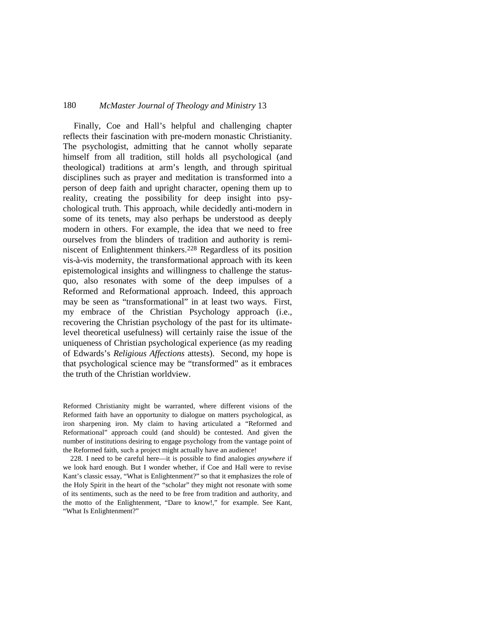Finally, Coe and Hall's helpful and challenging chapter reflects their fascination with pre-modern monastic Christianity. The psychologist, admitting that he cannot wholly separate himself from all tradition, still holds all psychological (and theological) traditions at arm's length, and through spiritual disciplines such as prayer and meditation is transformed into a person of deep faith and upright character, opening them up to reality, creating the possibility for deep insight into psychological truth. This approach, while decidedly anti-modern in some of its tenets, may also perhaps be understood as deeply modern in others. For example, the idea that we need to free ourselves from the blinders of tradition and authority is reminiscent of Enlightenment thinkers[.228](#page-79-0) Regardless of its position vis-à-vis modernity, the transformational approach with its keen epistemological insights and willingness to challenge the statusquo, also resonates with some of the deep impulses of a Reformed and Reformational approach. Indeed, this approach may be seen as "transformational" in at least two ways. First, my embrace of the Christian Psychology approach (i.e., recovering the Christian psychology of the past for its ultimatelevel theoretical usefulness) will certainly raise the issue of the uniqueness of Christian psychological experience (as my reading of Edwards's *Religious Affections* attests). Second, my hope is that psychological science may be "transformed" as it embraces the truth of the Christian worldview.

Reformed Christianity might be warranted, where different visions of the Reformed faith have an opportunity to dialogue on matters psychological, as iron sharpening iron. My claim to having articulated a "Reformed and Reformational" approach could (and should) be contested. And given the number of institutions desiring to engage psychology from the vantage point of the Reformed faith, such a project might actually have an audience!

<span id="page-79-0"></span>228. I need to be careful here—it is possible to find analogies *anywhere* if we look hard enough. But I wonder whether, if Coe and Hall were to revise Kant's classic essay, "What is Enlightenment?" so that it emphasizes the role of the Holy Spirit in the heart of the "scholar" they might not resonate with some of its sentiments, such as the need to be free from tradition and authority, and the motto of the Enlightenment, "Dare to know!," for example. See Kant, "What Is Enlightenment?"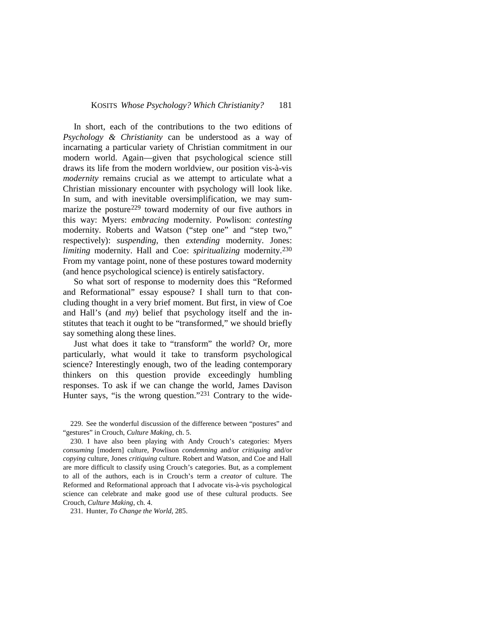In short, each of the contributions to the two editions of *Psychology & Christianity* can be understood as a way of incarnating a particular variety of Christian commitment in our modern world. Again—given that psychological science still draws its life from the modern worldview, our position vis-à-vis *modernity* remains crucial as we attempt to articulate what a Christian missionary encounter with psychology will look like. In sum, and with inevitable oversimplification, we may sum-marize the posture<sup>[229](#page-80-0)</sup> toward modernity of our five authors in this way: Myers: *embracing* modernity. Powlison: *contesting* modernity. Roberts and Watson ("step one" and "step two," respectively): *suspending*, then *extending* modernity. Jones: *limiting* modernity. Hall and Coe: *spiritualizing* modernity. [230](#page-80-1) From my vantage point, none of these postures toward modernity (and hence psychological science) is entirely satisfactory.

So what sort of response to modernity does this "Reformed and Reformational" essay espouse? I shall turn to that concluding thought in a very brief moment. But first, in view of Coe and Hall's (and *my*) belief that psychology itself and the institutes that teach it ought to be "transformed," we should briefly say something along these lines.

Just what does it take to "transform" the world? Or, more particularly, what would it take to transform psychological science? Interestingly enough, two of the leading contemporary thinkers on this question provide exceedingly humbling responses. To ask if we can change the world, James Davison Hunter says, "is the wrong question."<sup>[231](#page-80-2)</sup> Contrary to the wide-

<span id="page-80-0"></span>229. See the wonderful discussion of the difference between "postures" and "gestures" in Crouch, *Culture Making*, ch. 5.

<span id="page-80-1"></span>230. I have also been playing with Andy Crouch's categories: Myers *consuming* [modern] culture, Powlison *condemning* and/or *critiquing* and/or *copying* culture, Jones *critiquing* culture. Robert and Watson, and Coe and Hall are more difficult to classify using Crouch's categories. But, as a complement to all of the authors, each is in Crouch's term a *creator* of culture. The Reformed and Reformational approach that I advocate vis-à-vis psychological science can celebrate and make good use of these cultural products. See Crouch, *Culture Making*, ch. 4.

<span id="page-80-2"></span>231. Hunter, *To Change the World*, 285.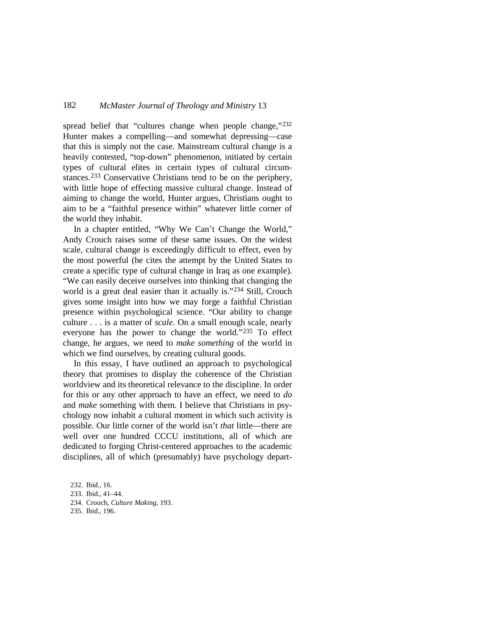spread belief that "cultures change when people change,"[232](#page-81-0) Hunter makes a compelling—and somewhat depressing—case that this is simply not the case. Mainstream cultural change is a heavily contested, "top-down" phenomenon, initiated by certain types of cultural elites in certain types of cultural circum-stances.<sup>[233](#page-81-1)</sup> Conservative Christians tend to be on the periphery, with little hope of effecting massive cultural change. Instead of aiming to change the world, Hunter argues, Christians ought to aim to be a "faithful presence within" whatever little corner of the world they inhabit.

In a chapter entitled, "Why We Can't Change the World," Andy Crouch raises some of these same issues. On the widest scale, cultural change is exceedingly difficult to effect, even by the most powerful (he cites the attempt by the United States to create a specific type of cultural change in Iraq as one example). "We can easily deceive ourselves into thinking that changing the world is a great deal easier than it actually is." [234](#page-81-2) Still, Crouch gives some insight into how we may forge a faithful Christian presence within psychological science. "Our ability to change culture . . . is a matter of *scale*. On a small enough scale, nearly everyone has the power to change the world."[235](#page-81-3) To effect change, he argues, we need to *make something* of the world in which we find ourselves, by creating cultural goods.

In this essay, I have outlined an approach to psychological theory that promises to display the coherence of the Christian worldview and its theoretical relevance to the discipline. In order for this or any other approach to have an effect, we need to *do* and *make* something with them. I believe that Christians in psychology now inhabit a cultural moment in which such activity is possible. Our little corner of the world isn't *that* little—there are well over one hundred CCCU institutions, all of which are dedicated to forging Christ-centered approaches to the academic disciplines, all of which (presumably) have psychology depart-

<span id="page-81-1"></span><span id="page-81-0"></span>232. Ibid., 16.

<span id="page-81-2"></span>234. Crouch, *Culture Making*, 193.

<span id="page-81-3"></span>235. Ibid., 196.

<sup>233.</sup> Ibid., 41–44.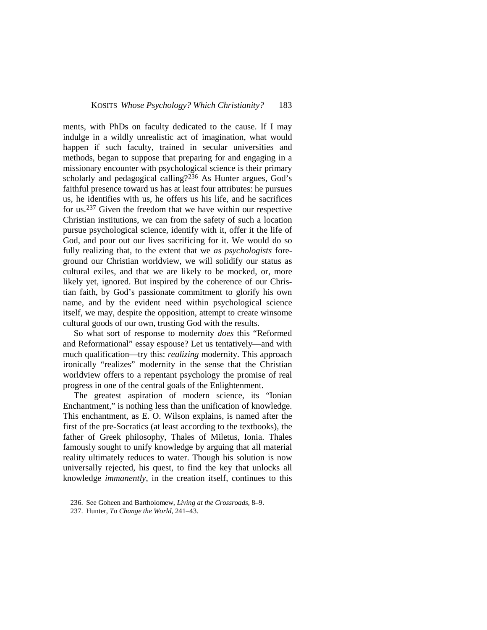ments, with PhDs on faculty dedicated to the cause. If I may indulge in a wildly unrealistic act of imagination, what would happen if such faculty, trained in secular universities and methods, began to suppose that preparing for and engaging in a missionary encounter with psychological science is their primary scholarly and pedagogical calling?[236](#page-82-0) As Hunter argues, God's faithful presence toward us has at least four attributes: he pursues us, he identifies with us, he offers us his life, and he sacrifices for us.<sup>[237](#page-82-1)</sup> Given the freedom that we have within our respective Christian institutions, we can from the safety of such a location pursue psychological science, identify with it, offer it the life of God, and pour out our lives sacrificing for it. We would do so fully realizing that, to the extent that we *as psychologists* foreground our Christian worldview, we will solidify our status as cultural exiles, and that we are likely to be mocked, or, more likely yet, ignored. But inspired by the coherence of our Christian faith, by God's passionate commitment to glorify his own name, and by the evident need within psychological science itself, we may, despite the opposition, attempt to create winsome cultural goods of our own, trusting God with the results.

So what sort of response to modernity *does* this "Reformed and Reformational" essay espouse? Let us tentatively—and with much qualification—try this: *realizing* modernity. This approach ironically "realizes" modernity in the sense that the Christian worldview offers to a repentant psychology the promise of real progress in one of the central goals of the Enlightenment.

The greatest aspiration of modern science, its "Ionian Enchantment," is nothing less than the unification of knowledge. This enchantment, as E. O. Wilson explains, is named after the first of the pre-Socratics (at least according to the textbooks), the father of Greek philosophy, Thales of Miletus, Ionia. Thales famously sought to unify knowledge by arguing that all material reality ultimately reduces to water. Though his solution is now universally rejected, his quest, to find the key that unlocks all knowledge *immanently*, in the creation itself, continues to this

<span id="page-82-1"></span>237. Hunter, *To Change the World*, 241–43.

<span id="page-82-0"></span><sup>236.</sup> See Goheen and Bartholomew, *Living at the Crossroads*, 8–9.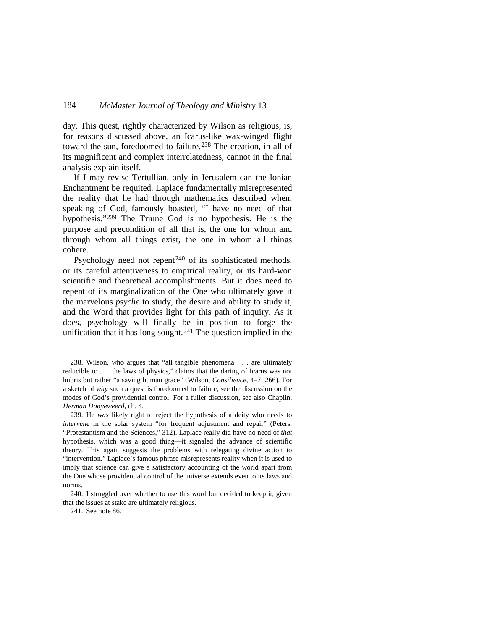day. This quest, rightly characterized by Wilson as religious, is, for reasons discussed above, an Icarus-like wax-winged flight toward the sun, foredoomed to failure.<sup>[238](#page-83-0)</sup> The creation, in all of its magnificent and complex interrelatedness, cannot in the final analysis explain itself.

If I may revise Tertullian, only in Jerusalem can the Ionian Enchantment be requited. Laplace fundamentally misrepresented the reality that he had through mathematics described when, speaking of God, famously boasted, "I have no need of that hypothesis." [239](#page-83-1) The Triune God is no hypothesis. He is the purpose and precondition of all that is, the one for whom and through whom all things exist, the one in whom all things cohere.

Psychology need not repent<sup>[240](#page-83-2)</sup> of its sophisticated methods, or its careful attentiveness to empirical reality, or its hard-won scientific and theoretical accomplishments. But it does need to repent of its marginalization of the One who ultimately gave it the marvelous *psyche* to study, the desire and ability to study it, and the Word that provides light for this path of inquiry. As it does, psychology will finally be in position to forge the unification that it has long sought. $241$  The question implied in the

<span id="page-83-0"></span>238. Wilson, who argues that "all tangible phenomena . . . are ultimately reducible to . . . the laws of physics," claims that the daring of Icarus was not hubris but rather "a saving human grace" (Wilson, *Consilience*, 4–7, 266). For a sketch of *why* such a quest is foredoomed to failure, see the discussion on the modes of God's providential control. For a fuller discussion, see also Chaplin, *Herman Dooyeweerd*, ch. 4.

<span id="page-83-1"></span>239. He *was* likely right to reject the hypothesis of a deity who needs to *intervene* in the solar system "for frequent adjustment and repair" (Peters, "Protestantism and the Sciences," 312). Laplace really did have no need of *that*  hypothesis, which was a good thing—it signaled the advance of scientific theory. This again suggests the problems with relegating divine action to "intervention." Laplace's famous phrase misrepresents reality when it is used to imply that science can give a satisfactory accounting of the world apart from the One whose providential control of the universe extends even to its laws and norms.

<span id="page-83-3"></span><span id="page-83-2"></span>240. I struggled over whether to use this word but decided to keep it, given that the issues at stake are ultimately religious.

241. See not[e 86.](#page-34-0)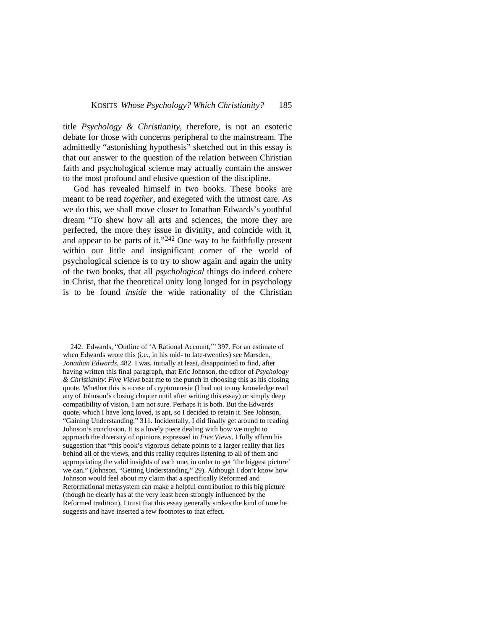title *Psychology & Christianity*, therefore, is not an esoteric debate for those with concerns peripheral to the mainstream. The admittedly "astonishing hypothesis" sketched out in this essay is that our answer to the question of the relation between Christian faith and psychological science may actually contain the answer to the most profound and elusive question of the discipline.

God has revealed himself in two books. These books are meant to be read *together*, and exegeted with the utmost care. As we do this, we shall move closer to Jonathan Edwards's youthful dream "To shew how all arts and sciences, the more they are perfected, the more they issue in divinity, and coincide with it, and appear to be parts of it."[242](#page-84-0) One way to be faithfully present within our little and insignificant corner of the world of psychological science is to try to show again and again the unity of the two books, that all *psychological* things do indeed cohere in Christ, that the theoretical unity long longed for in psychology is to be found *inside* the wide rationality of the Christian

<span id="page-84-0"></span>242. Edwards, "Outline of 'A Rational Account,'" 397. For an estimate of when Edwards wrote this (i.e., in his mid- to late-twenties) see Marsden, *Jonathan Edwards*, 482. I was, initially at least, disappointed to find, after having written this final paragraph, that Eric Johnson, the editor of *Psychology & Christianity*: *Five Views* beat me to the punch in choosing this as his closing quote. Whether this is a case of cryptomnesia (I had not to my knowledge read any of Johnson's closing chapter until after writing this essay) or simply deep compatibility of vision, I am not sure. Perhaps it is both. But the Edwards quote, which I have long loved, is apt, so I decided to retain it. See Johnson, "Gaining Understanding," 311. Incidentally, I did finally get around to reading Johnson's conclusion. It is a lovely piece dealing with how we ought to approach the diversity of opinions expressed in *Five Views*. I fully affirm his suggestion that "this book's vigorous debate points to a larger reality that lies behind all of the views, and this reality requires listening to all of them and appropriating the valid insights of each one, in order to get 'the biggest picture' we can." (Johnson, "Getting Understanding," 29). Although I don't know how Johnson would feel about my claim that a specifically Reformed and Reformational metasystem can make a helpful contribution to this big picture (though he clearly has at the very least been strongly influenced by the Reformed tradition), I trust that this essay generally strikes the kind of tone he suggests and have inserted a few footnotes to that effect.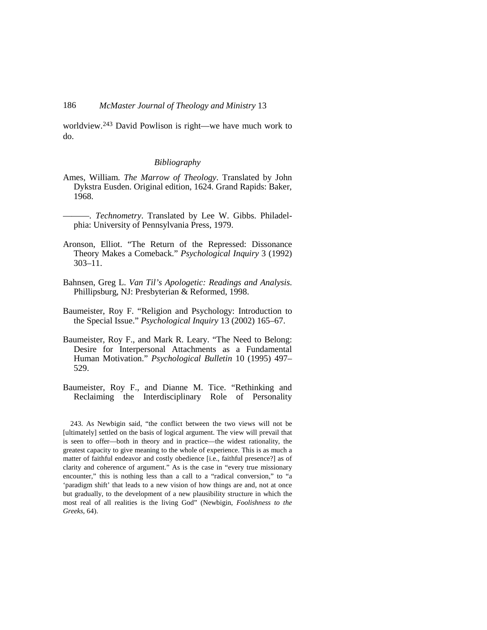worldview[.243](#page-85-0) David Powlison is right—we have much work to do.

#### *Bibliography*

- Ames, William. *The Marrow of Theology*. Translated by John Dykstra Eusden. Original edition, 1624. Grand Rapids: Baker, 1968.
- ———. *Technometry*. Translated by Lee W. Gibbs. Philadelphia: University of Pennsylvania Press, 1979.
- Aronson, Elliot. "The Return of the Repressed: Dissonance Theory Makes a Comeback." *Psychological Inquiry* 3 (1992) 303–11.
- Bahnsen, Greg L. *Van Til's Apologetic: Readings and Analysis*. Phillipsburg, NJ: Presbyterian & Reformed, 1998.
- Baumeister, Roy F. "Religion and Psychology: Introduction to the Special Issue." *Psychological Inquiry* 13 (2002) 165–67.
- Baumeister, Roy F., and Mark R. Leary. "The Need to Belong: Desire for Interpersonal Attachments as a Fundamental Human Motivation." *Psychological Bulletin* 10 (1995) 497– 529.
- Baumeister, Roy F., and Dianne M. Tice. "Rethinking and Reclaiming the Interdisciplinary Role of Personality

<span id="page-85-0"></span>243. As Newbigin said, "the conflict between the two views will not be [ultimately] settled on the basis of logical argument. The view will prevail that is seen to offer—both in theory and in practice—the widest rationality, the greatest capacity to give meaning to the whole of experience. This is as much a matter of faithful endeavor and costly obedience [i.e., faithful presence?] as of clarity and coherence of argument." As is the case in "every true missionary encounter," this is nothing less than a call to a "radical conversion," to "a 'paradigm shift' that leads to a new vision of how things are and, not at once but gradually, to the development of a new plausibility structure in which the most real of all realities is the living God" (Newbigin, *Foolishness to the Greeks*, 64).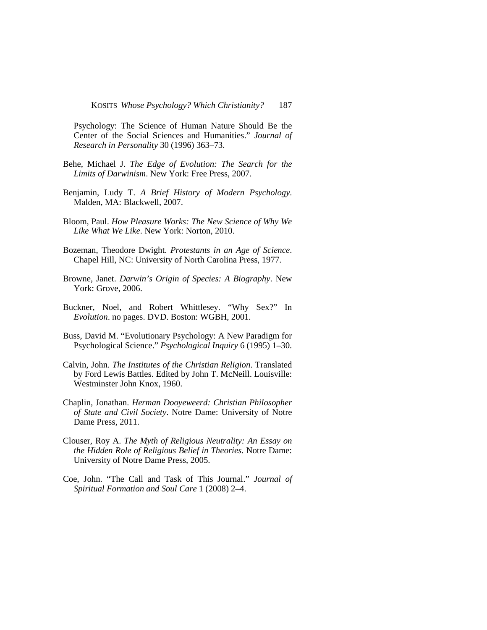Psychology: The Science of Human Nature Should Be the Center of the Social Sciences and Humanities." *Journal of Research in Personality* 30 (1996) 363–73.

- Behe, Michael J. *The Edge of Evolution: The Search for the Limits of Darwinism*. New York: Free Press, 2007.
- Benjamin, Ludy T. *A Brief History of Modern Psychology*. Malden, MA: Blackwell, 2007.
- Bloom, Paul. *How Pleasure Works: The New Science of Why We Like What We Like*. New York: Norton, 2010.
- Bozeman, Theodore Dwight. *Protestants in an Age of Science*. Chapel Hill, NC: University of North Carolina Press, 1977.
- Browne, Janet. *Darwin's Origin of Species: A Biography*. New York: Grove, 2006.
- Buckner, Noel, and Robert Whittlesey. "Why Sex?" In *Evolution*. no pages. DVD. Boston: WGBH, 2001.
- Buss, David M. "Evolutionary Psychology: A New Paradigm for Psychological Science." *Psychological Inquiry* 6 (1995) 1–30.
- Calvin, John. *The Institutes of the Christian Religion*. Translated by Ford Lewis Battles. Edited by John T. McNeill. Louisville: Westminster John Knox, 1960.
- Chaplin, Jonathan. *Herman Dooyeweerd: Christian Philosopher of State and Civil Society*. Notre Dame: University of Notre Dame Press, 2011.
- Clouser, Roy A. *The Myth of Religious Neutrality: An Essay on the Hidden Role of Religious Belief in Theories*. Notre Dame: University of Notre Dame Press, 2005.
- Coe, John. "The Call and Task of This Journal." *Journal of Spiritual Formation and Soul Care* 1 (2008) 2–4.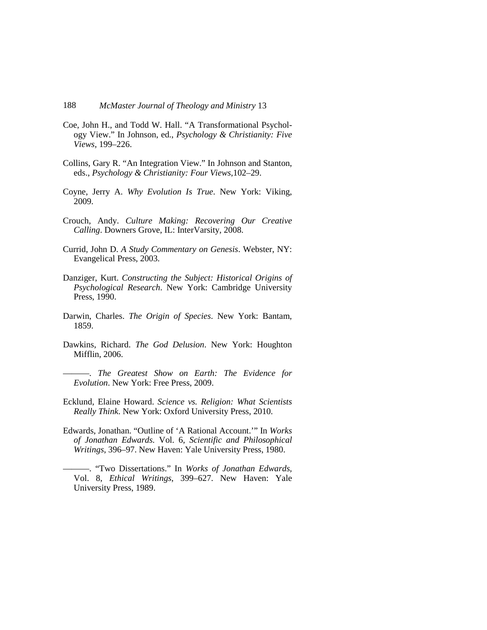- Coe, John H., and Todd W. Hall. "A Transformational Psychology View." In Johnson, ed., *Psychology & Christianity: Five Views*, 199–226.
- Collins, Gary R. "An Integration View." In Johnson and Stanton, eds., *Psychology & Christianity: Four Views*,102–29.
- Coyne, Jerry A. *Why Evolution Is True*. New York: Viking, 2009.
- Crouch, Andy. *Culture Making: Recovering Our Creative Calling*. Downers Grove, IL: InterVarsity, 2008.
- Currid, John D. *A Study Commentary on Genesis*. Webster, NY: Evangelical Press, 2003.
- Danziger, Kurt. *Constructing the Subject: Historical Origins of Psychological Research*. New York: Cambridge University Press, 1990.
- Darwin, Charles. *The Origin of Species*. New York: Bantam, 1859.
- Dawkins, Richard. *The God Delusion*. New York: Houghton Mifflin, 2006.
	- ———. *The Greatest Show on Earth: The Evidence for Evolution*. New York: Free Press, 2009.
- Ecklund, Elaine Howard. *Science vs. Religion: What Scientists Really Think*. New York: Oxford University Press, 2010.
- Edwards, Jonathan. "Outline of 'A Rational Account.'" In *Works of Jonathan Edwards.* Vol. 6, *Scientific and Philosophical Writings*, 396–97. New Haven: Yale University Press, 1980.
	- ———. "Two Dissertations." In *Works of Jonathan Edwards,*  Vol. 8, *Ethical Writings*, 399–627. New Haven: Yale University Press, 1989.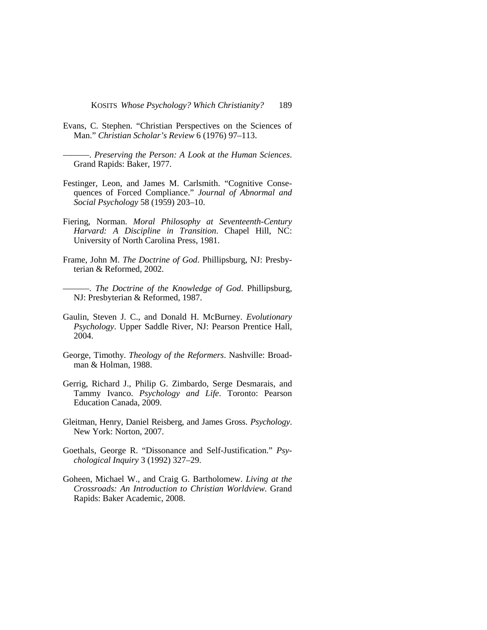KOSITS *Whose Psychology? Which Christianity?* 189

- Evans, C. Stephen. "Christian Perspectives on the Sciences of Man." *Christian Scholar's Review* 6 (1976) 97–113.
	- ———. *Preserving the Person: A Look at the Human Sciences*. Grand Rapids: Baker, 1977.
- Festinger, Leon, and James M. Carlsmith. "Cognitive Consequences of Forced Compliance." *Journal of Abnormal and Social Psychology* 58 (1959) 203–10.
- Fiering, Norman. *Moral Philosophy at Seventeenth-Century Harvard: A Discipline in Transition*. Chapel Hill, NC: University of North Carolina Press, 1981.
- Frame, John M. *The Doctrine of God*. Phillipsburg, NJ: Presbyterian & Reformed, 2002.
	- ———. *The Doctrine of the Knowledge of God*. Phillipsburg, NJ: Presbyterian & Reformed, 1987.
- Gaulin, Steven J. C., and Donald H. McBurney. *Evolutionary Psychology*. Upper Saddle River, NJ: Pearson Prentice Hall, 2004.
- George, Timothy. *Theology of the Reformers*. Nashville: Broadman & Holman, 1988.
- Gerrig, Richard J., Philip G. Zimbardo, Serge Desmarais, and Tammy Ivanco. *Psychology and Life*. Toronto: Pearson Education Canada, 2009.
- Gleitman, Henry, Daniel Reisberg, and James Gross. *Psychology*. New York: Norton, 2007.
- Goethals, George R. "Dissonance and Self-Justification." *Psychological Inquiry* 3 (1992) 327–29.
- Goheen, Michael W., and Craig G. Bartholomew. *Living at the Crossroads: An Introduction to Christian Worldview*. Grand Rapids: Baker Academic, 2008.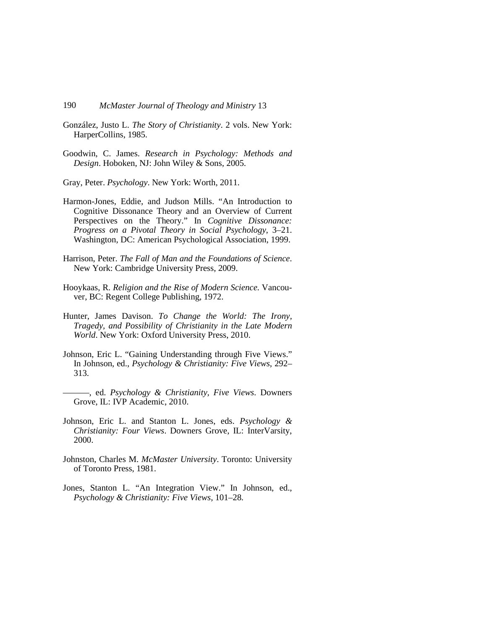- González, Justo L. *The Story of Christianity*. 2 vols. New York: HarperCollins, 1985.
- Goodwin, C. James. *Research in Psychology: Methods and Design*. Hoboken, NJ: John Wiley & Sons, 2005.
- Gray, Peter. *Psychology*. New York: Worth, 2011.
- Harmon-Jones, Eddie, and Judson Mills. "An Introduction to Cognitive Dissonance Theory and an Overview of Current Perspectives on the Theory." In *Cognitive Dissonance: Progress on a Pivotal Theory in Social Psychology*, 3–21. Washington, DC: American Psychological Association, 1999.
- Harrison, Peter. *The Fall of Man and the Foundations of Science*. New York: Cambridge University Press, 2009.
- Hooykaas, R. *Religion and the Rise of Modern Science*. Vancouver, BC: Regent College Publishing, 1972.
- Hunter, James Davison. *To Change the World: The Irony, Tragedy, and Possibility of Christianity in the Late Modern World*. New York: Oxford University Press, 2010.
- Johnson, Eric L. "Gaining Understanding through Five Views." In Johnson, ed., *Psychology & Christianity: Five Views*, 292– 313.
	- ———, ed. *Psychology & Christianity, Five Views*. Downers Grove, IL: IVP Academic, 2010.
- Johnson, Eric L. and Stanton L. Jones, eds. *Psychology & Christianity: Four Views*. Downers Grove, IL: InterVarsity, 2000.
- Johnston, Charles M. *McMaster University*. Toronto: University of Toronto Press, 1981.
- Jones, Stanton L. "An Integration View." In Johnson, ed., *Psychology & Christianity: Five Views*, 101–28.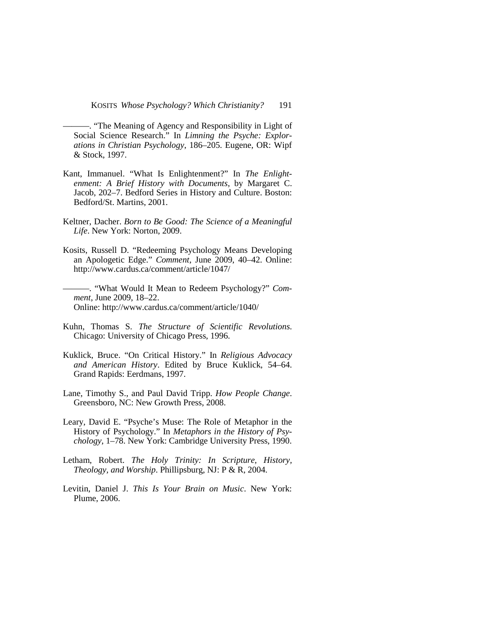- ———. "The Meaning of Agency and Responsibility in Light of Social Science Research." In *Limning the Psyche: Explorations in Christian Psychology*, 186–205. Eugene, OR: Wipf & Stock, 1997.
- Kant, Immanuel. "What Is Enlightenment?" In *The Enlightenment: A Brief History with Documents*, by Margaret C. Jacob, 202–7. Bedford Series in History and Culture. Boston: Bedford/St. Martins, 2001.
- Keltner, Dacher. *Born to Be Good: The Science of a Meaningful Life*. New York: Norton, 2009.
- Kosits, Russell D. "Redeeming Psychology Means Developing an Apologetic Edge." *Comment*, June 2009, 40–42. Online: http://www.cardus.ca/comment/article/1047/
	- ———. "What Would It Mean to Redeem Psychology?" *Comment*, June 2009, 18–22. Online: http://www.cardus.ca/comment/article/1040/
- Kuhn, Thomas S. *The Structure of Scientific Revolutions*. Chicago: University of Chicago Press, 1996.
- Kuklick, Bruce. "On Critical History." In *Religious Advocacy and American History*. Edited by Bruce Kuklick, 54–64. Grand Rapids: Eerdmans, 1997.
- Lane, Timothy S., and Paul David Tripp. *How People Change*. Greensboro, NC: New Growth Press, 2008.
- Leary, David E. "Psyche's Muse: The Role of Metaphor in the History of Psychology." In *Metaphors in the History of Psychology*, 1–78. New York: Cambridge University Press, 1990.
- Letham, Robert. *The Holy Trinity: In Scripture, History, Theology, and Worship*. Phillipsburg, NJ: P & R, 2004.
- Levitin, Daniel J. *This Is Your Brain on Music*. New York: Plume, 2006.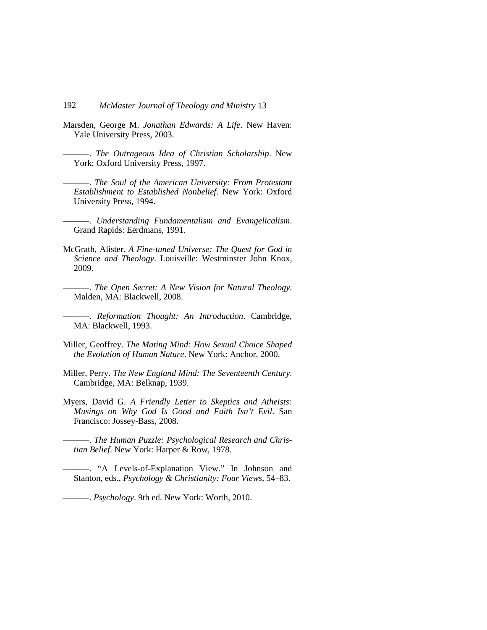- Marsden, George M. *Jonathan Edwards: A Life*. New Haven: Yale University Press, 2003.
- ———. *The Outrageous Idea of Christian Scholarship*. New York: Oxford University Press, 1997.
- ———. *The Soul of the American University: From Protestant Establishment to Established Nonbelief*. New York: Oxford University Press, 1994.
- ———. *Understanding Fundamentalism and Evangelicalism*. Grand Rapids: Eerdmans, 1991.
- McGrath, Alister. *A Fine-tuned Universe: The Quest for God in Science and Theology*. Louisville: Westminster John Knox, 2009.
	- ———. *The Open Secret: A New Vision for Natural Theology*. Malden, MA: Blackwell, 2008.
- ———. *Reformation Thought: An Introduction*. Cambridge, MA: Blackwell, 1993.
- Miller, Geoffrey. *The Mating Mind: How Sexual Choice Shaped the Evolution of Human Nature*. New York: Anchor, 2000.
- Miller, Perry. *The New England Mind: The Seventeenth Century*. Cambridge, MA: Belknap, 1939.
- Myers, David G. *A Friendly Letter to Skeptics and Atheists: Musings on Why God Is Good and Faith Isn't Evil*. San Francisco: Jossey-Bass, 2008.
	- ———. *The Human Puzzle: Psychological Research and Christian Belief*. New York: Harper & Row, 1978.
	- ———. "A Levels-of-Explanation View." In Johnson and Stanton, eds., *Psychology & Christianity: Four Views*, 54–83.
		- ———. *Psychology*. 9th ed. New York: Worth, 2010.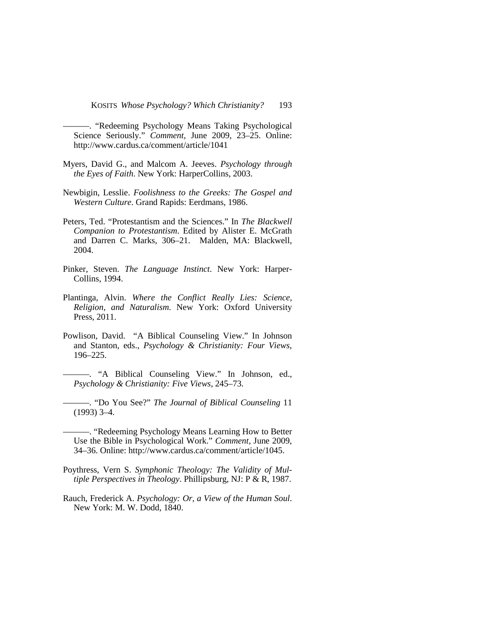———. "Redeeming Psychology Means Taking Psychological Science Seriously." *Comment*, June 2009, 23–25. Online: http://www.cardus.ca/comment/article/1041

- Myers, David G., and Malcom A. Jeeves. *Psychology through the Eyes of Faith*. New York: HarperCollins, 2003.
- Newbigin, Lesslie. *Foolishness to the Greeks: The Gospel and Western Culture*. Grand Rapids: Eerdmans, 1986.
- Peters, Ted. "Protestantism and the Sciences." In *The Blackwell Companion to Protestantism*. Edited by Alister E. McGrath and Darren C. Marks, 306–21. Malden, MA: Blackwell, 2004.
- Pinker, Steven. *The Language Instinct*. New York: Harper-Collins, 1994.
- Plantinga, Alvin. *Where the Conflict Really Lies: Science, Religion, and Naturalism*. New York: Oxford University Press, 2011.
- Powlison, David. "A Biblical Counseling View." In Johnson and Stanton, eds., *Psychology & Christianity: Four Views*, 196–225.
	- ———. "A Biblical Counseling View." In Johnson, ed., *Psychology & Christianity: Five Views*, 245–73.

———. "Do You See?" *The Journal of Biblical Counseling* 11 (1993) 3–4.

- ———. "Redeeming Psychology Means Learning How to Better Use the Bible in Psychological Work." *Comment*, June 2009, 34–36. Online: http://www.cardus.ca/comment/article/1045.
- Poythress, Vern S. *Symphonic Theology: The Validity of Multiple Perspectives in Theology*. Phillipsburg, NJ: P & R, 1987.
- Rauch, Frederick A. *Psychology: Or, a View of the Human Soul*. New York: M. W. Dodd, 1840.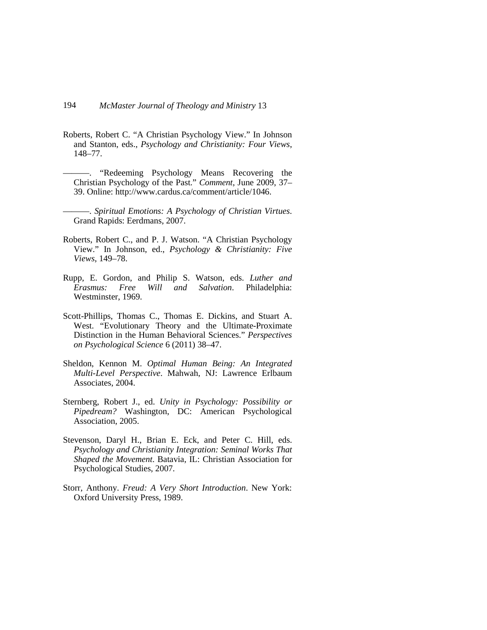- Roberts, Robert C. "A Christian Psychology View." In Johnson and Stanton, eds., *Psychology and Christianity: Four Views*, 148–77.
	- "Redeeming Psychology Means Recovering the Christian Psychology of the Past." *Comment*, June 2009, 37– 39. Online: http://www.cardus.ca/comment/article/1046.

———. *Spiritual Emotions: A Psychology of Christian Virtues*. Grand Rapids: Eerdmans, 2007.

- Roberts, Robert C., and P. J. Watson. "A Christian Psychology View." In Johnson, ed., *Psychology & Christianity: Five Views*, 149–78.
- Rupp, E. Gordon, and Philip S. Watson, eds. *Luther and Erasmus: Free Will and Salvation*. Philadelphia: Westminster, 1969.
- Scott-Phillips, Thomas C., Thomas E. Dickins, and Stuart A. West. "Evolutionary Theory and the Ultimate-Proximate Distinction in the Human Behavioral Sciences." *Perspectives on Psychological Science* 6 (2011) 38–47.
- Sheldon, Kennon M. *Optimal Human Being: An Integrated Multi-Level Perspective*. Mahwah, NJ: Lawrence Erlbaum Associates, 2004.
- Sternberg, Robert J., ed. *Unity in Psychology: Possibility or Pipedream?* Washington, DC: American Psychological Association, 2005.
- Stevenson, Daryl H., Brian E. Eck, and Peter C. Hill, eds. *Psychology and Christianity Integration: Seminal Works That Shaped the Movement*. Batavia, IL: Christian Association for Psychological Studies, 2007.
- Storr, Anthony. *Freud: A Very Short Introduction*. New York: Oxford University Press, 1989.